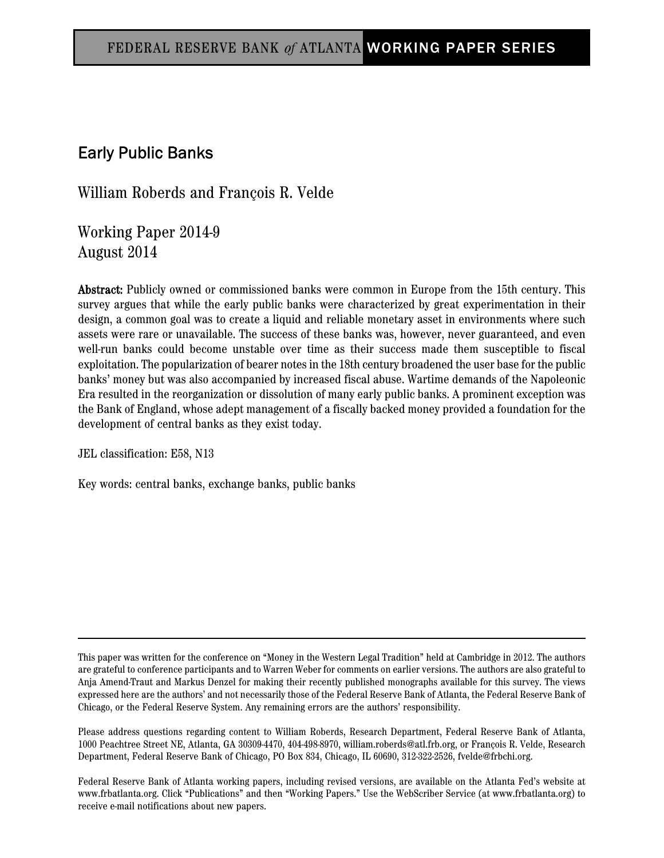# Early Public Banks

William Roberds and François R. Velde

Working Paper 2014-9 August 2014

Abstract: Publicly owned or commissioned banks were common in Europe from the 15th century. This survey argues that while the early public banks were characterized by great experimentation in their design, a common goal was to create a liquid and reliable monetary asset in environments where such assets were rare or unavailable. The success of these banks was, however, never guaranteed, and even well-run banks could become unstable over time as their success made them susceptible to fiscal exploitation. The popularization of bearer notes in the 18th century broadened the user base for the public banks' money but was also accompanied by increased fiscal abuse. Wartime demands of the Napoleonic Era resulted in the reorganization or dissolution of many early public banks. A prominent exception was the Bank of England, whose adept management of a fiscally backed money provided a foundation for the development of central banks as they exist today.

JEL classification: E58, N13

Key words: central banks, exchange banks, public banks

This paper was written for the conference on "Money in the Western Legal Tradition" held at Cambridge in 2012. The authors are grateful to conference participants and to Warren Weber for comments on earlier versions. The authors are also grateful to Anja Amend-Traut and Markus Denzel for making their recently published monographs available for this survey. The views expressed here are the authors' and not necessarily those of the Federal Reserve Bank of Atlanta, the Federal Reserve Bank of Chicago, or the Federal Reserve System. Any remaining errors are the authors' responsibility.

Please address questions regarding content to William Roberds, Research Department, Federal Reserve Bank of Atlanta, 1000 Peachtree Street NE, Atlanta, GA 30309-4470, 404-498-8970, william.roberds@atl.frb.org, or François R. Velde, Research Department, Federal Reserve Bank of Chicago, PO Box 834, Chicago, IL 60690, 312-322-2526, fvelde@frbchi.org.

Federal Reserve Bank of Atlanta working papers, including revised versions, are available on the Atlanta Fed's website at www.frbatlanta.org. Click "Publications" and then "Working Papers." Use the WebScriber Service (at www.frbatlanta.org) to receive e-mail notifications about new papers.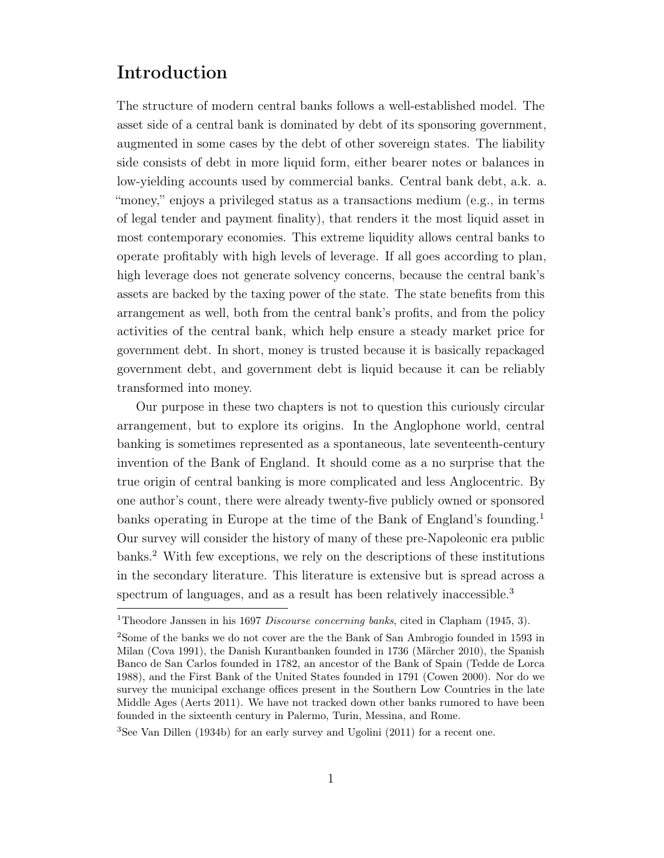# Introduction

The structure of modern central banks follows a well-established model. The asset side of a central bank is dominated by debt of its sponsoring government, augmented in some cases by the debt of other sovereign states. The liability side consists of debt in more liquid form, either bearer notes or balances in low-yielding accounts used by commercial banks. Central bank debt, a.k. a. "money," enjoys a privileged status as a transactions medium (e.g., in terms of legal tender and payment finality), that renders it the most liquid asset in most contemporary economies. This extreme liquidity allows central banks to operate profitably with high levels of leverage. If all goes according to plan, high leverage does not generate solvency concerns, because the central bank's assets are backed by the taxing power of the state. The state benefits from this arrangement as well, both from the central bank's profits, and from the policy activities of the central bank, which help ensure a steady market price for government debt. In short, money is trusted because it is basically repackaged government debt, and government debt is liquid because it can be reliably transformed into money.

Our purpose in these two chapters is not to question this curiously circular arrangement, but to explore its origins. In the Anglophone world, central banking is sometimes represented as a spontaneous, late seventeenth-century invention of the Bank of England. It should come as a no surprise that the true origin of central banking is more complicated and less Anglocentric. By one author's count, there were already twenty-five publicly owned or sponsored banks operating in Europe at the time of the Bank of England's founding.<sup>[1](#page-1-0)</sup> Our survey will consider the history of many of these pre-Napoleonic era public banks.[2](#page-1-1) With few exceptions, we rely on the descriptions of these institutions in the secondary literature. This literature is extensive but is spread across a spectrum of languages, and as a result has been relatively inaccessible.<sup>[3](#page-1-2)</sup>

<span id="page-1-2"></span><sup>3</sup>See [Van Dillen](#page-92-0) [\(1934b\)](#page-92-0) for an early survey and [Ugolini](#page-91-0) [\(2011\)](#page-91-0) for a recent one.

<span id="page-1-0"></span><sup>&</sup>lt;sup>1</sup>Theodore Janssen in his 1697 *Discourse concerning banks*, cited in [Clapham](#page-86-0) [\(1945,](#page-86-0) 3).

<span id="page-1-1"></span><sup>2</sup>Some of the banks we do not cover are the the Bank of San Ambrogio founded in 1593 in Milan [\(Cova 1991\)](#page-86-1), the Danish Kurantbanken founded in 1736 [\(Märcher 2010\)](#page-88-0), the Spanish Banco de San Carlos founded in 1782, an ancestor of the Bank of Spain [\(Tedde de Lorca](#page-88-1) [1988\)](#page-88-1), and the First Bank of the United States founded in 1791 [\(Cowen 2000\)](#page-86-2). Nor do we survey the municipal exchange offices present in the Southern Low Countries in the late Middle Ages [\(Aerts 2011\)](#page-85-0). We have not tracked down other banks rumored to have been founded in the sixteenth century in Palermo, Turin, Messina, and Rome.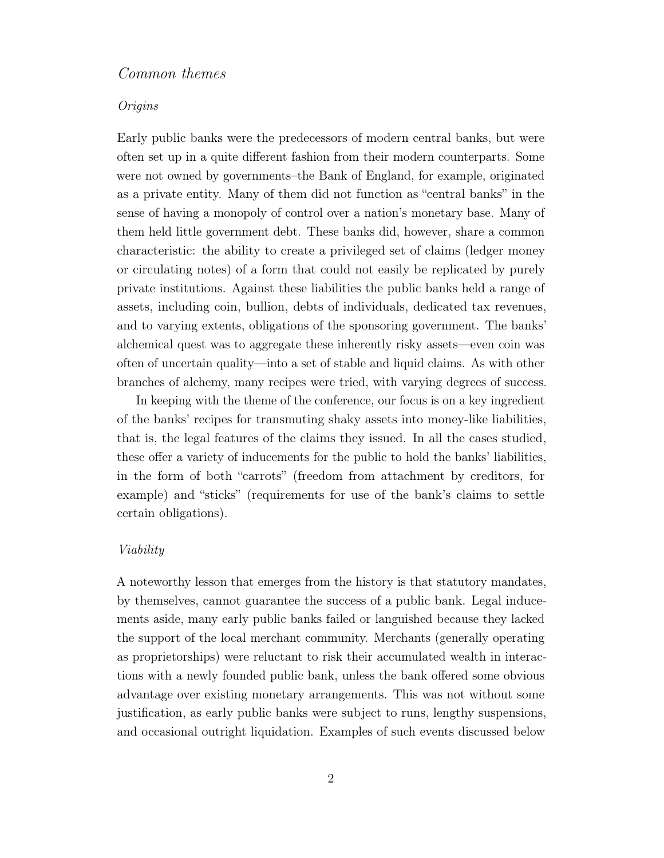#### Common themes

#### **Origins**

Early public banks were the predecessors of modern central banks, but were often set up in a quite different fashion from their modern counterparts. Some were not owned by governments–the Bank of England, for example, originated as a private entity. Many of them did not function as "central banks" in the sense of having a monopoly of control over a nation's monetary base. Many of them held little government debt. These banks did, however, share a common characteristic: the ability to create a privileged set of claims (ledger money or circulating notes) of a form that could not easily be replicated by purely private institutions. Against these liabilities the public banks held a range of assets, including coin, bullion, debts of individuals, dedicated tax revenues, and to varying extents, obligations of the sponsoring government. The banks' alchemical quest was to aggregate these inherently risky assets—even coin was often of uncertain quality—into a set of stable and liquid claims. As with other branches of alchemy, many recipes were tried, with varying degrees of success.

In keeping with the theme of the conference, our focus is on a key ingredient of the banks' recipes for transmuting shaky assets into money-like liabilities, that is, the legal features of the claims they issued. In all the cases studied, these offer a variety of inducements for the public to hold the banks' liabilities, in the form of both "carrots" (freedom from attachment by creditors, for example) and "sticks" (requirements for use of the bank's claims to settle certain obligations).

#### Viability

A noteworthy lesson that emerges from the history is that statutory mandates, by themselves, cannot guarantee the success of a public bank. Legal inducements aside, many early public banks failed or languished because they lacked the support of the local merchant community. Merchants (generally operating as proprietorships) were reluctant to risk their accumulated wealth in interactions with a newly founded public bank, unless the bank offered some obvious advantage over existing monetary arrangements. This was not without some justification, as early public banks were subject to runs, lengthy suspensions, and occasional outright liquidation. Examples of such events discussed below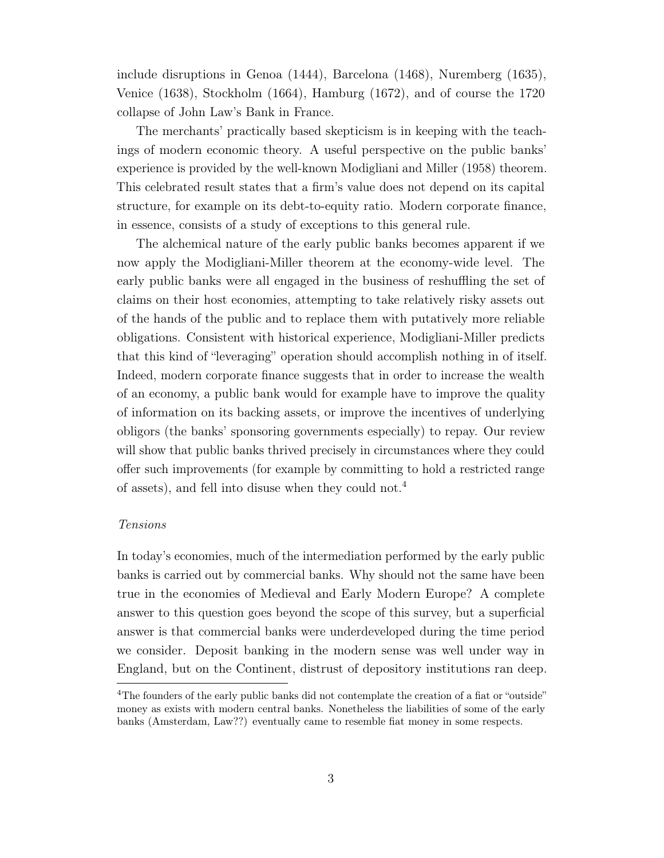include disruptions in Genoa (1444), Barcelona (1468), Nuremberg (1635), Venice (1638), Stockholm (1664), Hamburg (1672), and of course the 1720 collapse of John Law's Bank in France.

The merchants' practically based skepticism is in keeping with the teachings of modern economic theory. A useful perspective on the public banks' experience is provided by the well-known [Modigliani and Miller](#page-88-2) [\(1958\)](#page-88-2) theorem. This celebrated result states that a firm's value does not depend on its capital structure, for example on its debt-to-equity ratio. Modern corporate finance, in essence, consists of a study of exceptions to this general rule.

The alchemical nature of the early public banks becomes apparent if we now apply the Modigliani-Miller theorem at the economy-wide level. The early public banks were all engaged in the business of reshuffling the set of claims on their host economies, attempting to take relatively risky assets out of the hands of the public and to replace them with putatively more reliable obligations. Consistent with historical experience, Modigliani-Miller predicts that this kind of "leveraging" operation should accomplish nothing in of itself. Indeed, modern corporate finance suggests that in order to increase the wealth of an economy, a public bank would for example have to improve the quality of information on its backing assets, or improve the incentives of underlying obligors (the banks' sponsoring governments especially) to repay. Our review will show that public banks thrived precisely in circumstances where they could offer such improvements (for example by committing to hold a restricted range of assets), and fell into disuse when they could not.[4](#page-3-0)

#### Tensions

In today's economies, much of the intermediation performed by the early public banks is carried out by commercial banks. Why should not the same have been true in the economies of Medieval and Early Modern Europe? A complete answer to this question goes beyond the scope of this survey, but a superficial answer is that commercial banks were underdeveloped during the time period we consider. Deposit banking in the modern sense was well under way in England, but on the Continent, distrust of depository institutions ran deep.

<span id="page-3-0"></span><sup>&</sup>lt;sup>4</sup>The founders of the early public banks did not contemplate the creation of a fiat or "outside" money as exists with modern central banks. Nonetheless the liabilities of some of the early banks (Amsterdam, Law??) eventually came to resemble fiat money in some respects.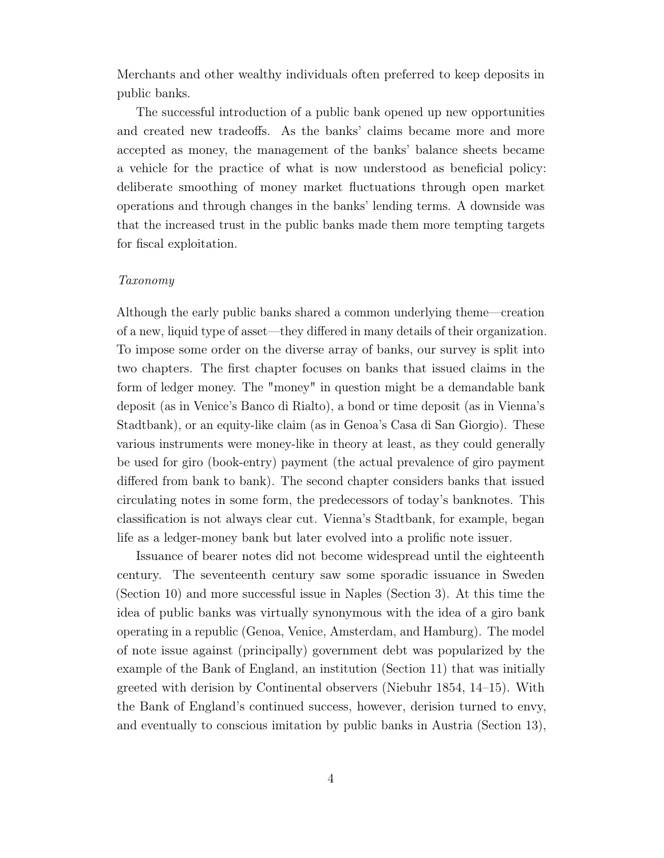Merchants and other wealthy individuals often preferred to keep deposits in public banks.

The successful introduction of a public bank opened up new opportunities and created new tradeoffs. As the banks' claims became more and more accepted as money, the management of the banks' balance sheets became a vehicle for the practice of what is now understood as beneficial policy: deliberate smoothing of money market fluctuations through open market operations and through changes in the banks' lending terms. A downside was that the increased trust in the public banks made them more tempting targets for fiscal exploitation.

#### Taxonomy

Although the early public banks shared a common underlying theme—creation of a new, liquid type of asset—they differed in many details of their organization. To impose some order on the diverse array of banks, our survey is split into two chapters. The first chapter focuses on banks that issued claims in the form of ledger money. The "money" in question might be a demandable bank deposit (as in Venice's Banco di Rialto), a bond or time deposit (as in Vienna's Stadtbank), or an equity-like claim (as in Genoa's Casa di San Giorgio). These various instruments were money-like in theory at least, as they could generally be used for giro (book-entry) payment (the actual prevalence of giro payment differed from bank to bank). The second chapter considers banks that issued circulating notes in some form, the predecessors of today's banknotes. This classification is not always clear cut. Vienna's Stadtbank, for example, began life as a ledger-money bank but later evolved into a prolific note issuer.

Issuance of bearer notes did not become widespread until the eighteenth century. The seventeenth century saw some sporadic issuance in Sweden (Section [10\)](#page-51-0) and more successful issue in Naples (Section [3\)](#page-27-0). At this time the idea of public banks was virtually synonymous with the idea of a giro bank operating in a republic (Genoa, Venice, Amsterdam, and Hamburg). The model of note issue against (principally) government debt was popularized by the example of the Bank of England, an institution (Section [11\)](#page-56-0) that was initially greeted with derision by Continental observers [\(Niebuhr 1854,](#page-89-0) 14–15). With the Bank of England's continued success, however, derision turned to envy, and eventually to conscious imitation by public banks in Austria (Section [13\)](#page-69-0),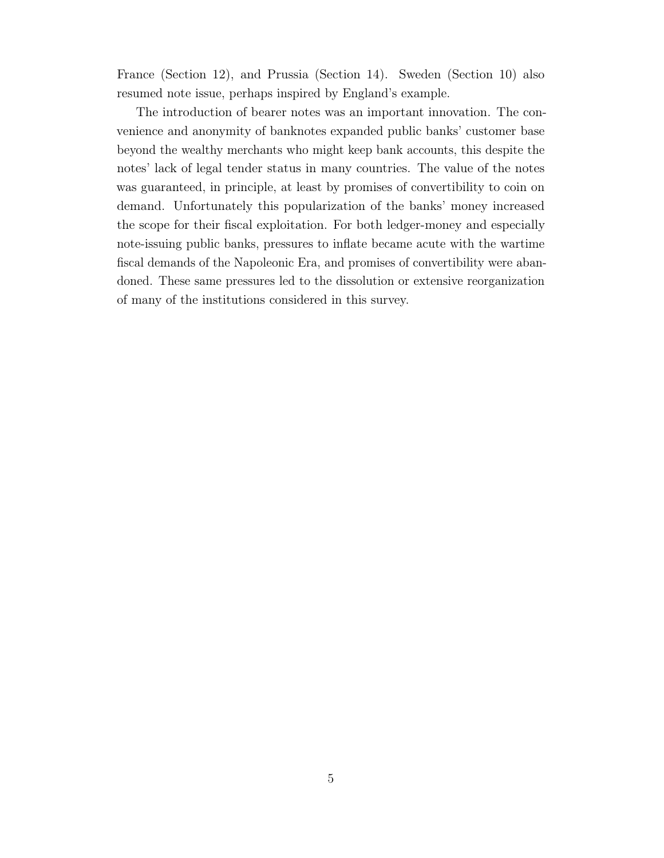France (Section [12\)](#page-61-0), and Prussia (Section [14\)](#page-74-0). Sweden (Section [10\)](#page-51-0) also resumed note issue, perhaps inspired by England's example.

The introduction of bearer notes was an important innovation. The convenience and anonymity of banknotes expanded public banks' customer base beyond the wealthy merchants who might keep bank accounts, this despite the notes' lack of legal tender status in many countries. The value of the notes was guaranteed, in principle, at least by promises of convertibility to coin on demand. Unfortunately this popularization of the banks' money increased the scope for their fiscal exploitation. For both ledger-money and especially note-issuing public banks, pressures to inflate became acute with the wartime fiscal demands of the Napoleonic Era, and promises of convertibility were abandoned. These same pressures led to the dissolution or extensive reorganization of many of the institutions considered in this survey.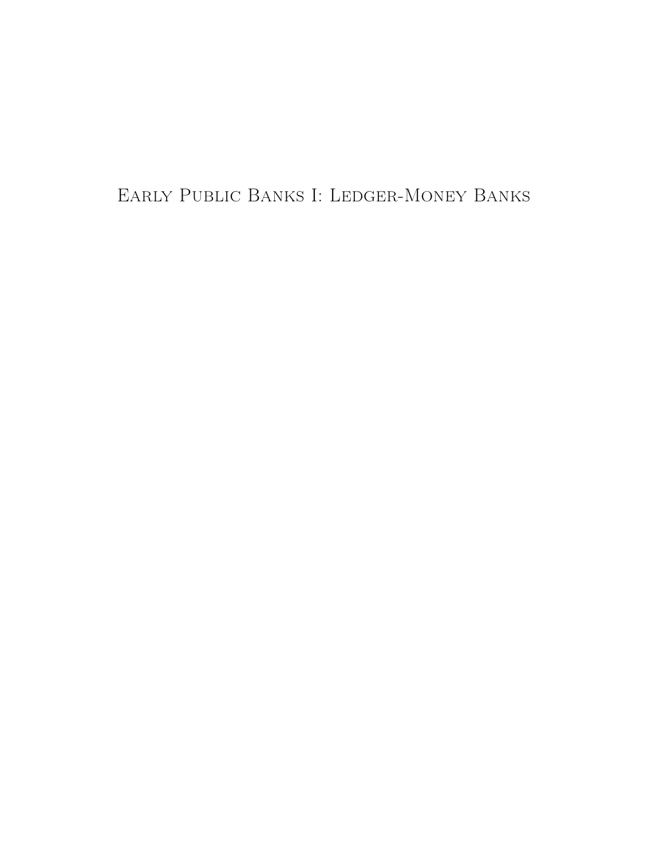Early Public Banks I: Ledger-Money Banks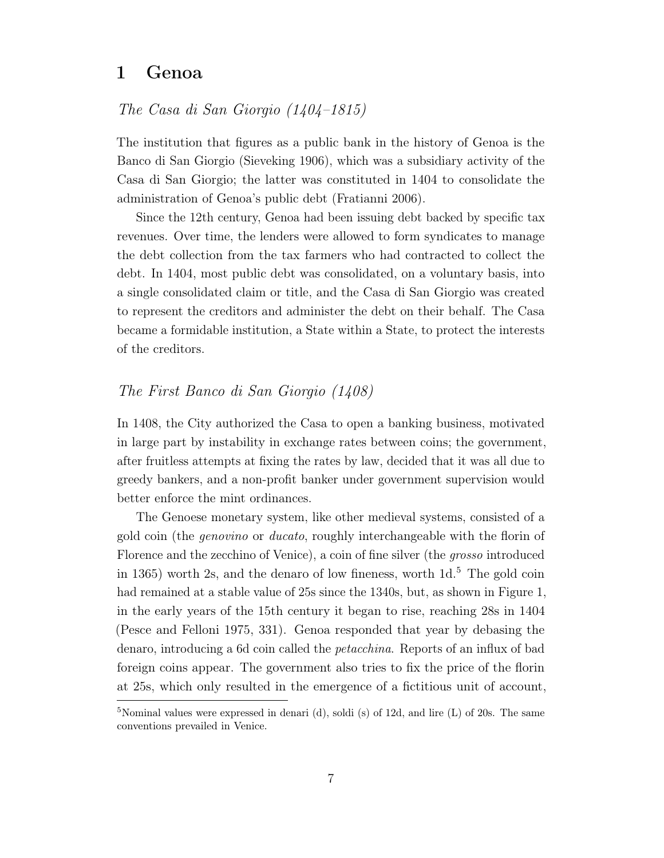## 1 Genoa

### The Casa di San Giorgio (1404–1815)

The institution that figures as a public bank in the history of Genoa is the Banco di San Giorgio [\(Sieveking 1906\)](#page-90-0), which was a subsidiary activity of the Casa di San Giorgio; the latter was constituted in 1404 to consolidate the administration of Genoa's public debt [\(Fratianni 2006\)](#page-87-0).

Since the 12th century, Genoa had been issuing debt backed by specific tax revenues. Over time, the lenders were allowed to form syndicates to manage the debt collection from the tax farmers who had contracted to collect the debt. In 1404, most public debt was consolidated, on a voluntary basis, into a single consolidated claim or title, and the Casa di San Giorgio was created to represent the creditors and administer the debt on their behalf. The Casa became a formidable institution, a State within a State, to protect the interests of the creditors.

### The First Banco di San Giorgio (1408)

In 1408, the City authorized the Casa to open a banking business, motivated in large part by instability in exchange rates between coins; the government, after fruitless attempts at fixing the rates by law, decided that it was all due to greedy bankers, and a non-profit banker under government supervision would better enforce the mint ordinances.

The Genoese monetary system, like other medieval systems, consisted of a gold coin (the genovino or ducato, roughly interchangeable with the florin of Florence and the zecchino of Venice), a coin of fine silver (the grosso introduced in 136[5](#page-7-0)) worth 2s, and the denaro of low fineness, worth  $1d<sup>5</sup>$ . The gold coin had remained at a stable value of 25s since the 1340s, but, as shown in Figure [1,](#page-8-0) in the early years of the 15th century it began to rise, reaching 28s in 1404 [\(Pesce and Felloni 1975,](#page-89-1) 331). Genoa responded that year by debasing the denaro, introducing a 6d coin called the petacchina. Reports of an influx of bad foreign coins appear. The government also tries to fix the price of the florin at 25s, which only resulted in the emergence of a fictitious unit of account,

<span id="page-7-0"></span><sup>&</sup>lt;sup>5</sup>Nominal values were expressed in denari (d), soldi (s) of 12d, and lire (L) of 20s. The same conventions prevailed in Venice.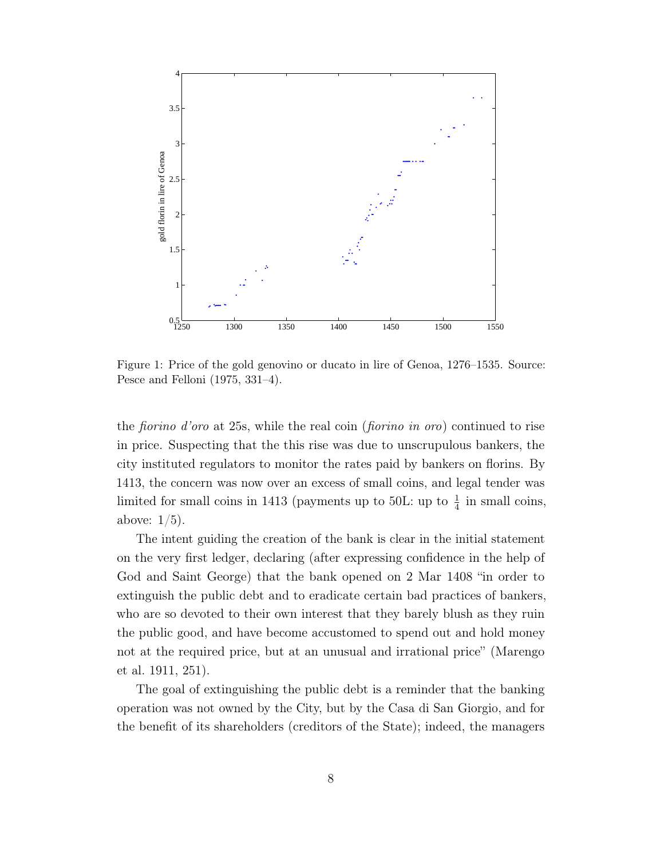

<span id="page-8-0"></span>Figure 1: Price of the gold genovino or ducato in lire of Genoa, 1276–1535. Source: [Pesce and Felloni](#page-89-1) [\(1975,](#page-89-1) 331–4).

the fiorino d'oro at 25s, while the real coin (fiorino in oro) continued to rise in price. Suspecting that the this rise was due to unscrupulous bankers, the city instituted regulators to monitor the rates paid by bankers on florins. By 1413, the concern was now over an excess of small coins, and legal tender was limited for small coins in 1413 (payments up to 50L: up to  $\frac{1}{4}$  in small coins, above:  $1/5$ ).

The intent guiding the creation of the bank is clear in the initial statement on the very first ledger, declaring (after expressing confidence in the help of God and Saint George) that the bank opened on 2 Mar 1408 "in order to extinguish the public debt and to eradicate certain bad practices of bankers, who are so devoted to their own interest that they barely blush as they ruin the public good, and have become accustomed to spend out and hold money not at the required price, but at an unusual and irrational price" [\(Marengo](#page-88-3) [et al. 1911,](#page-88-3) 251).

The goal of extinguishing the public debt is a reminder that the banking operation was not owned by the City, but by the Casa di San Giorgio, and for the benefit of its shareholders (creditors of the State); indeed, the managers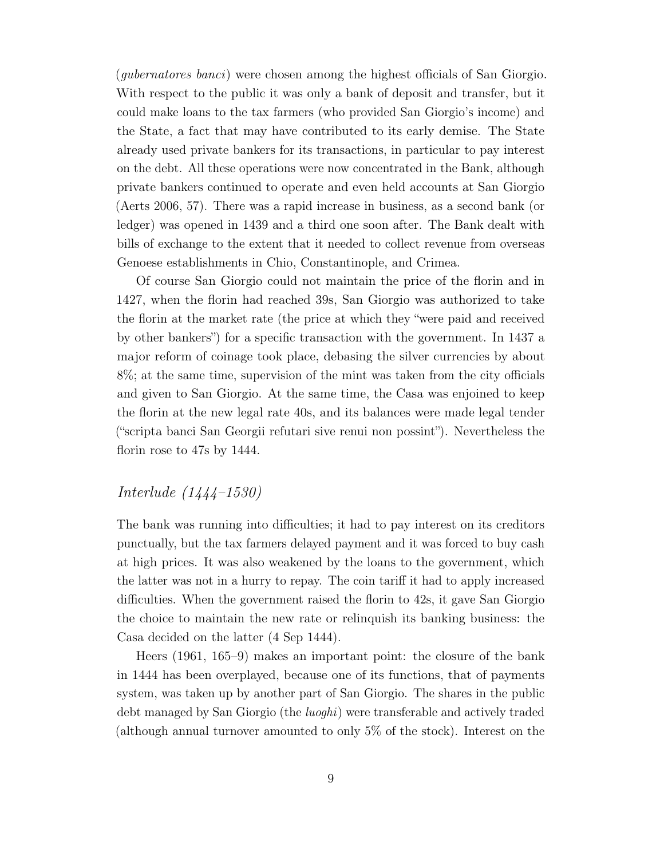(gubernatores banci) were chosen among the highest officials of San Giorgio. With respect to the public it was only a bank of deposit and transfer, but it could make loans to the tax farmers (who provided San Giorgio's income) and the State, a fact that may have contributed to its early demise. The State already used private bankers for its transactions, in particular to pay interest on the debt. All these operations were now concentrated in the Bank, although private bankers continued to operate and even held accounts at San Giorgio [\(Aerts 2006,](#page-85-1) 57). There was a rapid increase in business, as a second bank (or ledger) was opened in 1439 and a third one soon after. The Bank dealt with bills of exchange to the extent that it needed to collect revenue from overseas Genoese establishments in Chio, Constantinople, and Crimea.

Of course San Giorgio could not maintain the price of the florin and in 1427, when the florin had reached 39s, San Giorgio was authorized to take the florin at the market rate (the price at which they "were paid and received by other bankers") for a specific transaction with the government. In 1437 a major reform of coinage took place, debasing the silver currencies by about 8%; at the same time, supervision of the mint was taken from the city officials and given to San Giorgio. At the same time, the Casa was enjoined to keep the florin at the new legal rate 40s, and its balances were made legal tender ("scripta banci San Georgii refutari sive renui non possint"). Nevertheless the florin rose to 47s by 1444.

## Interlude (1444–1530)

The bank was running into difficulties; it had to pay interest on its creditors punctually, but the tax farmers delayed payment and it was forced to buy cash at high prices. It was also weakened by the loans to the government, which the latter was not in a hurry to repay. The coin tariff it had to apply increased difficulties. When the government raised the florin to 42s, it gave San Giorgio the choice to maintain the new rate or relinquish its banking business: the Casa decided on the latter (4 Sep 1444).

[Heers](#page-87-1) [\(1961,](#page-87-1) 165–9) makes an important point: the closure of the bank in 1444 has been overplayed, because one of its functions, that of payments system, was taken up by another part of San Giorgio. The shares in the public debt managed by San Giorgio (the luoghi) were transferable and actively traded (although annual turnover amounted to only 5% of the stock). Interest on the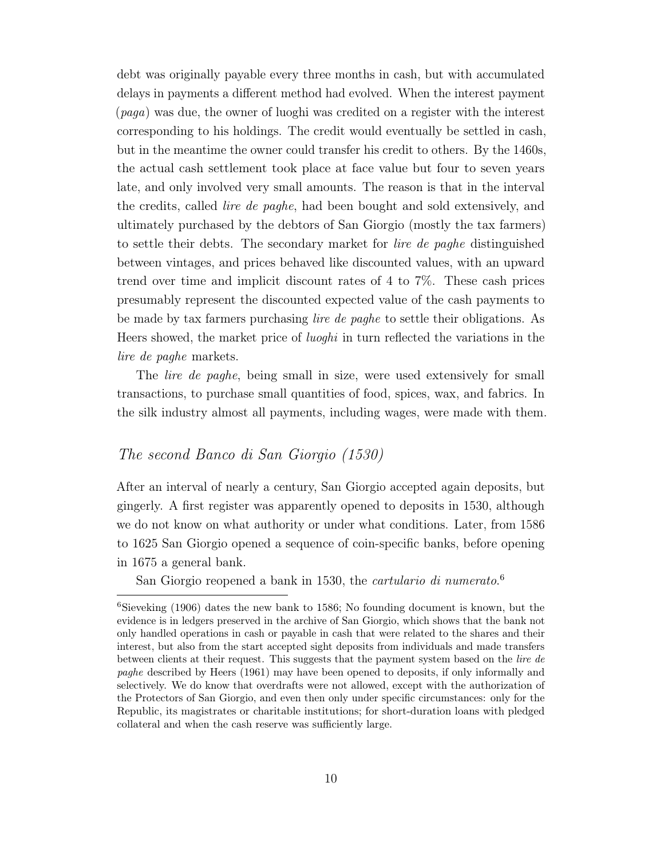debt was originally payable every three months in cash, but with accumulated delays in payments a different method had evolved. When the interest payment (paga) was due, the owner of luoghi was credited on a register with the interest corresponding to his holdings. The credit would eventually be settled in cash, but in the meantime the owner could transfer his credit to others. By the 1460s, the actual cash settlement took place at face value but four to seven years late, and only involved very small amounts. The reason is that in the interval the credits, called *lire de paghe*, had been bought and sold extensively, and ultimately purchased by the debtors of San Giorgio (mostly the tax farmers) to settle their debts. The secondary market for lire de paghe distinguished between vintages, and prices behaved like discounted values, with an upward trend over time and implicit discount rates of 4 to 7%. These cash prices presumably represent the discounted expected value of the cash payments to be made by tax farmers purchasing *lire de paghe* to settle their obligations. As Heers showed, the market price of luoghi in turn reflected the variations in the lire de paghe markets.

The lire de paghe, being small in size, were used extensively for small transactions, to purchase small quantities of food, spices, wax, and fabrics. In the silk industry almost all payments, including wages, were made with them.

#### The second Banco di San Giorgio (1530)

After an interval of nearly a century, San Giorgio accepted again deposits, but gingerly. A first register was apparently opened to deposits in 1530, although we do not know on what authority or under what conditions. Later, from 1586 to 1625 San Giorgio opened a sequence of coin-specific banks, before opening in 1675 a general bank.

San Giorgio reopened a bank in 1530, the *cartulario di numerato*.<sup>[6](#page-10-0)</sup>

<span id="page-10-0"></span> $6$ [Sieveking](#page-90-0) [\(1906\)](#page-90-0) dates the new bank to 1586; No founding document is known, but the evidence is in ledgers preserved in the archive of San Giorgio, which shows that the bank not only handled operations in cash or payable in cash that were related to the shares and their interest, but also from the start accepted sight deposits from individuals and made transfers between clients at their request. This suggests that the payment system based on the lire de paghe described by [Heers](#page-87-1) [\(1961\)](#page-87-1) may have been opened to deposits, if only informally and selectively. We do know that overdrafts were not allowed, except with the authorization of the Protectors of San Giorgio, and even then only under specific circumstances: only for the Republic, its magistrates or charitable institutions; for short-duration loans with pledged collateral and when the cash reserve was sufficiently large.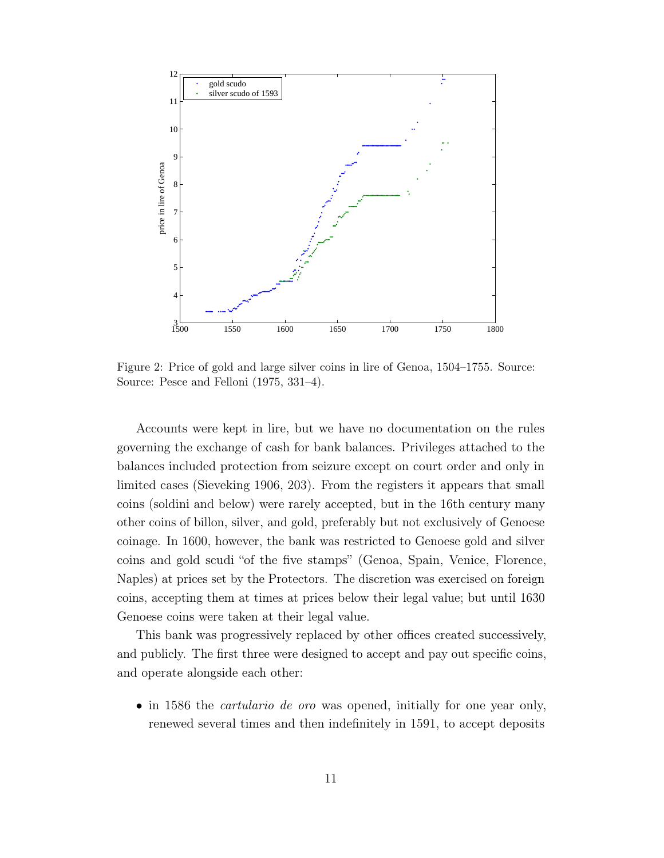

<span id="page-11-0"></span>Figure 2: Price of gold and large silver coins in lire of Genoa, 1504–1755. Source: Source: [Pesce and Felloni](#page-89-1) [\(1975,](#page-89-1) 331–4).

Accounts were kept in lire, but we have no documentation on the rules governing the exchange of cash for bank balances. Privileges attached to the balances included protection from seizure except on court order and only in limited cases [\(Sieveking 1906,](#page-90-0) 203). From the registers it appears that small coins (soldini and below) were rarely accepted, but in the 16th century many other coins of billon, silver, and gold, preferably but not exclusively of Genoese coinage. In 1600, however, the bank was restricted to Genoese gold and silver coins and gold scudi "of the five stamps" (Genoa, Spain, Venice, Florence, Naples) at prices set by the Protectors. The discretion was exercised on foreign coins, accepting them at times at prices below their legal value; but until 1630 Genoese coins were taken at their legal value.

This bank was progressively replaced by other offices created successively, and publicly. The first three were designed to accept and pay out specific coins, and operate alongside each other:

• in 1586 the *cartulario de oro* was opened, initially for one year only, renewed several times and then indefinitely in 1591, to accept deposits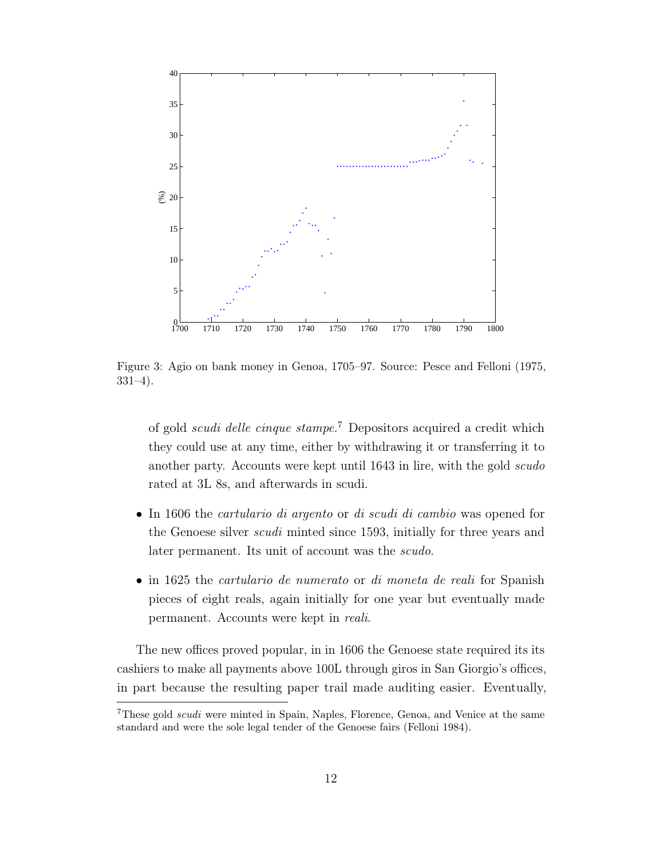

<span id="page-12-1"></span>Figure 3: Agio on bank money in Genoa, 1705–97. Source: [Pesce and Felloni](#page-89-1) [\(1975,](#page-89-1) 331–4).

of gold *scudi delle cinque stampe*.<sup>[7](#page-12-0)</sup> Depositors acquired a credit which they could use at any time, either by withdrawing it or transferring it to another party. Accounts were kept until 1643 in lire, with the gold scudo rated at 3L 8s, and afterwards in scudi.

- In 1606 the *cartulario di argento* or *di scudi di cambio* was opened for the Genoese silver scudi minted since 1593, initially for three years and later permanent. Its unit of account was the scudo.
- in 1625 the *cartulario de numerato* or *di moneta de reali* for Spanish pieces of eight reals, again initially for one year but eventually made permanent. Accounts were kept in reali.

The new offices proved popular, in in 1606 the Genoese state required its its cashiers to make all payments above 100L through giros in San Giorgio's offices, in part because the resulting paper trail made auditing easier. Eventually,

<span id="page-12-0"></span> $7$ These gold *scudi* were minted in Spain, Naples, Florence, Genoa, and Venice at the same standard and were the sole legal tender of the Genoese fairs [\(Felloni 1984\)](#page-87-2).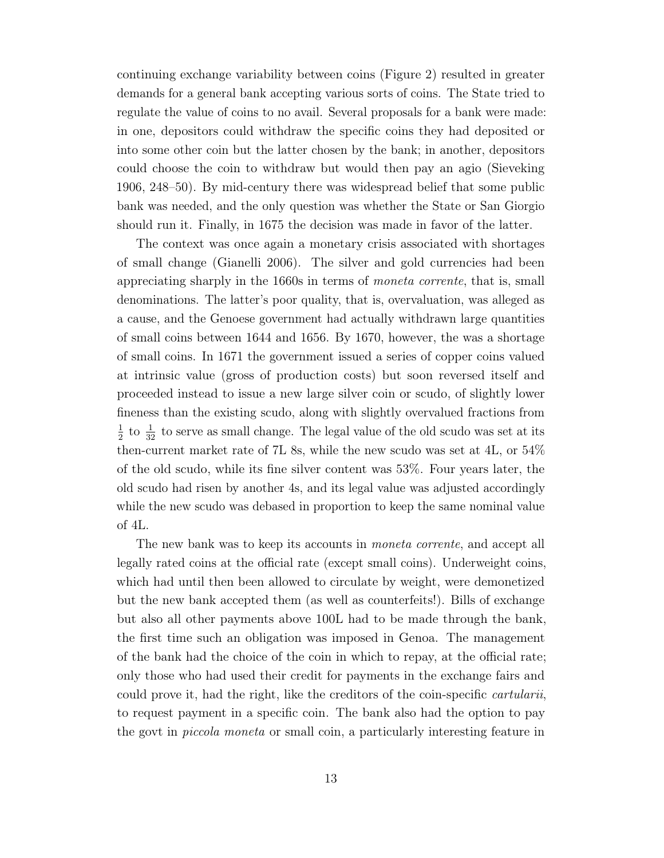continuing exchange variability between coins (Figure [2\)](#page-11-0) resulted in greater demands for a general bank accepting various sorts of coins. The State tried to regulate the value of coins to no avail. Several proposals for a bank were made: in one, depositors could withdraw the specific coins they had deposited or into some other coin but the latter chosen by the bank; in another, depositors could choose the coin to withdraw but would then pay an agio [\(Sieveking](#page-90-0) [1906,](#page-90-0) 248–50). By mid-century there was widespread belief that some public bank was needed, and the only question was whether the State or San Giorgio should run it. Finally, in 1675 the decision was made in favor of the latter.

The context was once again a monetary crisis associated with shortages of small change [\(Gianelli 2006\)](#page-87-3). The silver and gold currencies had been appreciating sharply in the 1660s in terms of moneta corrente, that is, small denominations. The latter's poor quality, that is, overvaluation, was alleged as a cause, and the Genoese government had actually withdrawn large quantities of small coins between 1644 and 1656. By 1670, however, the was a shortage of small coins. In 1671 the government issued a series of copper coins valued at intrinsic value (gross of production costs) but soon reversed itself and proceeded instead to issue a new large silver coin or scudo, of slightly lower fineness than the existing scudo, along with slightly overvalued fractions from 1  $\frac{1}{2}$  to  $\frac{1}{32}$  to serve as small change. The legal value of the old scudo was set at its then-current market rate of 7L 8s, while the new scudo was set at 4L, or 54% of the old scudo, while its fine silver content was 53%. Four years later, the old scudo had risen by another 4s, and its legal value was adjusted accordingly while the new scudo was debased in proportion to keep the same nominal value of 4L.

The new bank was to keep its accounts in moneta corrente, and accept all legally rated coins at the official rate (except small coins). Underweight coins, which had until then been allowed to circulate by weight, were demonetized but the new bank accepted them (as well as counterfeits!). Bills of exchange but also all other payments above 100L had to be made through the bank, the first time such an obligation was imposed in Genoa. The management of the bank had the choice of the coin in which to repay, at the official rate; only those who had used their credit for payments in the exchange fairs and could prove it, had the right, like the creditors of the coin-specific cartularii, to request payment in a specific coin. The bank also had the option to pay the govt in piccola moneta or small coin, a particularly interesting feature in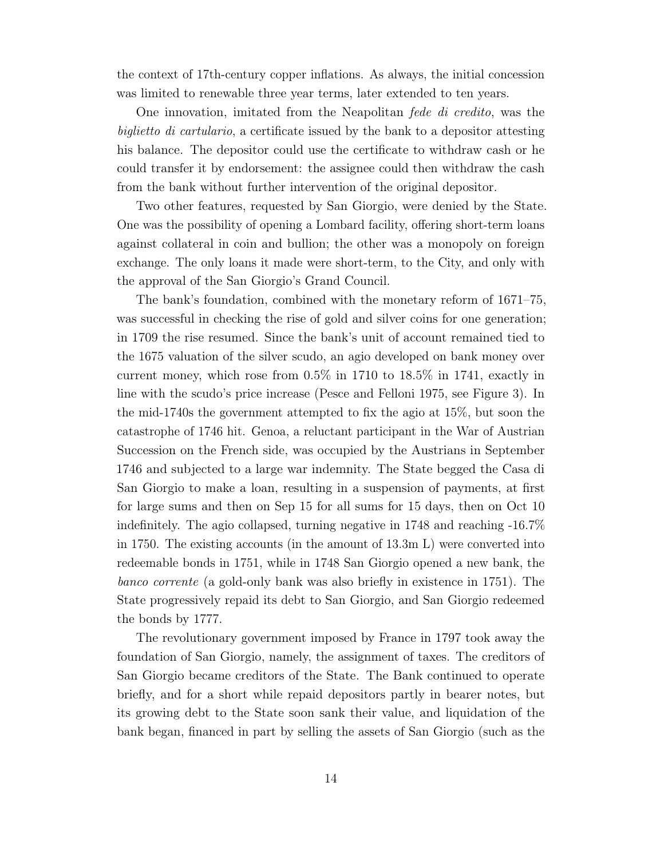the context of 17th-century copper inflations. As always, the initial concession was limited to renewable three year terms, later extended to ten years.

One innovation, imitated from the Neapolitan fede di credito, was the biglietto di cartulario, a certificate issued by the bank to a depositor attesting his balance. The depositor could use the certificate to withdraw cash or he could transfer it by endorsement: the assignee could then withdraw the cash from the bank without further intervention of the original depositor.

Two other features, requested by San Giorgio, were denied by the State. One was the possibility of opening a Lombard facility, offering short-term loans against collateral in coin and bullion; the other was a monopoly on foreign exchange. The only loans it made were short-term, to the City, and only with the approval of the San Giorgio's Grand Council.

The bank's foundation, combined with the monetary reform of 1671–75, was successful in checking the rise of gold and silver coins for one generation; in 1709 the rise resumed. Since the bank's unit of account remained tied to the 1675 valuation of the silver scudo, an agio developed on bank money over current money, which rose from 0.5% in 1710 to 18.5% in 1741, exactly in line with the scudo's price increase [\(Pesce and Felloni 1975,](#page-89-1) see Figure [3\)](#page-12-1). In the mid-1740s the government attempted to fix the agio at 15%, but soon the catastrophe of 1746 hit. Genoa, a reluctant participant in the War of Austrian Succession on the French side, was occupied by the Austrians in September 1746 and subjected to a large war indemnity. The State begged the Casa di San Giorgio to make a loan, resulting in a suspension of payments, at first for large sums and then on Sep 15 for all sums for 15 days, then on Oct 10 indefinitely. The agio collapsed, turning negative in 1748 and reaching -16.7% in 1750. The existing accounts (in the amount of 13.3m L) were converted into redeemable bonds in 1751, while in 1748 San Giorgio opened a new bank, the banco corrente (a gold-only bank was also briefly in existence in 1751). The State progressively repaid its debt to San Giorgio, and San Giorgio redeemed the bonds by 1777.

The revolutionary government imposed by France in 1797 took away the foundation of San Giorgio, namely, the assignment of taxes. The creditors of San Giorgio became creditors of the State. The Bank continued to operate briefly, and for a short while repaid depositors partly in bearer notes, but its growing debt to the State soon sank their value, and liquidation of the bank began, financed in part by selling the assets of San Giorgio (such as the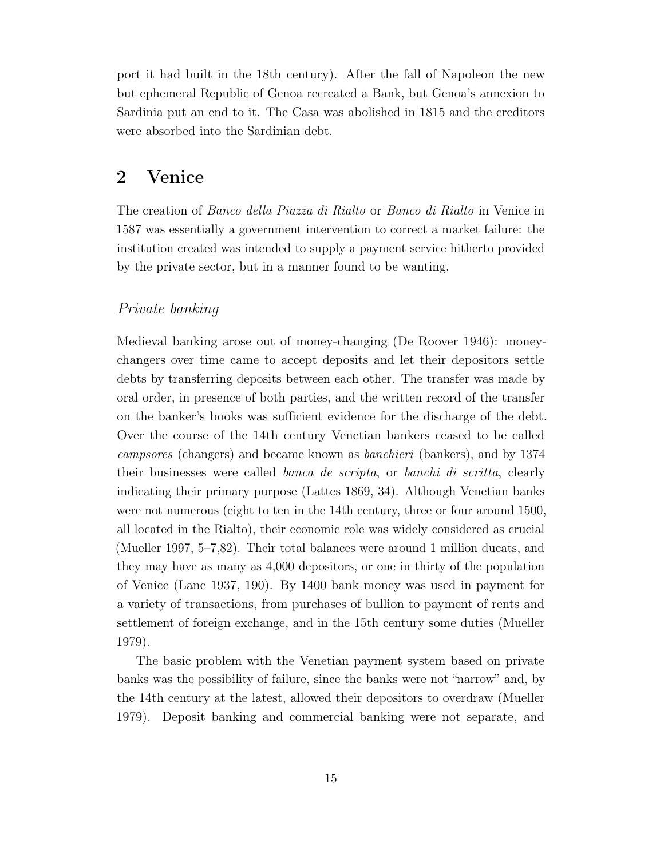port it had built in the 18th century). After the fall of Napoleon the new but ephemeral Republic of Genoa recreated a Bank, but Genoa's annexion to Sardinia put an end to it. The Casa was abolished in 1815 and the creditors were absorbed into the Sardinian debt.

# 2 Venice

The creation of Banco della Piazza di Rialto or Banco di Rialto in Venice in 1587 was essentially a government intervention to correct a market failure: the institution created was intended to supply a payment service hitherto provided by the private sector, but in a manner found to be wanting.

### Private banking

Medieval banking arose out of money-changing [\(De Roover 1946\)](#page-86-3): moneychangers over time came to accept deposits and let their depositors settle debts by transferring deposits between each other. The transfer was made by oral order, in presence of both parties, and the written record of the transfer on the banker's books was sufficient evidence for the discharge of the debt. Over the course of the 14th century Venetian bankers ceased to be called campsores (changers) and became known as banchieri (bankers), and by 1374 their businesses were called *banca de scripta*, or *banchi di scritta*, clearly indicating their primary purpose [\(Lattes 1869,](#page-88-4) 34). Although Venetian banks were not numerous (eight to ten in the 14th century, three or four around 1500, all located in the Rialto), their economic role was widely considered as crucial [\(Mueller 1997,](#page-89-2) 5–7,82). Their total balances were around 1 million ducats, and they may have as many as 4,000 depositors, or one in thirty of the population of Venice [\(Lane 1937,](#page-88-5) 190). By 1400 bank money was used in payment for a variety of transactions, from purchases of bullion to payment of rents and settlement of foreign exchange, and in the 15th century some duties [\(Mueller](#page-89-3) [1979\)](#page-89-3).

The basic problem with the Venetian payment system based on private banks was the possibility of failure, since the banks were not "narrow" and, by the 14th century at the latest, allowed their depositors to overdraw [\(Mueller](#page-89-3) [1979\)](#page-89-3). Deposit banking and commercial banking were not separate, and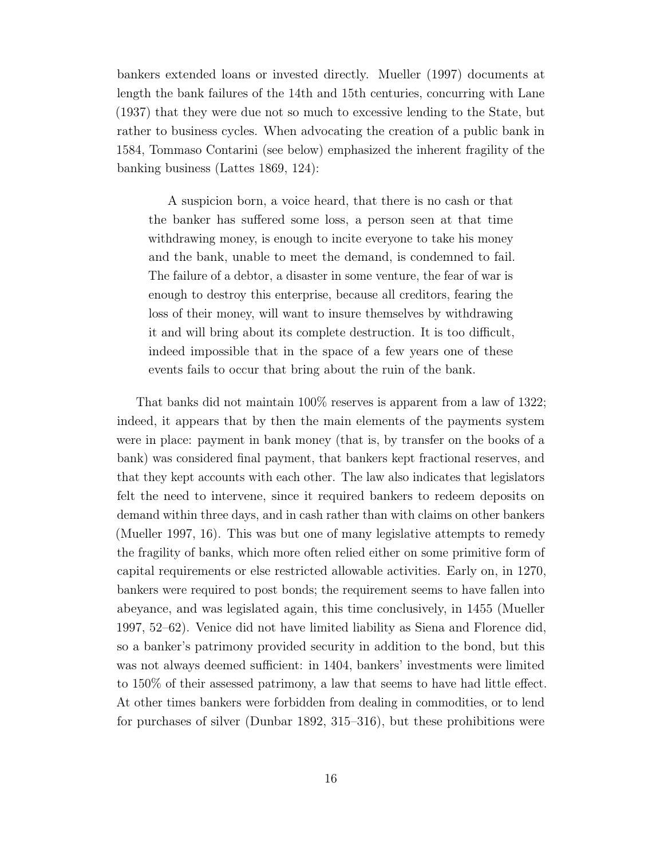bankers extended loans or invested directly. [Mueller](#page-89-2) [\(1997\)](#page-89-2) documents at length the bank failures of the 14th and 15th centuries, concurring with [Lane](#page-88-5) [\(1937\)](#page-88-5) that they were due not so much to excessive lending to the State, but rather to business cycles. When advocating the creation of a public bank in 1584, Tommaso Contarini (see below) emphasized the inherent fragility of the banking business [\(Lattes 1869,](#page-88-4) 124):

A suspicion born, a voice heard, that there is no cash or that the banker has suffered some loss, a person seen at that time withdrawing money, is enough to incite everyone to take his money and the bank, unable to meet the demand, is condemned to fail. The failure of a debtor, a disaster in some venture, the fear of war is enough to destroy this enterprise, because all creditors, fearing the loss of their money, will want to insure themselves by withdrawing it and will bring about its complete destruction. It is too difficult, indeed impossible that in the space of a few years one of these events fails to occur that bring about the ruin of the bank.

That banks did not maintain 100% reserves is apparent from a law of 1322; indeed, it appears that by then the main elements of the payments system were in place: payment in bank money (that is, by transfer on the books of a bank) was considered final payment, that bankers kept fractional reserves, and that they kept accounts with each other. The law also indicates that legislators felt the need to intervene, since it required bankers to redeem deposits on demand within three days, and in cash rather than with claims on other bankers [\(Mueller 1997,](#page-89-2) 16). This was but one of many legislative attempts to remedy the fragility of banks, which more often relied either on some primitive form of capital requirements or else restricted allowable activities. Early on, in 1270, bankers were required to post bonds; the requirement seems to have fallen into abeyance, and was legislated again, this time conclusively, in 1455 [\(Mueller](#page-89-2) [1997,](#page-89-2) 52–62). Venice did not have limited liability as Siena and Florence did, so a banker's patrimony provided security in addition to the bond, but this was not always deemed sufficient: in 1404, bankers' investments were limited to 150% of their assessed patrimony, a law that seems to have had little effect. At other times bankers were forbidden from dealing in commodities, or to lend for purchases of silver [\(Dunbar 1892,](#page-86-4) 315–316), but these prohibitions were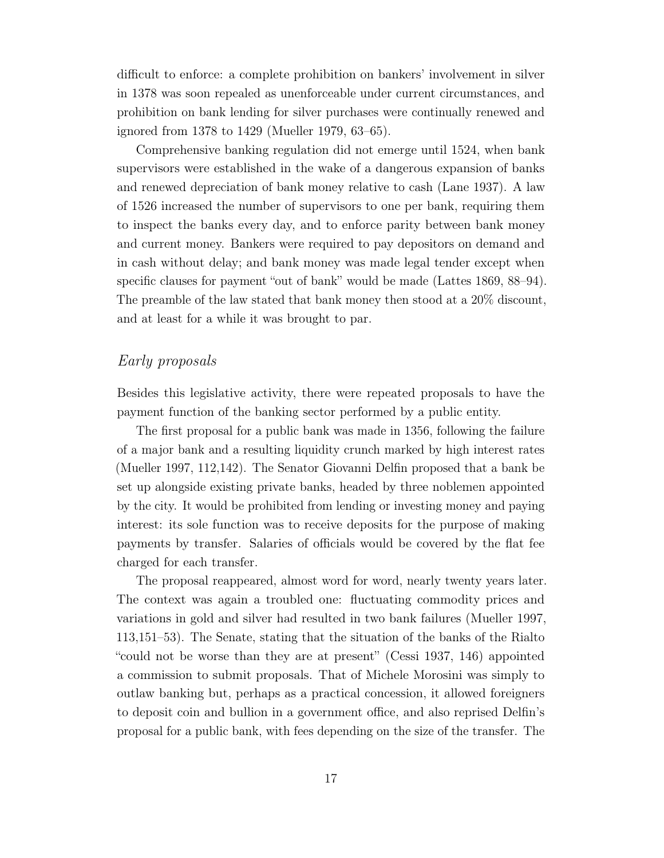difficult to enforce: a complete prohibition on bankers' involvement in silver in 1378 was soon repealed as unenforceable under current circumstances, and prohibition on bank lending for silver purchases were continually renewed and ignored from 1378 to 1429 [\(Mueller 1979,](#page-89-3) 63–65).

Comprehensive banking regulation did not emerge until 1524, when bank supervisors were established in the wake of a dangerous expansion of banks and renewed depreciation of bank money relative to cash [\(Lane 1937\)](#page-88-5). A law of 1526 increased the number of supervisors to one per bank, requiring them to inspect the banks every day, and to enforce parity between bank money and current money. Bankers were required to pay depositors on demand and in cash without delay; and bank money was made legal tender except when specific clauses for payment "out of bank" would be made [\(Lattes 1869,](#page-88-4) 88–94). The preamble of the law stated that bank money then stood at a 20% discount, and at least for a while it was brought to par.

### Early proposals

Besides this legislative activity, there were repeated proposals to have the payment function of the banking sector performed by a public entity.

The first proposal for a public bank was made in 1356, following the failure of a major bank and a resulting liquidity crunch marked by high interest rates [\(Mueller 1997,](#page-89-2) 112,142). The Senator Giovanni Delfin proposed that a bank be set up alongside existing private banks, headed by three noblemen appointed by the city. It would be prohibited from lending or investing money and paying interest: its sole function was to receive deposits for the purpose of making payments by transfer. Salaries of officials would be covered by the flat fee charged for each transfer.

The proposal reappeared, almost word for word, nearly twenty years later. The context was again a troubled one: fluctuating commodity prices and variations in gold and silver had resulted in two bank failures [\(Mueller 1997,](#page-89-2) 113,151–53). The Senate, stating that the situation of the banks of the Rialto "could not be worse than they are at present" [\(Cessi 1937,](#page-85-2) 146) appointed a commission to submit proposals. That of Michele Morosini was simply to outlaw banking but, perhaps as a practical concession, it allowed foreigners to deposit coin and bullion in a government office, and also reprised Delfin's proposal for a public bank, with fees depending on the size of the transfer. The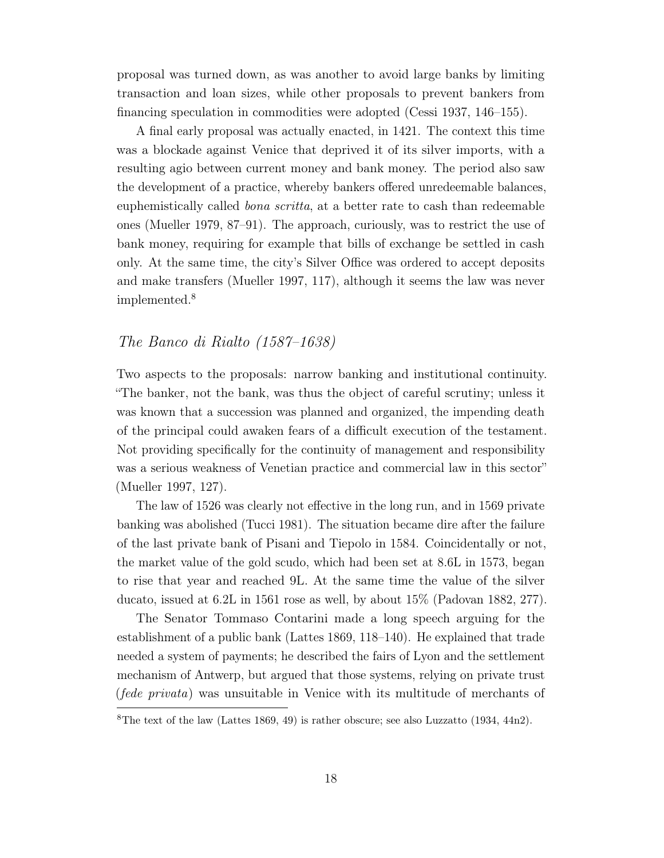proposal was turned down, as was another to avoid large banks by limiting transaction and loan sizes, while other proposals to prevent bankers from financing speculation in commodities were adopted [\(Cessi 1937,](#page-85-2) 146–155).

A final early proposal was actually enacted, in 1421. The context this time was a blockade against Venice that deprived it of its silver imports, with a resulting agio between current money and bank money. The period also saw the development of a practice, whereby bankers offered unredeemable balances, euphemistically called bona scritta, at a better rate to cash than redeemable ones [\(Mueller 1979,](#page-89-3) 87–91). The approach, curiously, was to restrict the use of bank money, requiring for example that bills of exchange be settled in cash only. At the same time, the city's Silver Office was ordered to accept deposits and make transfers [\(Mueller 1997,](#page-89-2) 117), although it seems the law was never implemented.<sup>[8](#page-18-0)</sup>

## The Banco di Rialto (1587–1638)

Two aspects to the proposals: narrow banking and institutional continuity. "The banker, not the bank, was thus the object of careful scrutiny; unless it was known that a succession was planned and organized, the impending death of the principal could awaken fears of a difficult execution of the testament. Not providing specifically for the continuity of management and responsibility was a serious weakness of Venetian practice and commercial law in this sector" [\(Mueller 1997,](#page-89-2) 127).

The law of 1526 was clearly not effective in the long run, and in 1569 private banking was abolished [\(Tucci 1981\)](#page-91-1). The situation became dire after the failure of the last private bank of Pisani and Tiepolo in 1584. Coincidentally or not, the market value of the gold scudo, which had been set at 8.6L in 1573, began to rise that year and reached 9L. At the same time the value of the silver ducato, issued at 6.2L in 1561 rose as well, by about 15% [\(Padovan 1882,](#page-89-4) 277).

The Senator Tommaso Contarini made a long speech arguing for the establishment of a public bank [\(Lattes 1869,](#page-88-4) 118–140). He explained that trade needed a system of payments; he described the fairs of Lyon and the settlement mechanism of Antwerp, but argued that those systems, relying on private trust (fede privata) was unsuitable in Venice with its multitude of merchants of

<span id="page-18-0"></span><sup>&</sup>lt;sup>8</sup>The text of the law [\(Lattes 1869,](#page-88-4) 49) is rather obscure; see also [Luzzatto](#page-88-6) [\(1934,](#page-88-6) 44n2).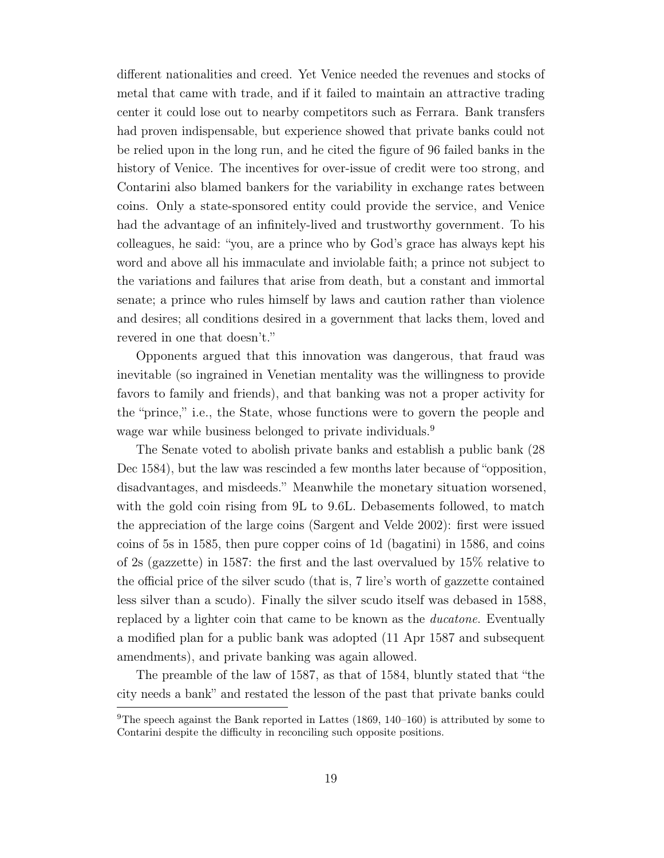different nationalities and creed. Yet Venice needed the revenues and stocks of metal that came with trade, and if it failed to maintain an attractive trading center it could lose out to nearby competitors such as Ferrara. Bank transfers had proven indispensable, but experience showed that private banks could not be relied upon in the long run, and he cited the figure of 96 failed banks in the history of Venice. The incentives for over-issue of credit were too strong, and Contarini also blamed bankers for the variability in exchange rates between coins. Only a state-sponsored entity could provide the service, and Venice had the advantage of an infinitely-lived and trustworthy government. To his colleagues, he said: "you, are a prince who by God's grace has always kept his word and above all his immaculate and inviolable faith; a prince not subject to the variations and failures that arise from death, but a constant and immortal senate; a prince who rules himself by laws and caution rather than violence and desires; all conditions desired in a government that lacks them, loved and revered in one that doesn't."

Opponents argued that this innovation was dangerous, that fraud was inevitable (so ingrained in Venetian mentality was the willingness to provide favors to family and friends), and that banking was not a proper activity for the "prince," i.e., the State, whose functions were to govern the people and wage war while business belonged to private individuals.<sup>[9](#page-19-0)</sup>

The Senate voted to abolish private banks and establish a public bank (28 Dec 1584), but the law was rescinded a few months later because of "opposition, disadvantages, and misdeeds." Meanwhile the monetary situation worsened, with the gold coin rising from 9L to 9.6L. Debasements followed, to match the appreciation of the large coins [\(Sargent and Velde 2002\)](#page-90-1): first were issued coins of 5s in 1585, then pure copper coins of 1d (bagatini) in 1586, and coins of 2s (gazzette) in 1587: the first and the last overvalued by 15% relative to the official price of the silver scudo (that is, 7 lire's worth of gazzette contained less silver than a scudo). Finally the silver scudo itself was debased in 1588, replaced by a lighter coin that came to be known as the *ducatone*. Eventually a modified plan for a public bank was adopted (11 Apr 1587 and subsequent amendments), and private banking was again allowed.

The preamble of the law of 1587, as that of 1584, bluntly stated that "the city needs a bank" and restated the lesson of the past that private banks could

<span id="page-19-0"></span><sup>&</sup>lt;sup>9</sup>The speech against the Bank reported in [Lattes](#page-88-4) [\(1869,](#page-88-4) 140–160) is attributed by some to Contarini despite the difficulty in reconciling such opposite positions.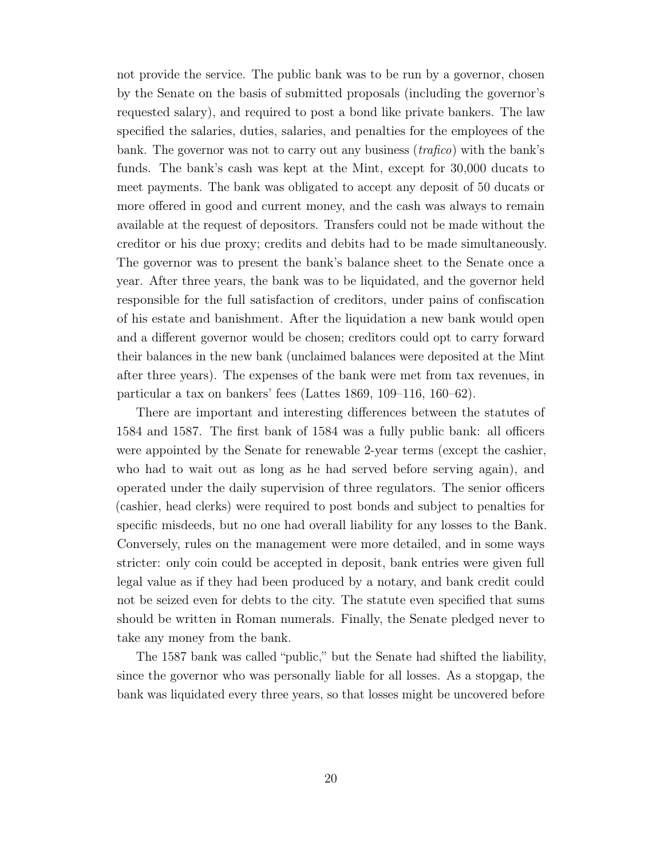not provide the service. The public bank was to be run by a governor, chosen by the Senate on the basis of submitted proposals (including the governor's requested salary), and required to post a bond like private bankers. The law specified the salaries, duties, salaries, and penalties for the employees of the bank. The governor was not to carry out any business  $(trafico)$  with the bank's funds. The bank's cash was kept at the Mint, except for 30,000 ducats to meet payments. The bank was obligated to accept any deposit of 50 ducats or more offered in good and current money, and the cash was always to remain available at the request of depositors. Transfers could not be made without the creditor or his due proxy; credits and debits had to be made simultaneously. The governor was to present the bank's balance sheet to the Senate once a year. After three years, the bank was to be liquidated, and the governor held responsible for the full satisfaction of creditors, under pains of confiscation of his estate and banishment. After the liquidation a new bank would open and a different governor would be chosen; creditors could opt to carry forward their balances in the new bank (unclaimed balances were deposited at the Mint after three years). The expenses of the bank were met from tax revenues, in particular a tax on bankers' fees [\(Lattes 1869,](#page-88-4) 109–116, 160–62).

There are important and interesting differences between the statutes of 1584 and 1587. The first bank of 1584 was a fully public bank: all officers were appointed by the Senate for renewable 2-year terms (except the cashier, who had to wait out as long as he had served before serving again), and operated under the daily supervision of three regulators. The senior officers (cashier, head clerks) were required to post bonds and subject to penalties for specific misdeeds, but no one had overall liability for any losses to the Bank. Conversely, rules on the management were more detailed, and in some ways stricter: only coin could be accepted in deposit, bank entries were given full legal value as if they had been produced by a notary, and bank credit could not be seized even for debts to the city. The statute even specified that sums should be written in Roman numerals. Finally, the Senate pledged never to take any money from the bank.

The 1587 bank was called "public," but the Senate had shifted the liability, since the governor who was personally liable for all losses. As a stopgap, the bank was liquidated every three years, so that losses might be uncovered before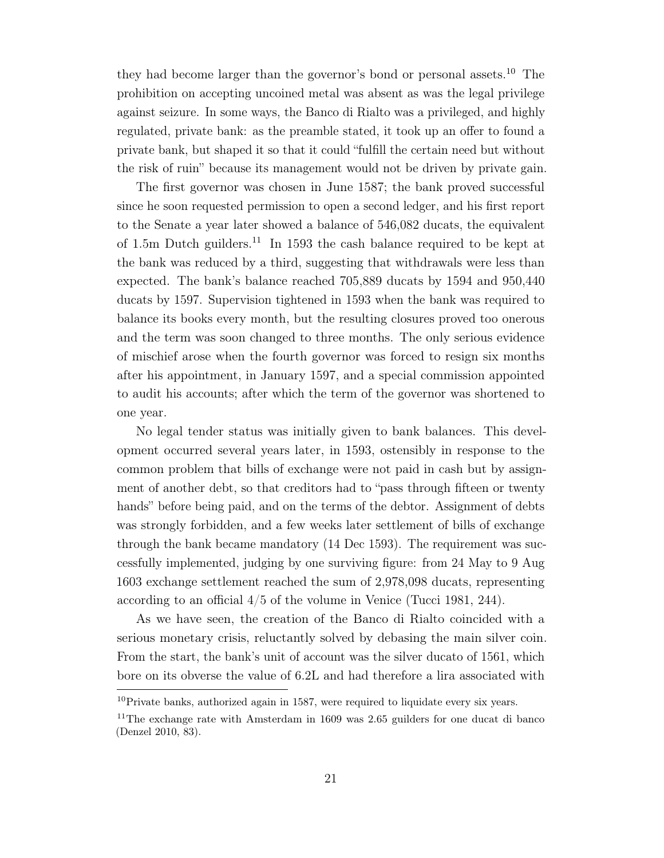they had become larger than the governor's bond or personal assets.<sup>[10](#page-21-0)</sup> The prohibition on accepting uncoined metal was absent as was the legal privilege against seizure. In some ways, the Banco di Rialto was a privileged, and highly regulated, private bank: as the preamble stated, it took up an offer to found a private bank, but shaped it so that it could "fulfill the certain need but without the risk of ruin" because its management would not be driven by private gain.

The first governor was chosen in June 1587; the bank proved successful since he soon requested permission to open a second ledger, and his first report to the Senate a year later showed a balance of 546,082 ducats, the equivalent of 1.5m Dutch guilders.<sup>[11](#page-21-1)</sup> In 1593 the cash balance required to be kept at the bank was reduced by a third, suggesting that withdrawals were less than expected. The bank's balance reached 705,889 ducats by 1594 and 950,440 ducats by 1597. Supervision tightened in 1593 when the bank was required to balance its books every month, but the resulting closures proved too onerous and the term was soon changed to three months. The only serious evidence of mischief arose when the fourth governor was forced to resign six months after his appointment, in January 1597, and a special commission appointed to audit his accounts; after which the term of the governor was shortened to one year.

No legal tender status was initially given to bank balances. This development occurred several years later, in 1593, ostensibly in response to the common problem that bills of exchange were not paid in cash but by assignment of another debt, so that creditors had to "pass through fifteen or twenty hands" before being paid, and on the terms of the debtor. Assignment of debts was strongly forbidden, and a few weeks later settlement of bills of exchange through the bank became mandatory (14 Dec 1593). The requirement was successfully implemented, judging by one surviving figure: from 24 May to 9 Aug 1603 exchange settlement reached the sum of 2,978,098 ducats, representing according to an official 4/5 of the volume in Venice [\(Tucci 1981,](#page-91-1) 244).

As we have seen, the creation of the Banco di Rialto coincided with a serious monetary crisis, reluctantly solved by debasing the main silver coin. From the start, the bank's unit of account was the silver ducato of 1561, which bore on its obverse the value of 6.2L and had therefore a lira associated with

<span id="page-21-0"></span><sup>&</sup>lt;sup>10</sup>Private banks, authorized again in 1587, were required to liquidate every six years.

<span id="page-21-1"></span><sup>&</sup>lt;sup>11</sup>The exchange rate with Amsterdam in  $1609$  was 2.65 guilders for one ducat di banco [\(Denzel 2010,](#page-86-5) 83).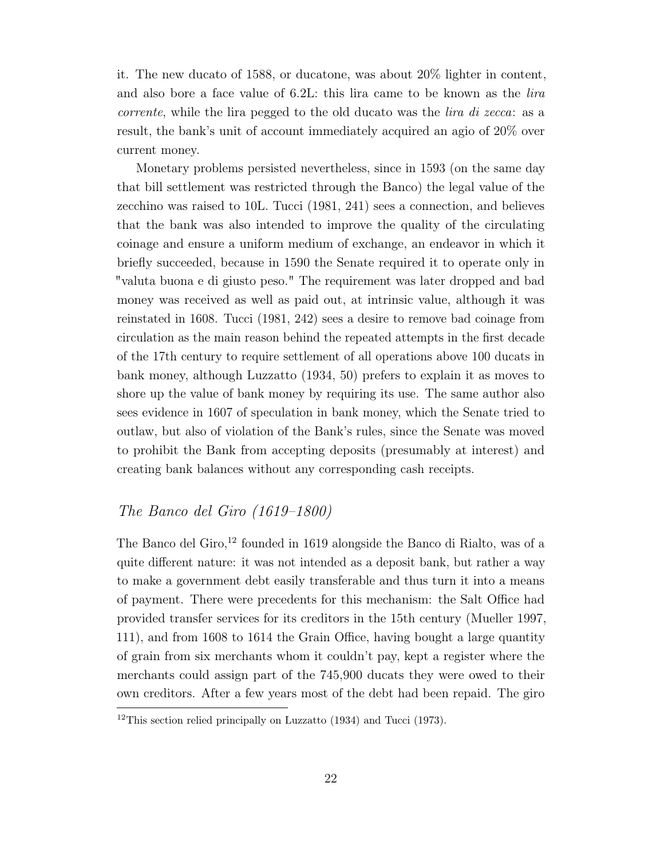it. The new ducato of 1588, or ducatone, was about 20% lighter in content, and also bore a face value of 6.2L: this lira came to be known as the lira corrente, while the lira pegged to the old ducato was the lira di zecca: as a result, the bank's unit of account immediately acquired an agio of 20% over current money.

Monetary problems persisted nevertheless, since in 1593 (on the same day that bill settlement was restricted through the Banco) the legal value of the zecchino was raised to 10L. [Tucci](#page-91-1) [\(1981,](#page-91-1) 241) sees a connection, and believes that the bank was also intended to improve the quality of the circulating coinage and ensure a uniform medium of exchange, an endeavor in which it briefly succeeded, because in 1590 the Senate required it to operate only in "valuta buona e di giusto peso." The requirement was later dropped and bad money was received as well as paid out, at intrinsic value, although it was reinstated in 1608. [Tucci](#page-91-1) [\(1981,](#page-91-1) 242) sees a desire to remove bad coinage from circulation as the main reason behind the repeated attempts in the first decade of the 17th century to require settlement of all operations above 100 ducats in bank money, although [Luzzatto](#page-88-6) [\(1934,](#page-88-6) 50) prefers to explain it as moves to shore up the value of bank money by requiring its use. The same author also sees evidence in 1607 of speculation in bank money, which the Senate tried to outlaw, but also of violation of the Bank's rules, since the Senate was moved to prohibit the Bank from accepting deposits (presumably at interest) and creating bank balances without any corresponding cash receipts.

# The Banco del Giro (1619–1800)

The Banco del Giro,  $^{12}$  $^{12}$  $^{12}$  founded in 1619 alongside the Banco di Rialto, was of a quite different nature: it was not intended as a deposit bank, but rather a way to make a government debt easily transferable and thus turn it into a means of payment. There were precedents for this mechanism: the Salt Office had provided transfer services for its creditors in the 15th century [\(Mueller 1997,](#page-89-2) 111), and from 1608 to 1614 the Grain Office, having bought a large quantity of grain from six merchants whom it couldn't pay, kept a register where the merchants could assign part of the 745,900 ducats they were owed to their own creditors. After a few years most of the debt had been repaid. The giro

<span id="page-22-0"></span> $12$ This section relied principally on [Luzzatto](#page-88-6) [\(1934\)](#page-88-6) and [Tucci](#page-91-2) [\(1973\)](#page-91-2).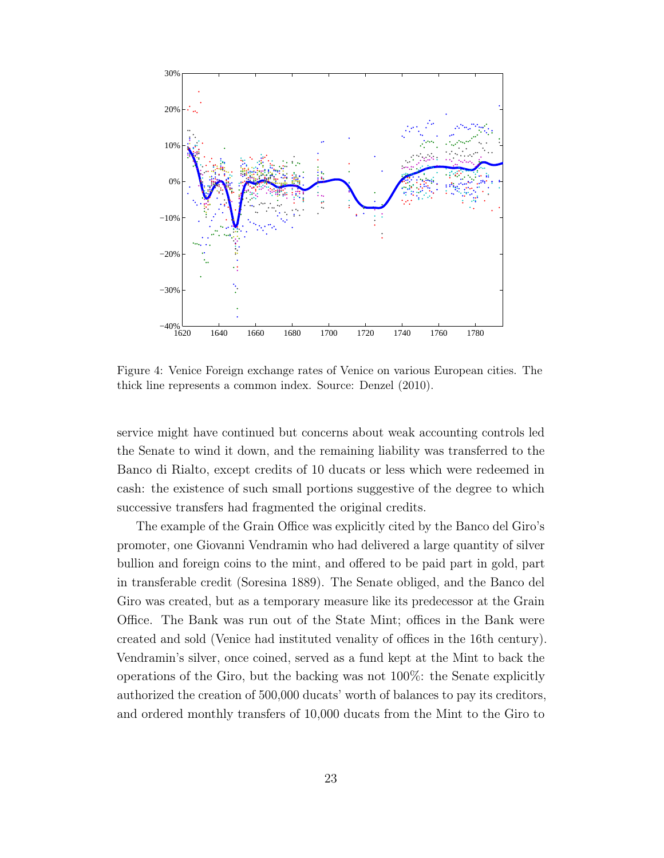

<span id="page-23-0"></span>Figure 4: Venice Foreign exchange rates of Venice on various European cities. The thick line represents a common index. Source: [Denzel](#page-86-5) [\(2010\)](#page-86-5).

service might have continued but concerns about weak accounting controls led the Senate to wind it down, and the remaining liability was transferred to the Banco di Rialto, except credits of 10 ducats or less which were redeemed in cash: the existence of such small portions suggestive of the degree to which successive transfers had fragmented the original credits.

The example of the Grain Office was explicitly cited by the Banco del Giro's promoter, one Giovanni Vendramin who had delivered a large quantity of silver bullion and foreign coins to the mint, and offered to be paid part in gold, part in transferable credit [\(Soresina 1889\)](#page-91-3). The Senate obliged, and the Banco del Giro was created, but as a temporary measure like its predecessor at the Grain Office. The Bank was run out of the State Mint; offices in the Bank were created and sold (Venice had instituted venality of offices in the 16th century). Vendramin's silver, once coined, served as a fund kept at the Mint to back the operations of the Giro, but the backing was not 100%: the Senate explicitly authorized the creation of 500,000 ducats' worth of balances to pay its creditors, and ordered monthly transfers of 10,000 ducats from the Mint to the Giro to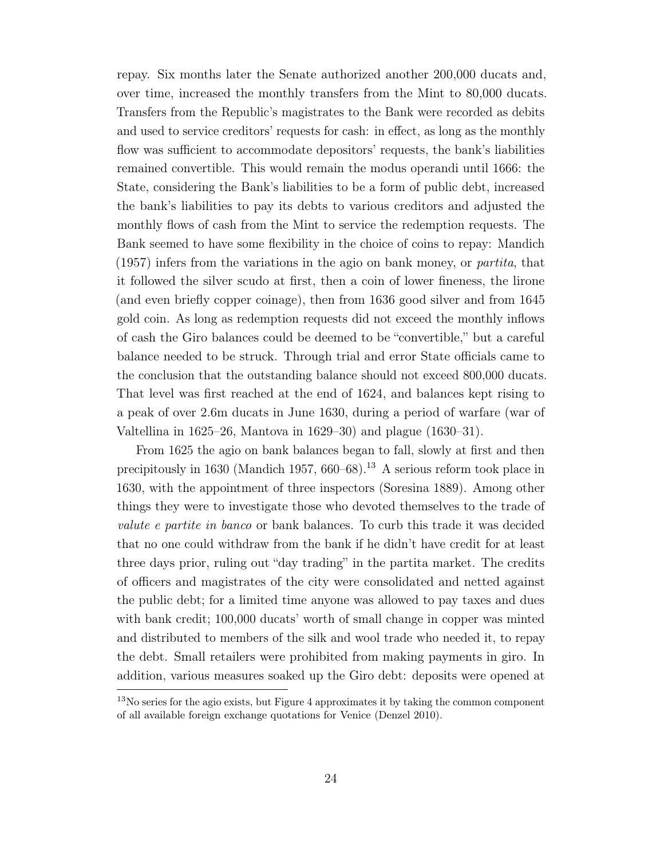repay. Six months later the Senate authorized another 200,000 ducats and, over time, increased the monthly transfers from the Mint to 80,000 ducats. Transfers from the Republic's magistrates to the Bank were recorded as debits and used to service creditors' requests for cash: in effect, as long as the monthly flow was sufficient to accommodate depositors' requests, the bank's liabilities remained convertible. This would remain the modus operandi until 1666: the State, considering the Bank's liabilities to be a form of public debt, increased the bank's liabilities to pay its debts to various creditors and adjusted the monthly flows of cash from the Mint to service the redemption requests. The Bank seemed to have some flexibility in the choice of coins to repay: [Mandich](#page-88-7) [\(1957\)](#page-88-7) infers from the variations in the agio on bank money, or partita, that it followed the silver scudo at first, then a coin of lower fineness, the lirone (and even briefly copper coinage), then from 1636 good silver and from 1645 gold coin. As long as redemption requests did not exceed the monthly inflows of cash the Giro balances could be deemed to be "convertible," but a careful balance needed to be struck. Through trial and error State officials came to the conclusion that the outstanding balance should not exceed 800,000 ducats. That level was first reached at the end of 1624, and balances kept rising to a peak of over 2.6m ducats in June 1630, during a period of warfare (war of Valtellina in 1625–26, Mantova in 1629–30) and plague (1630–31).

From 1625 the agio on bank balances began to fall, slowly at first and then precipitously in 1630 [\(Mandich 1957,](#page-88-7)  $660-68$ ).<sup>[13](#page-24-0)</sup> A serious reform took place in 1630, with the appointment of three inspectors [\(Soresina 1889\)](#page-91-3). Among other things they were to investigate those who devoted themselves to the trade of valute e partite in banco or bank balances. To curb this trade it was decided that no one could withdraw from the bank if he didn't have credit for at least three days prior, ruling out "day trading" in the partita market. The credits of officers and magistrates of the city were consolidated and netted against the public debt; for a limited time anyone was allowed to pay taxes and dues with bank credit; 100,000 ducats' worth of small change in copper was minted and distributed to members of the silk and wool trade who needed it, to repay the debt. Small retailers were prohibited from making payments in giro. In addition, various measures soaked up the Giro debt: deposits were opened at

<span id="page-24-0"></span><sup>&</sup>lt;sup>13</sup>No series for the agio exists, but Figure [4](#page-23-0) approximates it by taking the common component of all available foreign exchange quotations for Venice [\(Denzel 2010\)](#page-86-5).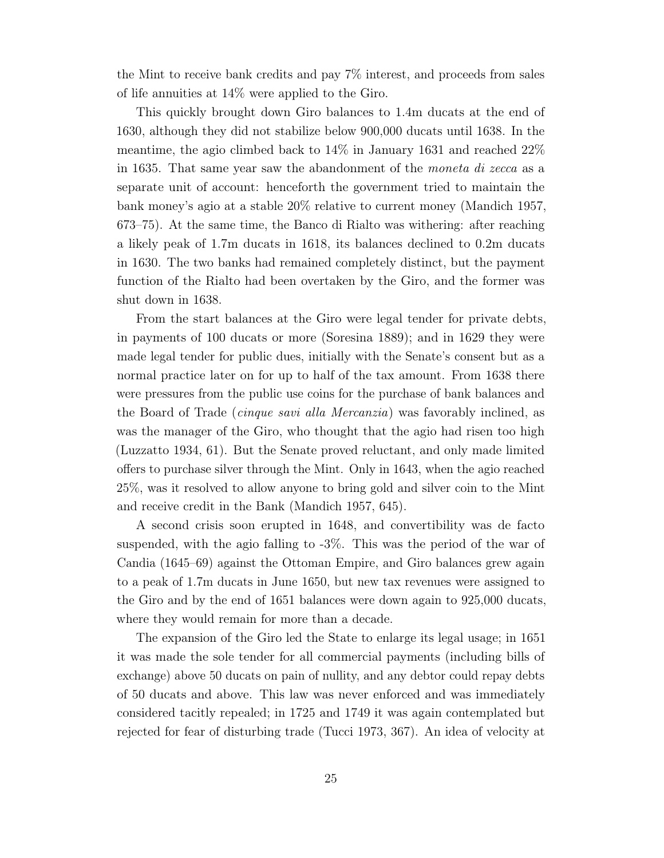the Mint to receive bank credits and pay 7% interest, and proceeds from sales of life annuities at 14% were applied to the Giro.

This quickly brought down Giro balances to 1.4m ducats at the end of 1630, although they did not stabilize below 900,000 ducats until 1638. In the meantime, the agio climbed back to 14% in January 1631 and reached 22% in 1635. That same year saw the abandonment of the moneta di zecca as a separate unit of account: henceforth the government tried to maintain the bank money's agio at a stable 20% relative to current money [\(Mandich 1957,](#page-88-7) 673–75). At the same time, the Banco di Rialto was withering: after reaching a likely peak of 1.7m ducats in 1618, its balances declined to 0.2m ducats in 1630. The two banks had remained completely distinct, but the payment function of the Rialto had been overtaken by the Giro, and the former was shut down in 1638.

From the start balances at the Giro were legal tender for private debts, in payments of 100 ducats or more [\(Soresina 1889\)](#page-91-3); and in 1629 they were made legal tender for public dues, initially with the Senate's consent but as a normal practice later on for up to half of the tax amount. From 1638 there were pressures from the public use coins for the purchase of bank balances and the Board of Trade (cinque savi alla Mercanzia) was favorably inclined, as was the manager of the Giro, who thought that the agio had risen too high [\(Luzzatto 1934,](#page-88-6) 61). But the Senate proved reluctant, and only made limited offers to purchase silver through the Mint. Only in 1643, when the agio reached 25%, was it resolved to allow anyone to bring gold and silver coin to the Mint and receive credit in the Bank [\(Mandich 1957,](#page-88-7) 645).

A second crisis soon erupted in 1648, and convertibility was de facto suspended, with the agio falling to -3%. This was the period of the war of Candia (1645–69) against the Ottoman Empire, and Giro balances grew again to a peak of 1.7m ducats in June 1650, but new tax revenues were assigned to the Giro and by the end of 1651 balances were down again to 925,000 ducats, where they would remain for more than a decade.

The expansion of the Giro led the State to enlarge its legal usage; in 1651 it was made the sole tender for all commercial payments (including bills of exchange) above 50 ducats on pain of nullity, and any debtor could repay debts of 50 ducats and above. This law was never enforced and was immediately considered tacitly repealed; in 1725 and 1749 it was again contemplated but rejected for fear of disturbing trade [\(Tucci 1973,](#page-91-2) 367). An idea of velocity at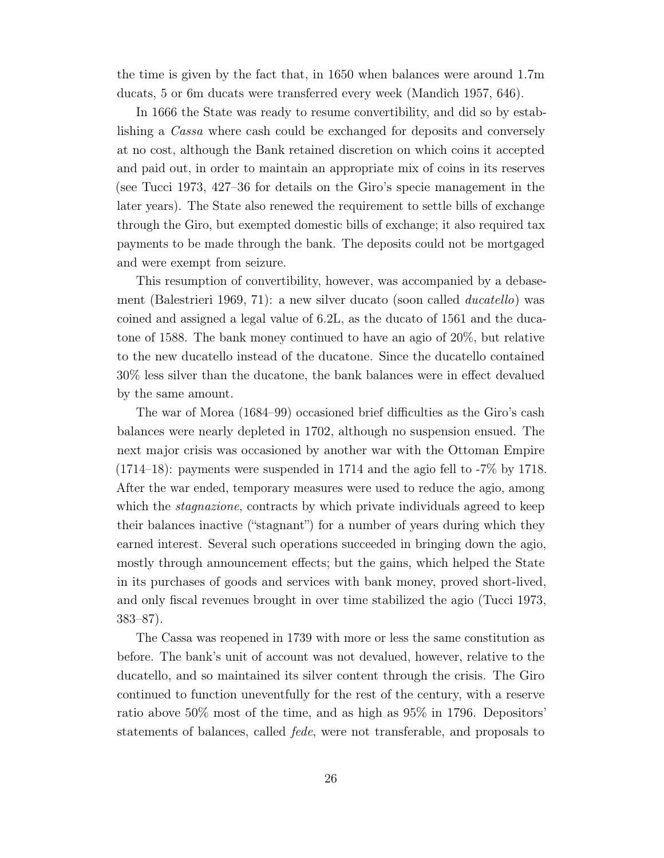the time is given by the fact that, in 1650 when balances were around 1.7m ducats, 5 or 6m ducats were transferred every week [\(Mandich 1957,](#page-88-7) 646).

In 1666 the State was ready to resume convertibility, and did so by establishing a Cassa where cash could be exchanged for deposits and conversely at no cost, although the Bank retained discretion on which coins it accepted and paid out, in order to maintain an appropriate mix of coins in its reserves (see [Tucci 1973,](#page-91-2) 427–36 for details on the Giro's specie management in the later years). The State also renewed the requirement to settle bills of exchange through the Giro, but exempted domestic bills of exchange; it also required tax payments to be made through the bank. The deposits could not be mortgaged and were exempt from seizure.

This resumption of convertibility, however, was accompanied by a debasement [\(Balestrieri 1969,](#page-85-3) 71): a new silver ducato (soon called ducatello) was coined and assigned a legal value of 6.2L, as the ducato of 1561 and the ducatone of 1588. The bank money continued to have an agio of 20%, but relative to the new ducatello instead of the ducatone. Since the ducatello contained 30% less silver than the ducatone, the bank balances were in effect devalued by the same amount.

The war of Morea (1684–99) occasioned brief difficulties as the Giro's cash balances were nearly depleted in 1702, although no suspension ensued. The next major crisis was occasioned by another war with the Ottoman Empire (1714–18): payments were suspended in 1714 and the agio fell to -7% by 1718. After the war ended, temporary measures were used to reduce the agio, among which the *stagnazione*, contracts by which private individuals agreed to keep their balances inactive ("stagnant") for a number of years during which they earned interest. Several such operations succeeded in bringing down the agio, mostly through announcement effects; but the gains, which helped the State in its purchases of goods and services with bank money, proved short-lived, and only fiscal revenues brought in over time stabilized the agio [\(Tucci 1973,](#page-91-2) 383–87).

The Cassa was reopened in 1739 with more or less the same constitution as before. The bank's unit of account was not devalued, however, relative to the ducatello, and so maintained its silver content through the crisis. The Giro continued to function uneventfully for the rest of the century, with a reserve ratio above 50% most of the time, and as high as 95% in 1796. Depositors' statements of balances, called fede, were not transferable, and proposals to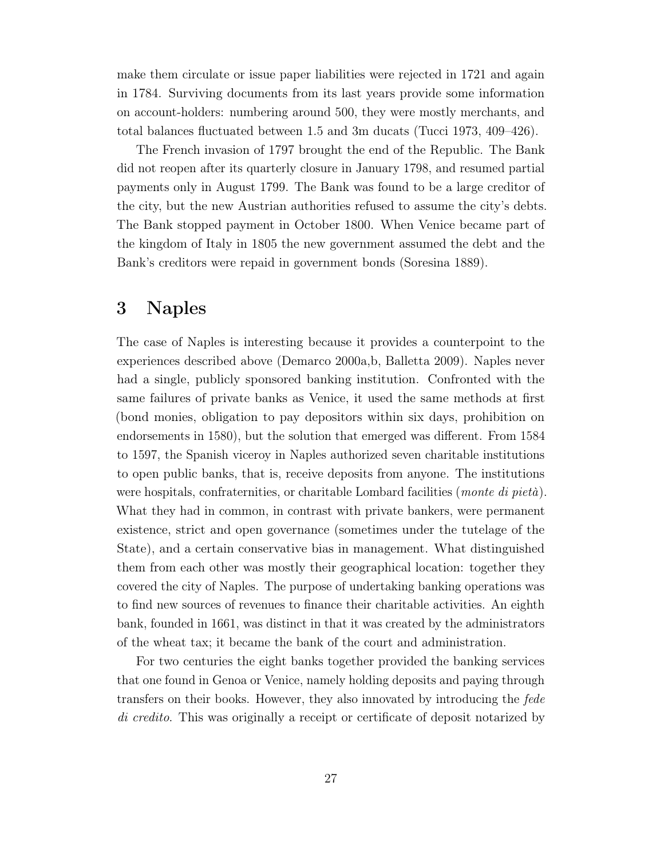make them circulate or issue paper liabilities were rejected in 1721 and again in 1784. Surviving documents from its last years provide some information on account-holders: numbering around 500, they were mostly merchants, and total balances fluctuated between 1.5 and 3m ducats [\(Tucci 1973,](#page-91-2) 409–426).

The French invasion of 1797 brought the end of the Republic. The Bank did not reopen after its quarterly closure in January 1798, and resumed partial payments only in August 1799. The Bank was found to be a large creditor of the city, but the new Austrian authorities refused to assume the city's debts. The Bank stopped payment in October 1800. When Venice became part of the kingdom of Italy in 1805 the new government assumed the debt and the Bank's creditors were repaid in government bonds [\(Soresina 1889\)](#page-91-3).

# <span id="page-27-0"></span>3 Naples

The case of Naples is interesting because it provides a counterpoint to the experiences described above [\(Demarco 2000a,](#page-86-6)[b,](#page-86-7) [Balletta 2009\)](#page-85-4). Naples never had a single, publicly sponsored banking institution. Confronted with the same failures of private banks as Venice, it used the same methods at first (bond monies, obligation to pay depositors within six days, prohibition on endorsements in 1580), but the solution that emerged was different. From 1584 to 1597, the Spanish viceroy in Naples authorized seven charitable institutions to open public banks, that is, receive deposits from anyone. The institutions were hospitals, confraternities, or charitable Lombard facilities (*monte di pietà*). What they had in common, in contrast with private bankers, were permanent existence, strict and open governance (sometimes under the tutelage of the State), and a certain conservative bias in management. What distinguished them from each other was mostly their geographical location: together they covered the city of Naples. The purpose of undertaking banking operations was to find new sources of revenues to finance their charitable activities. An eighth bank, founded in 1661, was distinct in that it was created by the administrators of the wheat tax; it became the bank of the court and administration.

For two centuries the eight banks together provided the banking services that one found in Genoa or Venice, namely holding deposits and paying through transfers on their books. However, they also innovated by introducing the fede di credito. This was originally a receipt or certificate of deposit notarized by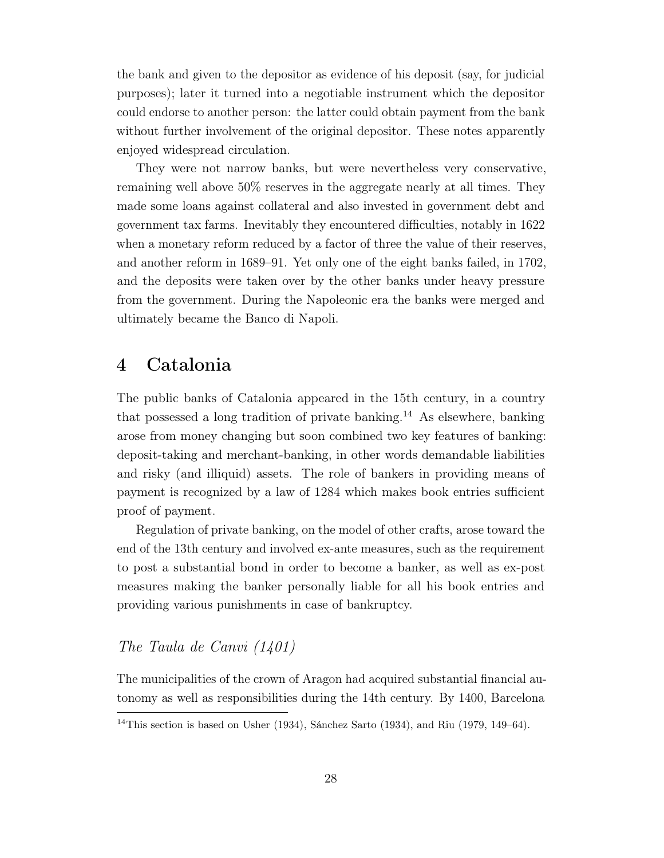the bank and given to the depositor as evidence of his deposit (say, for judicial purposes); later it turned into a negotiable instrument which the depositor could endorse to another person: the latter could obtain payment from the bank without further involvement of the original depositor. These notes apparently enjoyed widespread circulation.

They were not narrow banks, but were nevertheless very conservative, remaining well above 50% reserves in the aggregate nearly at all times. They made some loans against collateral and also invested in government debt and government tax farms. Inevitably they encountered difficulties, notably in 1622 when a monetary reform reduced by a factor of three the value of their reserves, and another reform in 1689–91. Yet only one of the eight banks failed, in 1702, and the deposits were taken over by the other banks under heavy pressure from the government. During the Napoleonic era the banks were merged and ultimately became the Banco di Napoli.

# 4 Catalonia

The public banks of Catalonia appeared in the 15th century, in a country that possessed a long tradition of private banking.<sup>[14](#page-28-0)</sup> As elsewhere, banking arose from money changing but soon combined two key features of banking: deposit-taking and merchant-banking, in other words demandable liabilities and risky (and illiquid) assets. The role of bankers in providing means of payment is recognized by a law of 1284 which makes book entries sufficient proof of payment.

Regulation of private banking, on the model of other crafts, arose toward the end of the 13th century and involved ex-ante measures, such as the requirement to post a substantial bond in order to become a banker, as well as ex-post measures making the banker personally liable for all his book entries and providing various punishments in case of bankruptcy.

### The Taula de Canvi (1401)

The municipalities of the crown of Aragon had acquired substantial financial autonomy as well as responsibilities during the 14th century. By 1400, Barcelona

<span id="page-28-0"></span><sup>&</sup>lt;sup>14</sup>This section is based on [Usher](#page-91-4) [\(1934\)](#page-90-2), [Sánchez Sarto](#page-90-2) (1934), and [Riu](#page-90-3) [\(1979,](#page-90-3) 149–64).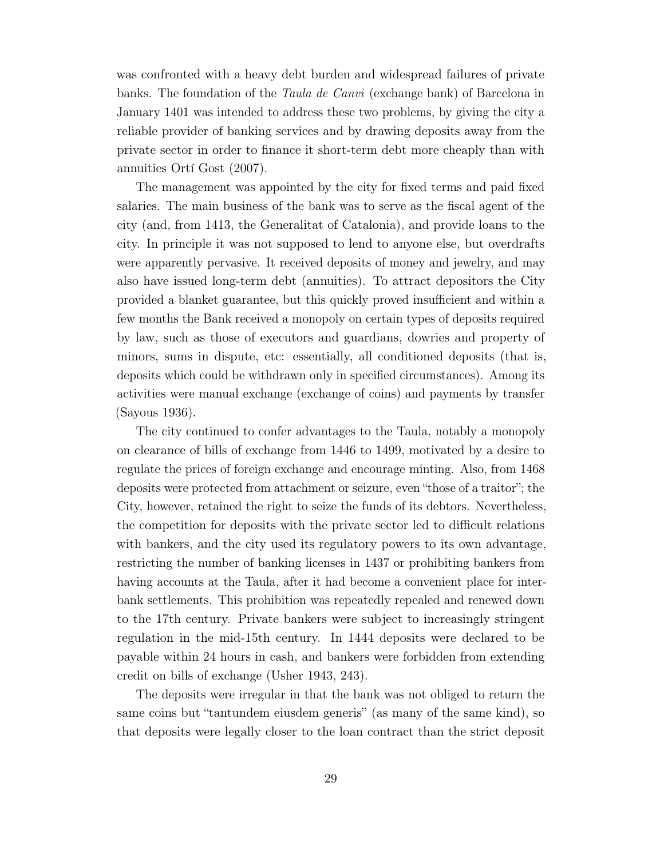was confronted with a heavy debt burden and widespread failures of private banks. The foundation of the Taula de Canvi (exchange bank) of Barcelona in January 1401 was intended to address these two problems, by giving the city a reliable provider of banking services and by drawing deposits away from the private sector in order to finance it short-term debt more cheaply than with annuities [Ortí Gost](#page-89-5) [\(2007\)](#page-89-5).

The management was appointed by the city for fixed terms and paid fixed salaries. The main business of the bank was to serve as the fiscal agent of the city (and, from 1413, the Generalitat of Catalonia), and provide loans to the city. In principle it was not supposed to lend to anyone else, but overdrafts were apparently pervasive. It received deposits of money and jewelry, and may also have issued long-term debt (annuities). To attract depositors the City provided a blanket guarantee, but this quickly proved insufficient and within a few months the Bank received a monopoly on certain types of deposits required by law, such as those of executors and guardians, dowries and property of minors, sums in dispute, etc: essentially, all conditioned deposits (that is, deposits which could be withdrawn only in specified circumstances). Among its activities were manual exchange (exchange of coins) and payments by transfer [\(Sayous 1936\)](#page-90-4).

The city continued to confer advantages to the Taula, notably a monopoly on clearance of bills of exchange from 1446 to 1499, motivated by a desire to regulate the prices of foreign exchange and encourage minting. Also, from 1468 deposits were protected from attachment or seizure, even "those of a traitor"; the City, however, retained the right to seize the funds of its debtors. Nevertheless, the competition for deposits with the private sector led to difficult relations with bankers, and the city used its regulatory powers to its own advantage, restricting the number of banking licenses in 1437 or prohibiting bankers from having accounts at the Taula, after it had become a convenient place for interbank settlements. This prohibition was repeatedly repealed and renewed down to the 17th century. Private bankers were subject to increasingly stringent regulation in the mid-15th century. In 1444 deposits were declared to be payable within 24 hours in cash, and bankers were forbidden from extending credit on bills of exchange [\(Usher 1943,](#page-91-5) 243).

The deposits were irregular in that the bank was not obliged to return the same coins but "tantundem eiusdem generis" (as many of the same kind), so that deposits were legally closer to the loan contract than the strict deposit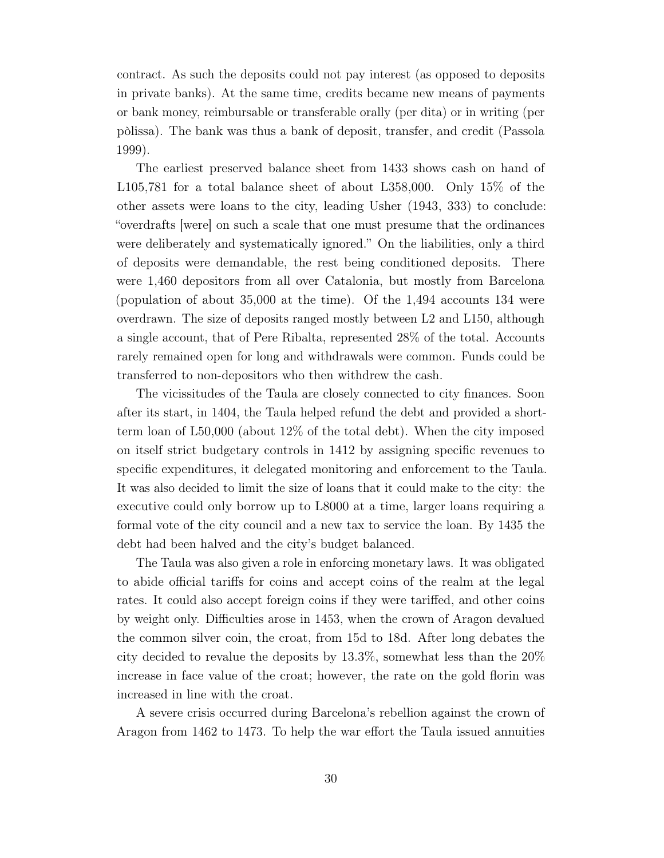contract. As such the deposits could not pay interest (as opposed to deposits in private banks). At the same time, credits became new means of payments or bank money, reimbursable or transferable orally (per dita) or in writing (per pòlissa). The bank was thus a bank of deposit, transfer, and credit [\(Passola](#page-89-6) [1999\)](#page-89-6).

The earliest preserved balance sheet from 1433 shows cash on hand of L105,781 for a total balance sheet of about L358,000. Only 15% of the other assets were loans to the city, leading [Usher](#page-91-5) [\(1943,](#page-91-5) 333) to conclude: "overdrafts [were] on such a scale that one must presume that the ordinances were deliberately and systematically ignored." On the liabilities, only a third of deposits were demandable, the rest being conditioned deposits. There were 1,460 depositors from all over Catalonia, but mostly from Barcelona (population of about 35,000 at the time). Of the 1,494 accounts 134 were overdrawn. The size of deposits ranged mostly between L2 and L150, although a single account, that of Pere Ribalta, represented 28% of the total. Accounts rarely remained open for long and withdrawals were common. Funds could be transferred to non-depositors who then withdrew the cash.

The vicissitudes of the Taula are closely connected to city finances. Soon after its start, in 1404, the Taula helped refund the debt and provided a shortterm loan of L50,000 (about 12% of the total debt). When the city imposed on itself strict budgetary controls in 1412 by assigning specific revenues to specific expenditures, it delegated monitoring and enforcement to the Taula. It was also decided to limit the size of loans that it could make to the city: the executive could only borrow up to L8000 at a time, larger loans requiring a formal vote of the city council and a new tax to service the loan. By 1435 the debt had been halved and the city's budget balanced.

The Taula was also given a role in enforcing monetary laws. It was obligated to abide official tariffs for coins and accept coins of the realm at the legal rates. It could also accept foreign coins if they were tariffed, and other coins by weight only. Difficulties arose in 1453, when the crown of Aragon devalued the common silver coin, the croat, from 15d to 18d. After long debates the city decided to revalue the deposits by 13.3%, somewhat less than the 20% increase in face value of the croat; however, the rate on the gold florin was increased in line with the croat.

A severe crisis occurred during Barcelona's rebellion against the crown of Aragon from 1462 to 1473. To help the war effort the Taula issued annuities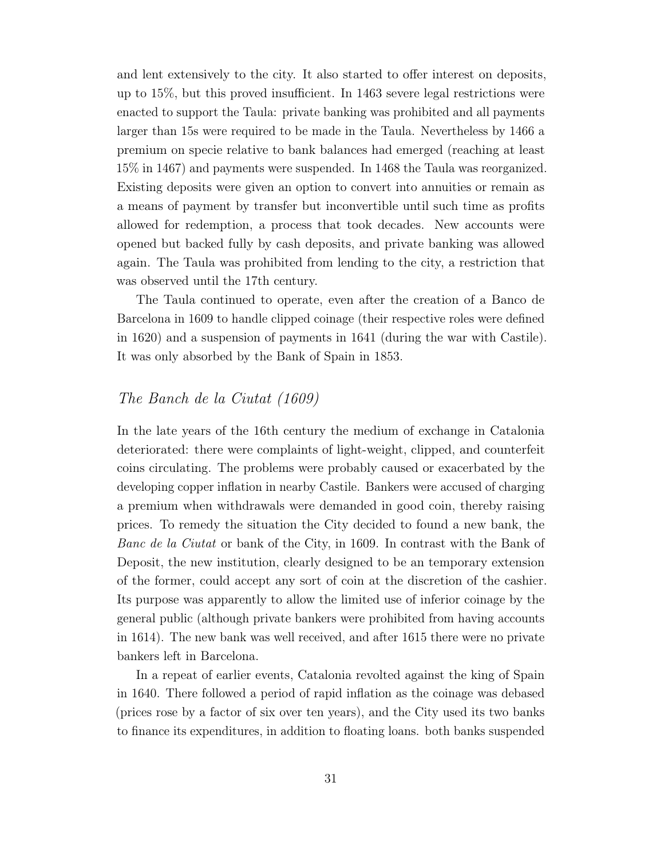and lent extensively to the city. It also started to offer interest on deposits, up to 15%, but this proved insufficient. In 1463 severe legal restrictions were enacted to support the Taula: private banking was prohibited and all payments larger than 15s were required to be made in the Taula. Nevertheless by 1466 a premium on specie relative to bank balances had emerged (reaching at least 15% in 1467) and payments were suspended. In 1468 the Taula was reorganized. Existing deposits were given an option to convert into annuities or remain as a means of payment by transfer but inconvertible until such time as profits allowed for redemption, a process that took decades. New accounts were opened but backed fully by cash deposits, and private banking was allowed again. The Taula was prohibited from lending to the city, a restriction that was observed until the 17th century.

The Taula continued to operate, even after the creation of a Banco de Barcelona in 1609 to handle clipped coinage (their respective roles were defined in 1620) and a suspension of payments in 1641 (during the war with Castile). It was only absorbed by the Bank of Spain in 1853.

### The Banch de la Ciutat (1609)

In the late years of the 16th century the medium of exchange in Catalonia deteriorated: there were complaints of light-weight, clipped, and counterfeit coins circulating. The problems were probably caused or exacerbated by the developing copper inflation in nearby Castile. Bankers were accused of charging a premium when withdrawals were demanded in good coin, thereby raising prices. To remedy the situation the City decided to found a new bank, the Banc de la Ciutat or bank of the City, in 1609. In contrast with the Bank of Deposit, the new institution, clearly designed to be an temporary extension of the former, could accept any sort of coin at the discretion of the cashier. Its purpose was apparently to allow the limited use of inferior coinage by the general public (although private bankers were prohibited from having accounts in 1614). The new bank was well received, and after 1615 there were no private bankers left in Barcelona.

In a repeat of earlier events, Catalonia revolted against the king of Spain in 1640. There followed a period of rapid inflation as the coinage was debased (prices rose by a factor of six over ten years), and the City used its two banks to finance its expenditures, in addition to floating loans. both banks suspended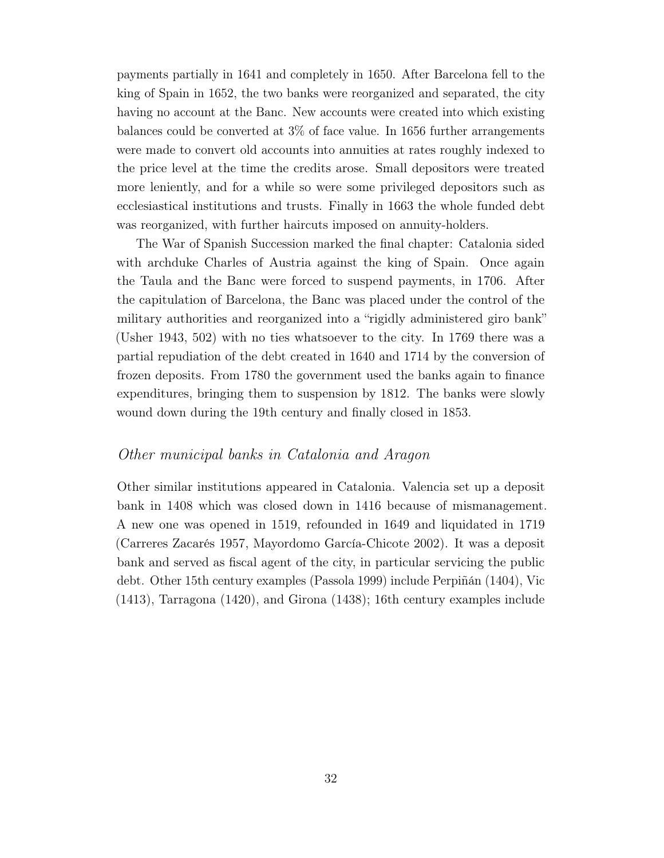payments partially in 1641 and completely in 1650. After Barcelona fell to the king of Spain in 1652, the two banks were reorganized and separated, the city having no account at the Banc. New accounts were created into which existing balances could be converted at 3% of face value. In 1656 further arrangements were made to convert old accounts into annuities at rates roughly indexed to the price level at the time the credits arose. Small depositors were treated more leniently, and for a while so were some privileged depositors such as ecclesiastical institutions and trusts. Finally in 1663 the whole funded debt was reorganized, with further haircuts imposed on annuity-holders.

The War of Spanish Succession marked the final chapter: Catalonia sided with archduke Charles of Austria against the king of Spain. Once again the Taula and the Banc were forced to suspend payments, in 1706. After the capitulation of Barcelona, the Banc was placed under the control of the military authorities and reorganized into a "rigidly administered giro bank" [\(Usher 1943,](#page-91-5) 502) with no ties whatsoever to the city. In 1769 there was a partial repudiation of the debt created in 1640 and 1714 by the conversion of frozen deposits. From 1780 the government used the banks again to finance expenditures, bringing them to suspension by 1812. The banks were slowly wound down during the 19th century and finally closed in 1853.

#### Other municipal banks in Catalonia and Aragon

Other similar institutions appeared in Catalonia. Valencia set up a deposit bank in 1408 which was closed down in 1416 because of mismanagement. A new one was opened in 1519, refounded in 1649 and liquidated in 1719 [\(Carreres Zacarés 1957,](#page-85-5) [Mayordomo García-Chicote 2002\)](#page-88-8). It was a deposit bank and served as fiscal agent of the city, in particular servicing the public debt. Other 15th century examples [\(Passola 1999\)](#page-89-6) include Perpiñán (1404), Vic (1413), Tarragona (1420), and Girona (1438); 16th century examples include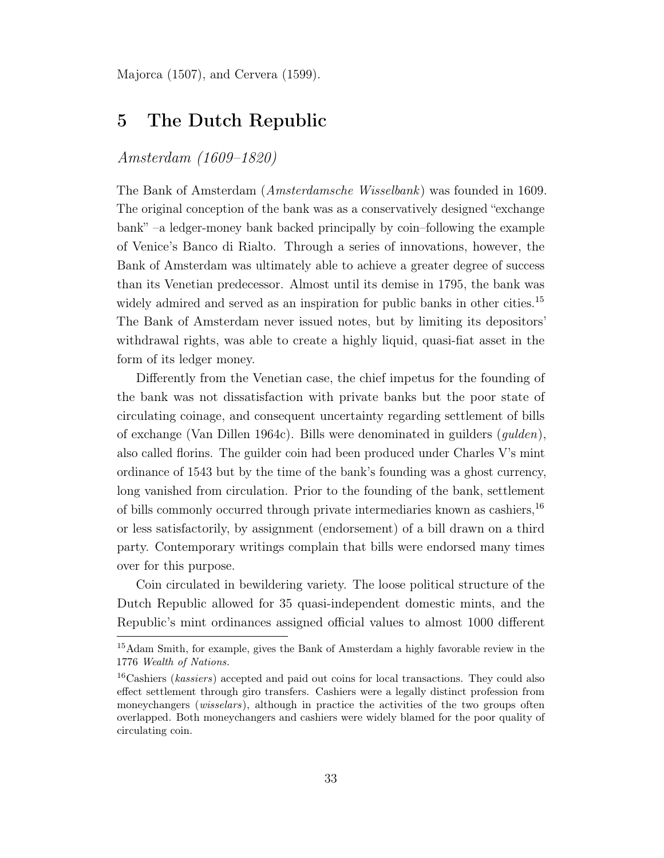Majorca (1507), and Cervera (1599).

# 5 The Dutch Republic

### Amsterdam (1609–1820)

The Bank of Amsterdam (Amsterdamsche Wisselbank ) was founded in 1609. The original conception of the bank was as a conservatively designed "exchange bank" –a ledger-money bank backed principally by coin–following the example of Venice's Banco di Rialto. Through a series of innovations, however, the Bank of Amsterdam was ultimately able to achieve a greater degree of success than its Venetian predecessor. Almost until its demise in 1795, the bank was widely admired and served as an inspiration for public banks in other cities.<sup>[15](#page-33-0)</sup> The Bank of Amsterdam never issued notes, but by limiting its depositors' withdrawal rights, was able to create a highly liquid, quasi-fiat asset in the form of its ledger money.

Differently from the Venetian case, the chief impetus for the founding of the bank was not dissatisfaction with private banks but the poor state of circulating coinage, and consequent uncertainty regarding settlement of bills of exchange [\(Van Dillen 1964c\)](#page-92-1). Bills were denominated in guilders  $(gulden)$ , also called florins. The guilder coin had been produced under Charles V's mint ordinance of 1543 but by the time of the bank's founding was a ghost currency, long vanished from circulation. Prior to the founding of the bank, settlement of bills commonly occurred through private intermediaries known as cashiers,  $^{16}$  $^{16}$  $^{16}$ or less satisfactorily, by assignment (endorsement) of a bill drawn on a third party. Contemporary writings complain that bills were endorsed many times over for this purpose.

Coin circulated in bewildering variety. The loose political structure of the Dutch Republic allowed for 35 quasi-independent domestic mints, and the Republic's mint ordinances assigned official values to almost 1000 different

<span id="page-33-0"></span><sup>15</sup>Adam Smith, for example, gives the Bank of Amsterdam a highly favorable review in the 1776 Wealth of Nations.

<span id="page-33-1"></span> $16$ Cashiers (*kassiers*) accepted and paid out coins for local transactions. They could also effect settlement through giro transfers. Cashiers were a legally distinct profession from moneychangers (*wisselars*), although in practice the activities of the two groups often overlapped. Both moneychangers and cashiers were widely blamed for the poor quality of circulating coin.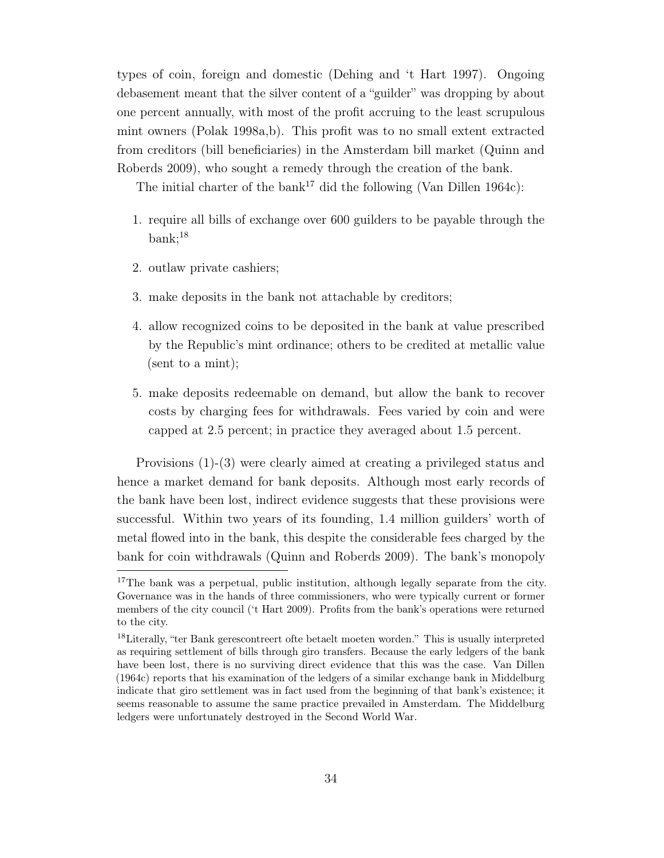types of coin, foreign and domestic [\(Dehing and 't Hart 1997\)](#page-86-8). Ongoing debasement meant that the silver content of a "guilder" was dropping by about one percent annually, with most of the profit accruing to the least scrupulous mint owners [\(Polak 1998a,](#page-89-7)[b\)](#page-89-8). This profit was to no small extent extracted from creditors (bill beneficiaries) in the Amsterdam bill market [\(Quinn and](#page-89-9) [Roberds 2009\)](#page-89-9), who sought a remedy through the creation of the bank.

The initial charter of the bank<sup>[17](#page-34-0)</sup> did the following [\(Van Dillen 1964c\)](#page-92-1):

- 1. require all bills of exchange over 600 guilders to be payable through the  $bank;$ <sup>[18](#page-34-1)</sup>
- 2. outlaw private cashiers;
- 3. make deposits in the bank not attachable by creditors;
- 4. allow recognized coins to be deposited in the bank at value prescribed by the Republic's mint ordinance; others to be credited at metallic value (sent to a mint);
- 5. make deposits redeemable on demand, but allow the bank to recover costs by charging fees for withdrawals. Fees varied by coin and were capped at 2.5 percent; in practice they averaged about 1.5 percent.

Provisions (1)-(3) were clearly aimed at creating a privileged status and hence a market demand for bank deposits. Although most early records of the bank have been lost, indirect evidence suggests that these provisions were successful. Within two years of its founding, 1.4 million guilders' worth of metal flowed into in the bank, this despite the considerable fees charged by the bank for coin withdrawals [\(Quinn and Roberds 2009\)](#page-89-9). The bank's monopoly

<span id="page-34-0"></span><sup>&</sup>lt;sup>17</sup>The bank was a perpetual, public institution, although legally separate from the city. Governance was in the hands of three commissioners, who were typically current or former members of the city council [\('t Hart 2009\)](#page-87-4). Profits from the bank's operations were returned to the city.

<span id="page-34-1"></span><sup>&</sup>lt;sup>18</sup>Literally, "ter Bank gerescontreert ofte betaelt moeten worden." This is usually interpreted as requiring settlement of bills through giro transfers. Because the early ledgers of the bank have been lost, there is no surviving direct evidence that this was the case. [Van Dillen](#page-92-1) [\(1964c\)](#page-92-1) reports that his examination of the ledgers of a similar exchange bank in Middelburg indicate that giro settlement was in fact used from the beginning of that bank's existence; it seems reasonable to assume the same practice prevailed in Amsterdam. The Middelburg ledgers were unfortunately destroyed in the Second World War.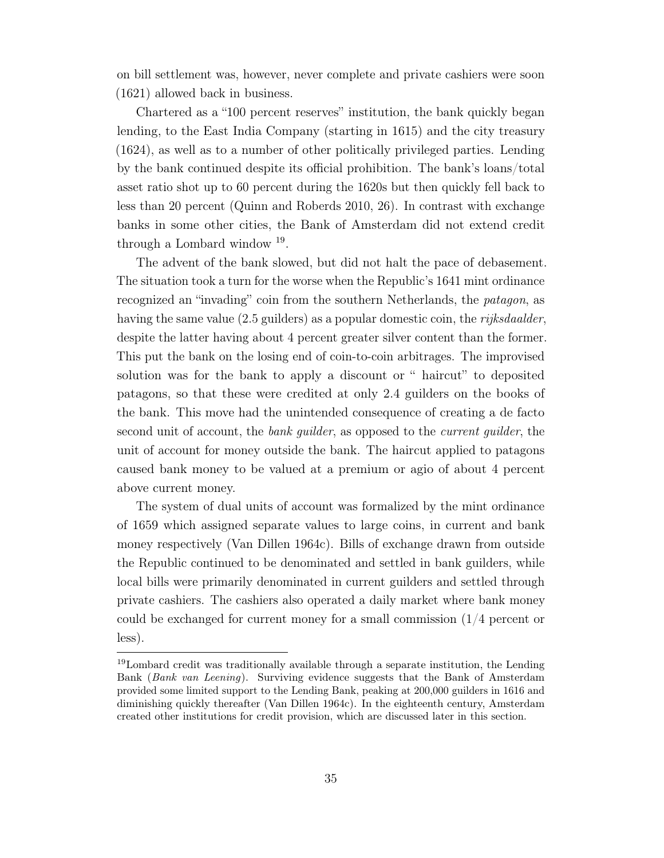on bill settlement was, however, never complete and private cashiers were soon (1621) allowed back in business.

Chartered as a "100 percent reserves" institution, the bank quickly began lending, to the East India Company (starting in 1615) and the city treasury (1624), as well as to a number of other politically privileged parties. Lending by the bank continued despite its official prohibition. The bank's loans/total asset ratio shot up to 60 percent during the 1620s but then quickly fell back to less than 20 percent [\(Quinn and Roberds 2010,](#page-89-10) 26). In contrast with exchange banks in some other cities, the Bank of Amsterdam did not extend credit through a Lombard window <sup>[19](#page-35-0)</sup>.

The advent of the bank slowed, but did not halt the pace of debasement. The situation took a turn for the worse when the Republic's 1641 mint ordinance recognized an "invading" coin from the southern Netherlands, the *patagon*, as having the same value (2.5 guilders) as a popular domestic coin, the *rijksdaalder*, despite the latter having about 4 percent greater silver content than the former. This put the bank on the losing end of coin-to-coin arbitrages. The improvised solution was for the bank to apply a discount or " haircut" to deposited patagons, so that these were credited at only 2.4 guilders on the books of the bank. This move had the unintended consequence of creating a de facto second unit of account, the bank guilder, as opposed to the current guilder, the unit of account for money outside the bank. The haircut applied to patagons caused bank money to be valued at a premium or agio of about 4 percent above current money.

The system of dual units of account was formalized by the mint ordinance of 1659 which assigned separate values to large coins, in current and bank money respectively [\(Van Dillen 1964c\)](#page-92-1). Bills of exchange drawn from outside the Republic continued to be denominated and settled in bank guilders, while local bills were primarily denominated in current guilders and settled through private cashiers. The cashiers also operated a daily market where bank money could be exchanged for current money for a small commission  $(1/4$  percent or less).

<span id="page-35-0"></span><sup>19</sup>Lombard credit was traditionally available through a separate institution, the Lending Bank (Bank van Leening). Surviving evidence suggests that the Bank of Amsterdam provided some limited support to the Lending Bank, peaking at 200,000 guilders in 1616 and diminishing quickly thereafter [\(Van Dillen 1964c\)](#page-92-1). In the eighteenth century, Amsterdam created other institutions for credit provision, which are discussed later in this section.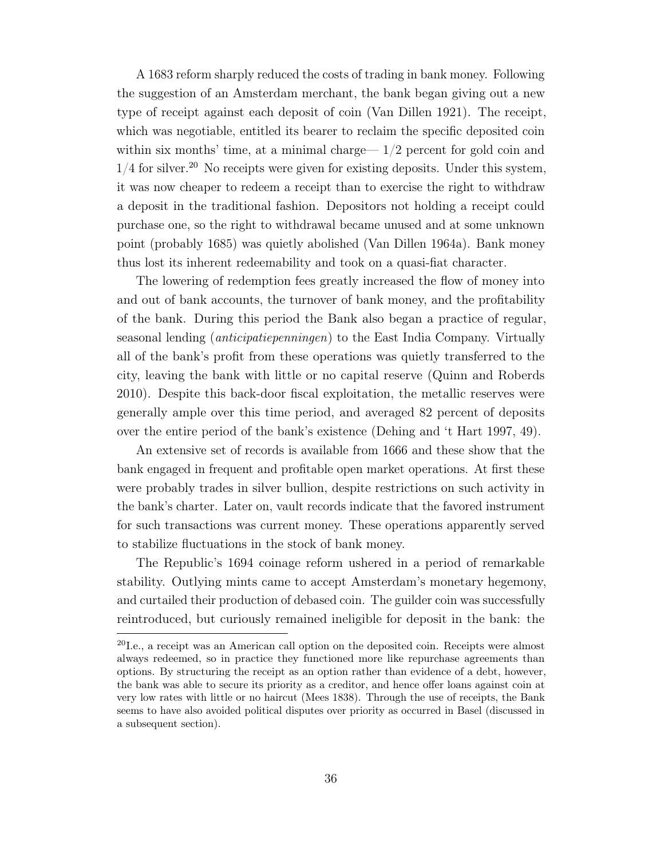A 1683 reform sharply reduced the costs of trading in bank money. Following the suggestion of an Amsterdam merchant, the bank began giving out a new type of receipt against each deposit of coin [\(Van Dillen 1921\)](#page-91-0). The receipt, which was negotiable, entitled its bearer to reclaim the specific deposited coin within six months' time, at a minimal charge—  $1/2$  percent for gold coin and  $1/4$  for silver.<sup>[20](#page-36-0)</sup> No receipts were given for existing deposits. Under this system, it was now cheaper to redeem a receipt than to exercise the right to withdraw a deposit in the traditional fashion. Depositors not holding a receipt could purchase one, so the right to withdrawal became unused and at some unknown point (probably 1685) was quietly abolished [\(Van Dillen 1964a\)](#page-92-0). Bank money thus lost its inherent redeemability and took on a quasi-fiat character.

The lowering of redemption fees greatly increased the flow of money into and out of bank accounts, the turnover of bank money, and the profitability of the bank. During this period the Bank also began a practice of regular, seasonal lending (anticipatiepenningen) to the East India Company. Virtually all of the bank's profit from these operations was quietly transferred to the city, leaving the bank with little or no capital reserve [\(Quinn and Roberds](#page-89-0) [2010\)](#page-89-0). Despite this back-door fiscal exploitation, the metallic reserves were generally ample over this time period, and averaged 82 percent of deposits over the entire period of the bank's existence [\(Dehing and 't Hart 1997,](#page-86-0) 49).

An extensive set of records is available from 1666 and these show that the bank engaged in frequent and profitable open market operations. At first these were probably trades in silver bullion, despite restrictions on such activity in the bank's charter. Later on, vault records indicate that the favored instrument for such transactions was current money. These operations apparently served to stabilize fluctuations in the stock of bank money.

The Republic's 1694 coinage reform ushered in a period of remarkable stability. Outlying mints came to accept Amsterdam's monetary hegemony, and curtailed their production of debased coin. The guilder coin was successfully reintroduced, but curiously remained ineligible for deposit in the bank: the

<span id="page-36-0"></span> $^{20}$ I.e., a receipt was an American call option on the deposited coin. Receipts were almost always redeemed, so in practice they functioned more like repurchase agreements than options. By structuring the receipt as an option rather than evidence of a debt, however, the bank was able to secure its priority as a creditor, and hence offer loans against coin at very low rates with little or no haircut [\(Mees 1838\)](#page-88-0). Through the use of receipts, the Bank seems to have also avoided political disputes over priority as occurred in Basel (discussed in a subsequent section).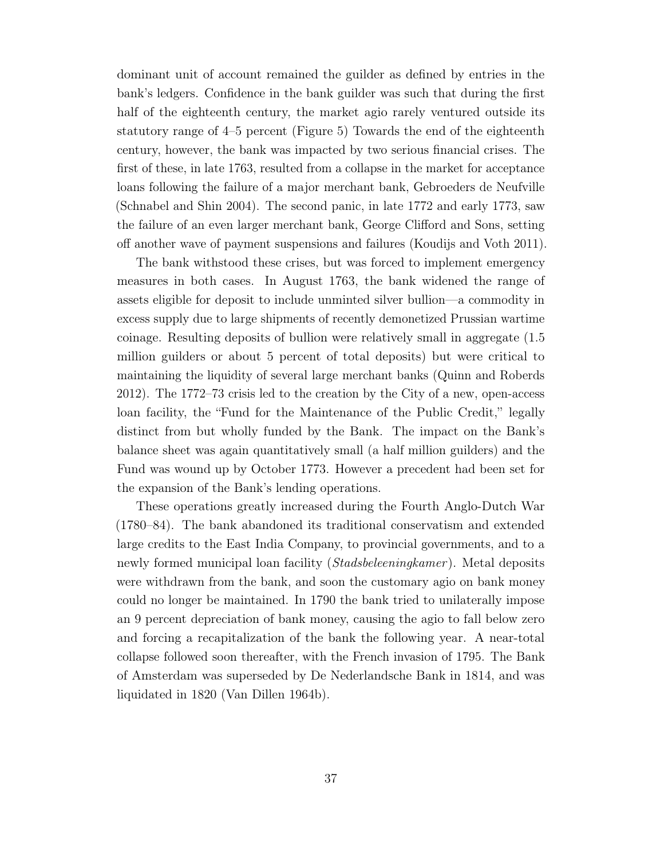dominant unit of account remained the guilder as defined by entries in the bank's ledgers. Confidence in the bank guilder was such that during the first half of the eighteenth century, the market agio rarely ventured outside its statutory range of 4–5 percent (Figure [5\)](#page-38-0) Towards the end of the eighteenth century, however, the bank was impacted by two serious financial crises. The first of these, in late 1763, resulted from a collapse in the market for acceptance loans following the failure of a major merchant bank, Gebroeders de Neufville [\(Schnabel and Shin 2004\)](#page-90-0). The second panic, in late 1772 and early 1773, saw the failure of an even larger merchant bank, George Clifford and Sons, setting off another wave of payment suspensions and failures [\(Koudijs and Voth 2011\)](#page-87-0).

The bank withstood these crises, but was forced to implement emergency measures in both cases. In August 1763, the bank widened the range of assets eligible for deposit to include unminted silver bullion—a commodity in excess supply due to large shipments of recently demonetized Prussian wartime coinage. Resulting deposits of bullion were relatively small in aggregate (1.5 million guilders or about 5 percent of total deposits) but were critical to maintaining the liquidity of several large merchant banks [\(Quinn and Roberds](#page-89-1) [2012\)](#page-89-1). The 1772–73 crisis led to the creation by the City of a new, open-access loan facility, the "Fund for the Maintenance of the Public Credit," legally distinct from but wholly funded by the Bank. The impact on the Bank's balance sheet was again quantitatively small (a half million guilders) and the Fund was wound up by October 1773. However a precedent had been set for the expansion of the Bank's lending operations.

These operations greatly increased during the Fourth Anglo-Dutch War (1780–84). The bank abandoned its traditional conservatism and extended large credits to the East India Company, to provincial governments, and to a newly formed municipal loan facility (*Stadsbeleeningkamer*). Metal deposits were withdrawn from the bank, and soon the customary agio on bank money could no longer be maintained. In 1790 the bank tried to unilaterally impose an 9 percent depreciation of bank money, causing the agio to fall below zero and forcing a recapitalization of the bank the following year. A near-total collapse followed soon thereafter, with the French invasion of 1795. The Bank of Amsterdam was superseded by De Nederlandsche Bank in 1814, and was liquidated in 1820 [\(Van Dillen 1964b\)](#page-92-1).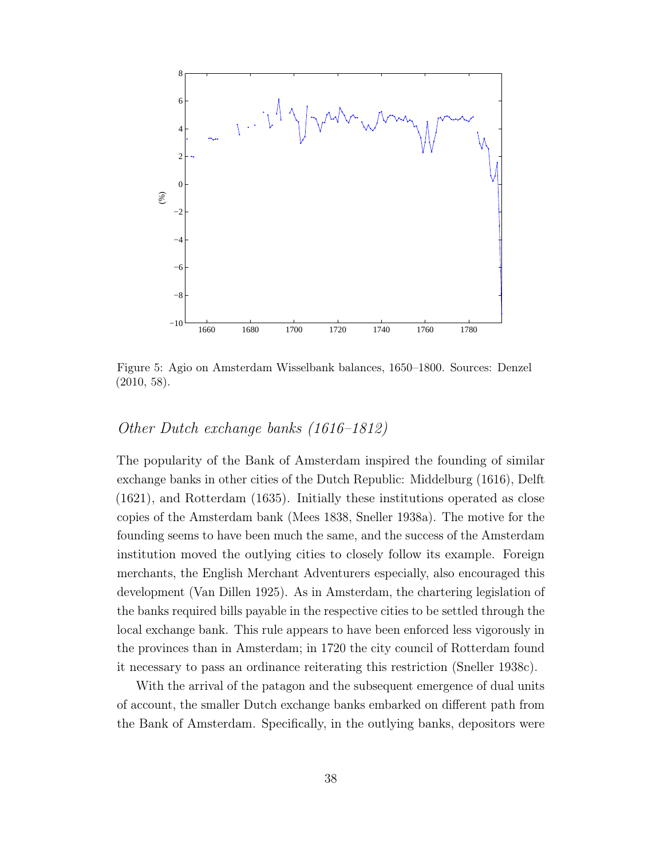

<span id="page-38-0"></span>Figure 5: Agio on Amsterdam Wisselbank balances, 1650–1800. Sources: [Denzel](#page-86-1)  $(2010, 58)$  $(2010, 58)$ .

#### Other Dutch exchange banks (1616–1812)

The popularity of the Bank of Amsterdam inspired the founding of similar exchange banks in other cities of the Dutch Republic: Middelburg (1616), Delft (1621), and Rotterdam (1635). Initially these institutions operated as close copies of the Amsterdam bank [\(Mees 1838,](#page-88-0) [Sneller 1938a\)](#page-91-1). The motive for the founding seems to have been much the same, and the success of the Amsterdam institution moved the outlying cities to closely follow its example. Foreign merchants, the English Merchant Adventurers especially, also encouraged this development [\(Van Dillen 1925\)](#page-91-2). As in Amsterdam, the chartering legislation of the banks required bills payable in the respective cities to be settled through the local exchange bank. This rule appears to have been enforced less vigorously in the provinces than in Amsterdam; in 1720 the city council of Rotterdam found it necessary to pass an ordinance reiterating this restriction [\(Sneller 1938c\)](#page-91-3).

With the arrival of the patagon and the subsequent emergence of dual units of account, the smaller Dutch exchange banks embarked on different path from the Bank of Amsterdam. Specifically, in the outlying banks, depositors were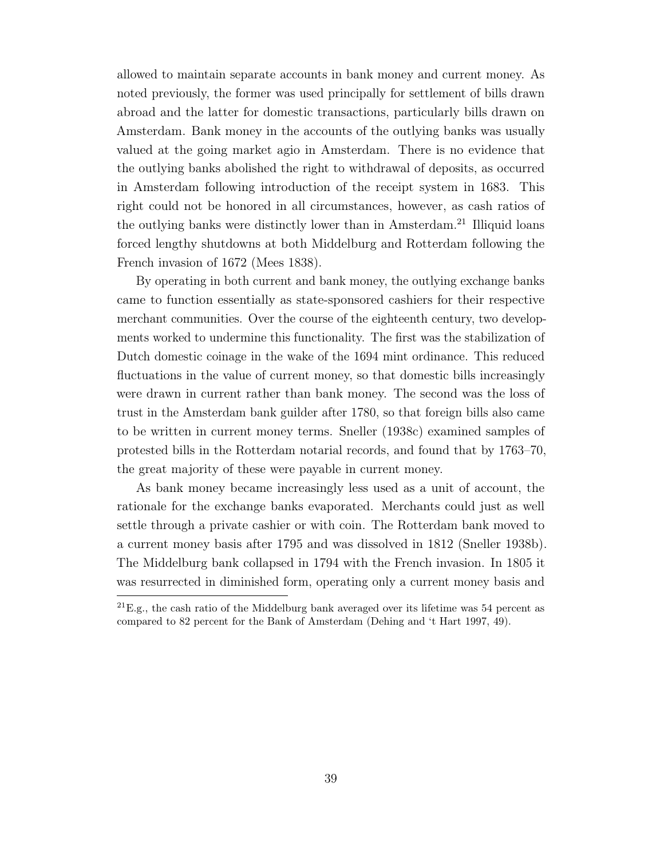allowed to maintain separate accounts in bank money and current money. As noted previously, the former was used principally for settlement of bills drawn abroad and the latter for domestic transactions, particularly bills drawn on Amsterdam. Bank money in the accounts of the outlying banks was usually valued at the going market agio in Amsterdam. There is no evidence that the outlying banks abolished the right to withdrawal of deposits, as occurred in Amsterdam following introduction of the receipt system in 1683. This right could not be honored in all circumstances, however, as cash ratios of the outlying banks were distinctly lower than in Amsterdam.<sup>[21](#page-39-0)</sup> Illiquid loans forced lengthy shutdowns at both Middelburg and Rotterdam following the French invasion of 1672 [\(Mees 1838\)](#page-88-0).

By operating in both current and bank money, the outlying exchange banks came to function essentially as state-sponsored cashiers for their respective merchant communities. Over the course of the eighteenth century, two developments worked to undermine this functionality. The first was the stabilization of Dutch domestic coinage in the wake of the 1694 mint ordinance. This reduced fluctuations in the value of current money, so that domestic bills increasingly were drawn in current rather than bank money. The second was the loss of trust in the Amsterdam bank guilder after 1780, so that foreign bills also came to be written in current money terms. [Sneller](#page-91-3) [\(1938c\)](#page-91-3) examined samples of protested bills in the Rotterdam notarial records, and found that by 1763–70, the great majority of these were payable in current money.

As bank money became increasingly less used as a unit of account, the rationale for the exchange banks evaporated. Merchants could just as well settle through a private cashier or with coin. The Rotterdam bank moved to a current money basis after 1795 and was dissolved in 1812 [\(Sneller 1938b\)](#page-91-4). The Middelburg bank collapsed in 1794 with the French invasion. In 1805 it was resurrected in diminished form, operating only a current money basis and

<span id="page-39-0"></span> ${}^{21}E.g.,$  the cash ratio of the Middelburg bank averaged over its lifetime was 54 percent as compared to 82 percent for the Bank of Amsterdam [\(Dehing and 't Hart 1997,](#page-86-0) 49).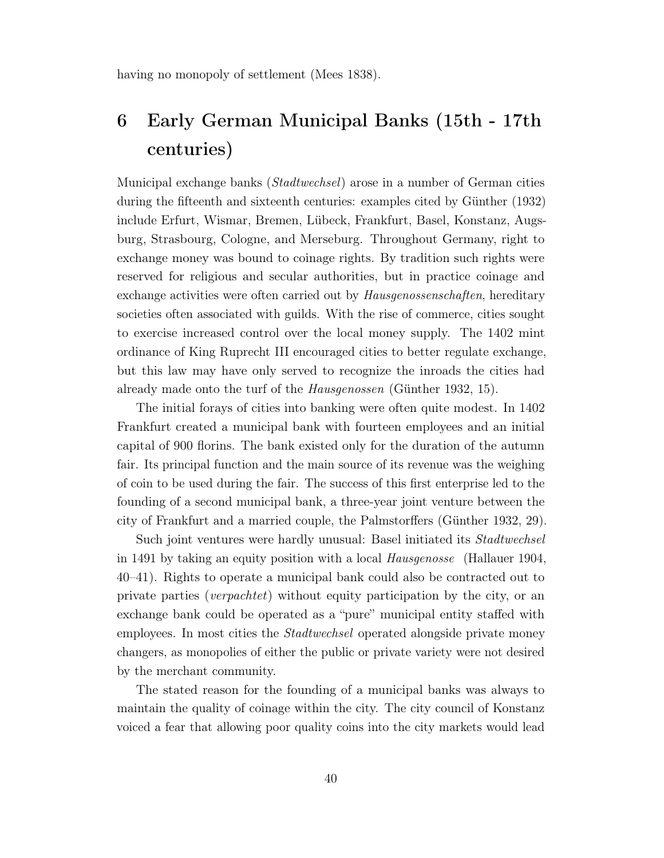having no monopoly of settlement [\(Mees 1838\)](#page-88-0).

# 6 Early German Municipal Banks (15th - 17th centuries)

Municipal exchange banks (*Stadtwechsel*) arose in a number of German cities during the fifteenth and sixteenth centuries: examples cited by [Günther](#page-87-1) [\(1932\)](#page-87-1) include Erfurt, Wismar, Bremen, Lübeck, Frankfurt, Basel, Konstanz, Augsburg, Strasbourg, Cologne, and Merseburg. Throughout Germany, right to exchange money was bound to coinage rights. By tradition such rights were reserved for religious and secular authorities, but in practice coinage and exchange activities were often carried out by *Hausgenossenschaften*, hereditary societies often associated with guilds. With the rise of commerce, cities sought to exercise increased control over the local money supply. The 1402 mint ordinance of King Ruprecht III encouraged cities to better regulate exchange, but this law may have only served to recognize the inroads the cities had already made onto the turf of the *Hausgenossen* [\(Günther 1932,](#page-87-1) 15).

The initial forays of cities into banking were often quite modest. In 1402 Frankfurt created a municipal bank with fourteen employees and an initial capital of 900 florins. The bank existed only for the duration of the autumn fair. Its principal function and the main source of its revenue was the weighing of coin to be used during the fair. The success of this first enterprise led to the founding of a second municipal bank, a three-year joint venture between the city of Frankfurt and a married couple, the Palmstorffers [\(Günther 1932,](#page-87-1) 29).

Such joint ventures were hardly unusual: Basel initiated its Stadtwechsel in 1491 by taking an equity position with a local Hausgenosse [\(Hallauer 1904,](#page-87-2) 40–41). Rights to operate a municipal bank could also be contracted out to private parties (verpachtet) without equity participation by the city, or an exchange bank could be operated as a "pure" municipal entity staffed with employees. In most cities the *Stadtwechsel* operated alongside private money changers, as monopolies of either the public or private variety were not desired by the merchant community.

The stated reason for the founding of a municipal banks was always to maintain the quality of coinage within the city. The city council of Konstanz voiced a fear that allowing poor quality coins into the city markets would lead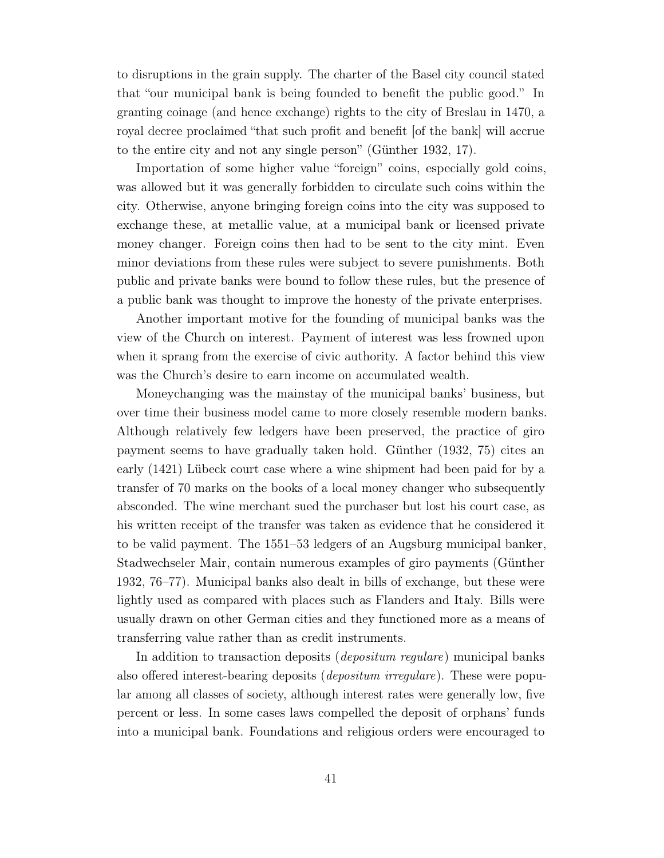to disruptions in the grain supply. The charter of the Basel city council stated that "our municipal bank is being founded to benefit the public good." In granting coinage (and hence exchange) rights to the city of Breslau in 1470, a royal decree proclaimed "that such profit and benefit [of the bank] will accrue to the entire city and not any single person" [\(Günther 1932,](#page-87-1) 17).

Importation of some higher value "foreign" coins, especially gold coins, was allowed but it was generally forbidden to circulate such coins within the city. Otherwise, anyone bringing foreign coins into the city was supposed to exchange these, at metallic value, at a municipal bank or licensed private money changer. Foreign coins then had to be sent to the city mint. Even minor deviations from these rules were subject to severe punishments. Both public and private banks were bound to follow these rules, but the presence of a public bank was thought to improve the honesty of the private enterprises.

Another important motive for the founding of municipal banks was the view of the Church on interest. Payment of interest was less frowned upon when it sprang from the exercise of civic authority. A factor behind this view was the Church's desire to earn income on accumulated wealth.

Moneychanging was the mainstay of the municipal banks' business, but over time their business model came to more closely resemble modern banks. Although relatively few ledgers have been preserved, the practice of giro payment seems to have gradually taken hold. [Günther](#page-87-1) [\(1932,](#page-87-1) 75) cites an early (1421) Lübeck court case where a wine shipment had been paid for by a transfer of 70 marks on the books of a local money changer who subsequently absconded. The wine merchant sued the purchaser but lost his court case, as his written receipt of the transfer was taken as evidence that he considered it to be valid payment. The 1551–53 ledgers of an Augsburg municipal banker, Stadwechseler Mair, contain numerous examples of giro payments [\(Günther](#page-87-1) [1932,](#page-87-1) 76–77). Municipal banks also dealt in bills of exchange, but these were lightly used as compared with places such as Flanders and Italy. Bills were usually drawn on other German cities and they functioned more as a means of transferring value rather than as credit instruments.

In addition to transaction deposits (depositum regulare) municipal banks also offered interest-bearing deposits (*depositum irregulare*). These were popular among all classes of society, although interest rates were generally low, five percent or less. In some cases laws compelled the deposit of orphans' funds into a municipal bank. Foundations and religious orders were encouraged to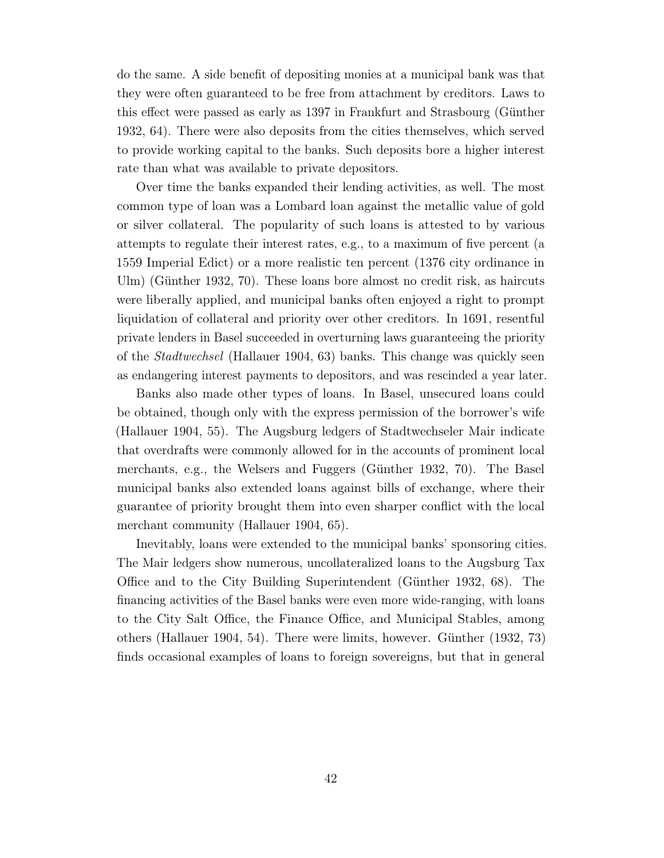do the same. A side benefit of depositing monies at a municipal bank was that they were often guaranteed to be free from attachment by creditors. Laws to this effect were passed as early as 1397 in Frankfurt and Strasbourg [\(Günther](#page-87-1) [1932,](#page-87-1) 64). There were also deposits from the cities themselves, which served to provide working capital to the banks. Such deposits bore a higher interest rate than what was available to private depositors.

Over time the banks expanded their lending activities, as well. The most common type of loan was a Lombard loan against the metallic value of gold or silver collateral. The popularity of such loans is attested to by various attempts to regulate their interest rates, e.g., to a maximum of five percent (a 1559 Imperial Edict) or a more realistic ten percent (1376 city ordinance in Ulm) [\(Günther 1932,](#page-87-1) 70). These loans bore almost no credit risk, as haircuts were liberally applied, and municipal banks often enjoyed a right to prompt liquidation of collateral and priority over other creditors. In 1691, resentful private lenders in Basel succeeded in overturning laws guaranteeing the priority of the Stadtwechsel [\(Hallauer 1904,](#page-87-2) 63) banks. This change was quickly seen as endangering interest payments to depositors, and was rescinded a year later.

Banks also made other types of loans. In Basel, unsecured loans could be obtained, though only with the express permission of the borrower's wife [\(Hallauer 1904,](#page-87-2) 55). The Augsburg ledgers of Stadtwechseler Mair indicate that overdrafts were commonly allowed for in the accounts of prominent local merchants, e.g., the Welsers and Fuggers [\(Günther 1932,](#page-87-1) 70). The Basel municipal banks also extended loans against bills of exchange, where their guarantee of priority brought them into even sharper conflict with the local merchant community [\(Hallauer 1904,](#page-87-2) 65).

Inevitably, loans were extended to the municipal banks' sponsoring cities. The Mair ledgers show numerous, uncollateralized loans to the Augsburg Tax Office and to the City Building Superintendent [\(Günther 1932,](#page-87-1) 68). The financing activities of the Basel banks were even more wide-ranging, with loans to the City Salt Office, the Finance Office, and Municipal Stables, among others [\(Hallauer 1904,](#page-87-2) 54). There were limits, however. [Günther](#page-87-1) [\(1932,](#page-87-1) 73) finds occasional examples of loans to foreign sovereigns, but that in general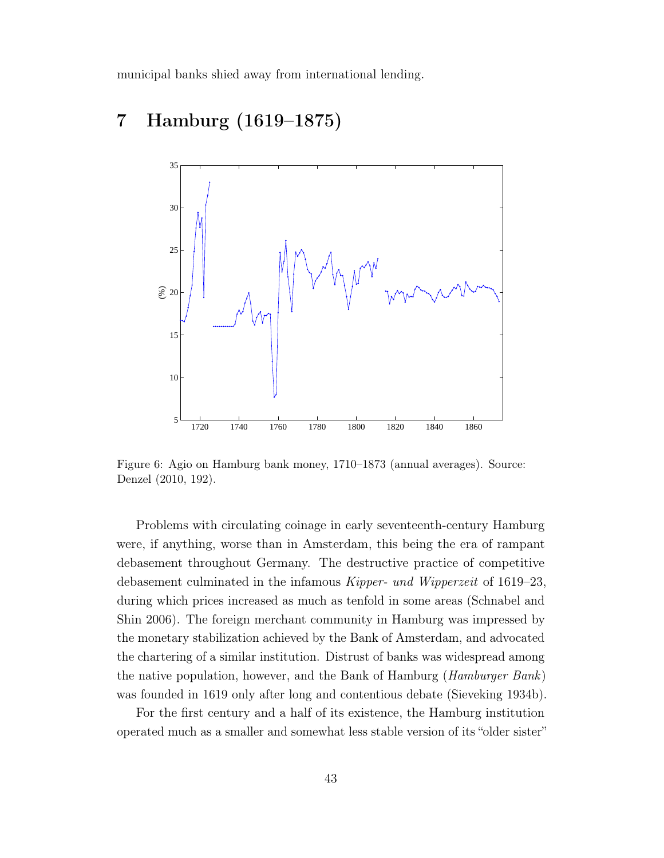municipal banks shied away from international lending.



## 7 Hamburg (1619–1875)

<span id="page-43-0"></span>Figure 6: Agio on Hamburg bank money, 1710–1873 (annual averages). Source: [Denzel](#page-86-1) [\(2010,](#page-86-1) 192).

Problems with circulating coinage in early seventeenth-century Hamburg were, if anything, worse than in Amsterdam, this being the era of rampant debasement throughout Germany. The destructive practice of competitive debasement culminated in the infamous Kipper- und Wipperzeit of 1619–23, during which prices increased as much as tenfold in some areas [\(Schnabel and](#page-90-1) [Shin 2006\)](#page-90-1). The foreign merchant community in Hamburg was impressed by the monetary stabilization achieved by the Bank of Amsterdam, and advocated the chartering of a similar institution. Distrust of banks was widespread among the native population, however, and the Bank of Hamburg (*Hamburger Bank*) was founded in 1619 only after long and contentious debate [\(Sieveking 1934b\)](#page-90-2).

For the first century and a half of its existence, the Hamburg institution operated much as a smaller and somewhat less stable version of its "older sister"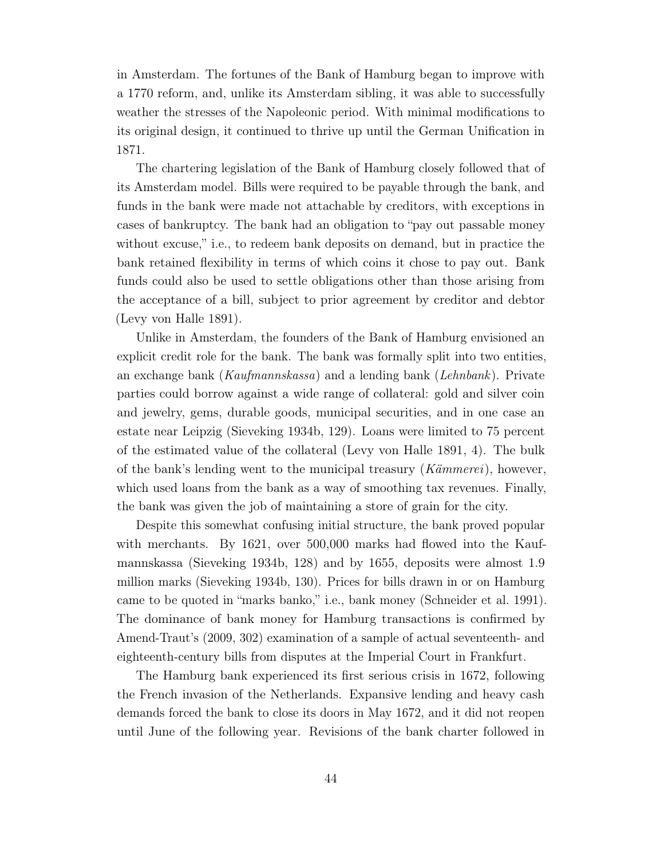in Amsterdam. The fortunes of the Bank of Hamburg began to improve with a 1770 reform, and, unlike its Amsterdam sibling, it was able to successfully weather the stresses of the Napoleonic period. With minimal modifications to its original design, it continued to thrive up until the German Unification in 1871.

The chartering legislation of the Bank of Hamburg closely followed that of its Amsterdam model. Bills were required to be payable through the bank, and funds in the bank were made not attachable by creditors, with exceptions in cases of bankruptcy. The bank had an obligation to "pay out passable money without excuse," i.e., to redeem bank deposits on demand, but in practice the bank retained flexibility in terms of which coins it chose to pay out. Bank funds could also be used to settle obligations other than those arising from the acceptance of a bill, subject to prior agreement by creditor and debtor [\(Levy von Halle 1891\)](#page-87-3).

Unlike in Amsterdam, the founders of the Bank of Hamburg envisioned an explicit credit role for the bank. The bank was formally split into two entities, an exchange bank ( $Kaufmannskassa$ ) and a lending bank ( $Lehnbank$ ). Private parties could borrow against a wide range of collateral: gold and silver coin and jewelry, gems, durable goods, municipal securities, and in one case an estate near Leipzig [\(Sieveking 1934b,](#page-90-2) 129). Loans were limited to 75 percent of the estimated value of the collateral [\(Levy von Halle 1891,](#page-87-3) 4). The bulk of the bank's lending went to the municipal treasury (Kämmerei), however, which used loans from the bank as a way of smoothing tax revenues. Finally, the bank was given the job of maintaining a store of grain for the city.

Despite this somewhat confusing initial structure, the bank proved popular with merchants. By 1621, over 500,000 marks had flowed into the Kaufmannskassa [\(Sieveking 1934b,](#page-90-2) 128) and by 1655, deposits were almost 1.9 million marks [\(Sieveking 1934b,](#page-90-2) 130). Prices for bills drawn in or on Hamburg came to be quoted in "marks banko," i.e., bank money [\(Schneider et al. 1991\)](#page-90-3). The dominance of bank money for Hamburg transactions is confirmed by [Amend-Traut'](#page-85-0)s [\(2009,](#page-85-0) 302) examination of a sample of actual seventeenth- and eighteenth-century bills from disputes at the Imperial Court in Frankfurt.

The Hamburg bank experienced its first serious crisis in 1672, following the French invasion of the Netherlands. Expansive lending and heavy cash demands forced the bank to close its doors in May 1672, and it did not reopen until June of the following year. Revisions of the bank charter followed in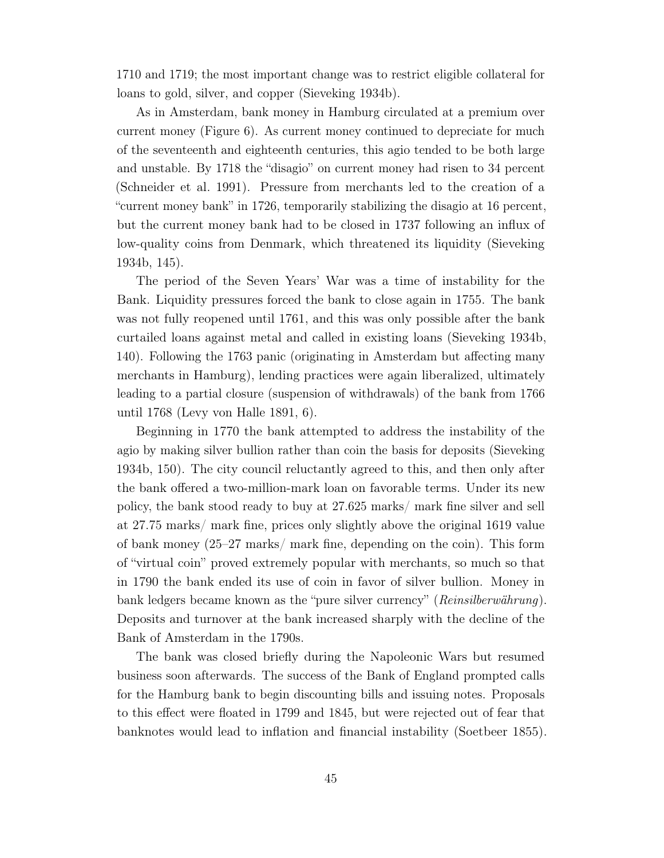1710 and 1719; the most important change was to restrict eligible collateral for loans to gold, silver, and copper [\(Sieveking 1934b\)](#page-90-2).

As in Amsterdam, bank money in Hamburg circulated at a premium over current money (Figure [6\)](#page-43-0). As current money continued to depreciate for much of the seventeenth and eighteenth centuries, this agio tended to be both large and unstable. By 1718 the "disagio" on current money had risen to 34 percent [\(Schneider et al. 1991\)](#page-90-3). Pressure from merchants led to the creation of a "current money bank" in 1726, temporarily stabilizing the disagio at 16 percent, but the current money bank had to be closed in 1737 following an influx of low-quality coins from Denmark, which threatened its liquidity [\(Sieveking](#page-90-2) [1934b,](#page-90-2) 145).

The period of the Seven Years' War was a time of instability for the Bank. Liquidity pressures forced the bank to close again in 1755. The bank was not fully reopened until 1761, and this was only possible after the bank curtailed loans against metal and called in existing loans [\(Sieveking 1934b,](#page-90-2) 140). Following the 1763 panic (originating in Amsterdam but affecting many merchants in Hamburg), lending practices were again liberalized, ultimately leading to a partial closure (suspension of withdrawals) of the bank from 1766 until 1768 [\(Levy von Halle 1891,](#page-87-3) 6).

Beginning in 1770 the bank attempted to address the instability of the agio by making silver bullion rather than coin the basis for deposits [\(Sieveking](#page-90-2) [1934b,](#page-90-2) 150). The city council reluctantly agreed to this, and then only after the bank offered a two-million-mark loan on favorable terms. Under its new policy, the bank stood ready to buy at 27.625 marks/ mark fine silver and sell at 27.75 marks/ mark fine, prices only slightly above the original 1619 value of bank money (25–27 marks/ mark fine, depending on the coin). This form of "virtual coin" proved extremely popular with merchants, so much so that in 1790 the bank ended its use of coin in favor of silver bullion. Money in bank ledgers became known as the "pure silver currency" (Reinsilberwährung). Deposits and turnover at the bank increased sharply with the decline of the Bank of Amsterdam in the 1790s.

The bank was closed briefly during the Napoleonic Wars but resumed business soon afterwards. The success of the Bank of England prompted calls for the Hamburg bank to begin discounting bills and issuing notes. Proposals to this effect were floated in 1799 and 1845, but were rejected out of fear that banknotes would lead to inflation and financial instability [\(Soetbeer 1855\)](#page-91-5).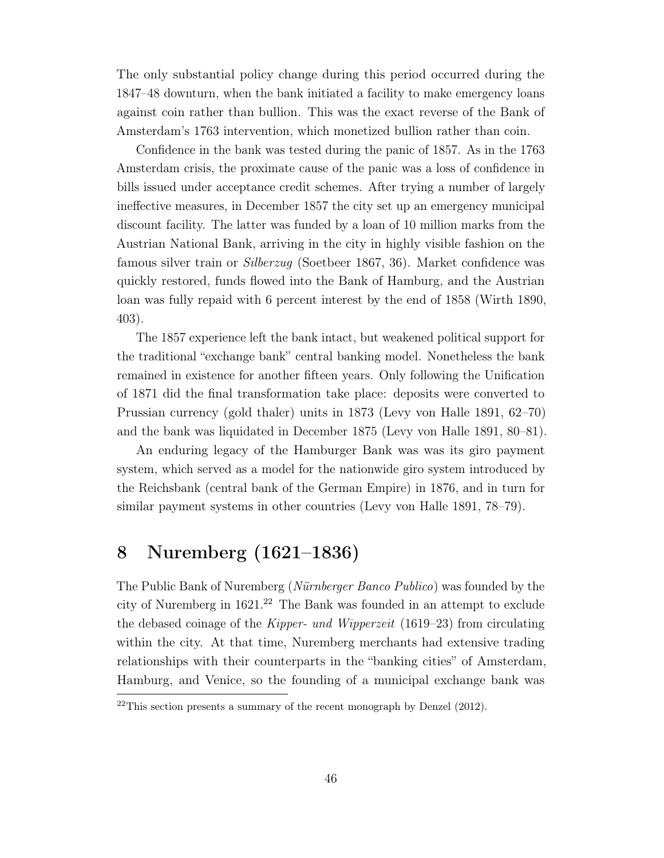The only substantial policy change during this period occurred during the 1847–48 downturn, when the bank initiated a facility to make emergency loans against coin rather than bullion. This was the exact reverse of the Bank of Amsterdam's 1763 intervention, which monetized bullion rather than coin.

Confidence in the bank was tested during the panic of 1857. As in the 1763 Amsterdam crisis, the proximate cause of the panic was a loss of confidence in bills issued under acceptance credit schemes. After trying a number of largely ineffective measures, in December 1857 the city set up an emergency municipal discount facility. The latter was funded by a loan of 10 million marks from the Austrian National Bank, arriving in the city in highly visible fashion on the famous silver train or *Silberzug* [\(Soetbeer 1867,](#page-91-6) 36). Market confidence was quickly restored, funds flowed into the Bank of Hamburg, and the Austrian loan was fully repaid with 6 percent interest by the end of 1858 [\(Wirth 1890,](#page-92-2) 403).

The 1857 experience left the bank intact, but weakened political support for the traditional "exchange bank" central banking model. Nonetheless the bank remained in existence for another fifteen years. Only following the Unification of 1871 did the final transformation take place: deposits were converted to Prussian currency (gold thaler) units in 1873 [\(Levy von Halle 1891,](#page-87-3) 62–70) and the bank was liquidated in December 1875 [\(Levy von Halle 1891,](#page-87-3) 80–81).

An enduring legacy of the Hamburger Bank was was its giro payment system, which served as a model for the nationwide giro system introduced by the Reichsbank (central bank of the German Empire) in 1876, and in turn for similar payment systems in other countries [\(Levy von Halle 1891,](#page-87-3) 78–79).

## 8 Nuremberg (1621–1836)

The Public Bank of Nuremberg (Nürnberger Banco Publico) was founded by the city of Nuremberg in  $1621<sup>22</sup>$  $1621<sup>22</sup>$  $1621<sup>22</sup>$  The Bank was founded in an attempt to exclude the debased coinage of the *Kipper- und Wipperzeit* (1619–23) from circulating within the city. At that time, Nuremberg merchants had extensive trading relationships with their counterparts in the "banking cities" of Amsterdam, Hamburg, and Venice, so the founding of a municipal exchange bank was

<span id="page-46-0"></span> $22$ This section presents a summary of the recent monograph by [Denzel](#page-86-2) [\(2012\)](#page-86-2).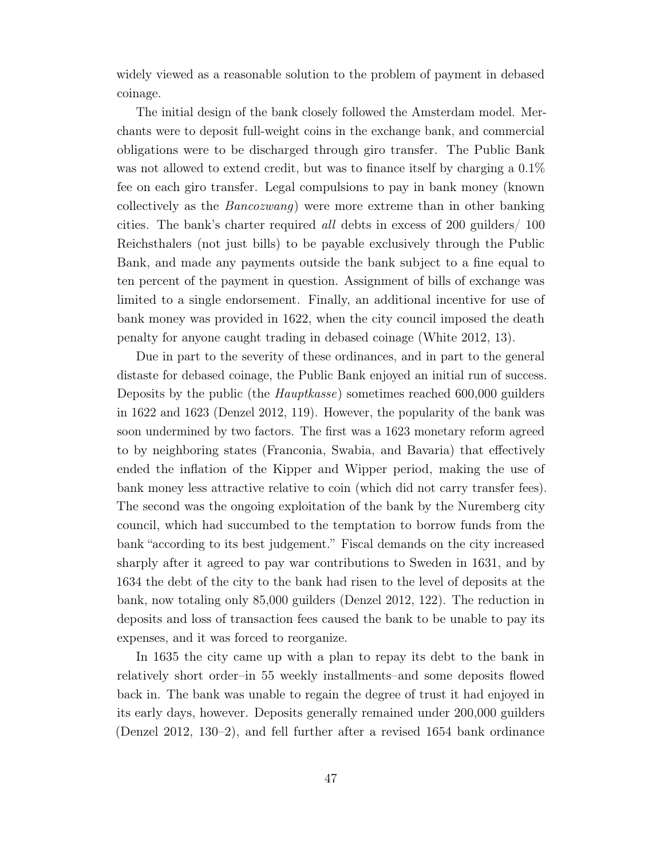widely viewed as a reasonable solution to the problem of payment in debased coinage.

The initial design of the bank closely followed the Amsterdam model. Merchants were to deposit full-weight coins in the exchange bank, and commercial obligations were to be discharged through giro transfer. The Public Bank was not allowed to extend credit, but was to finance itself by charging a 0.1% fee on each giro transfer. Legal compulsions to pay in bank money (known collectively as the Bancozwang) were more extreme than in other banking cities. The bank's charter required all debts in excess of 200 guilders/ 100 Reichsthalers (not just bills) to be payable exclusively through the Public Bank, and made any payments outside the bank subject to a fine equal to ten percent of the payment in question. Assignment of bills of exchange was limited to a single endorsement. Finally, an additional incentive for use of bank money was provided in 1622, when the city council imposed the death penalty for anyone caught trading in debased coinage [\(White 2012,](#page-92-3) 13).

Due in part to the severity of these ordinances, and in part to the general distaste for debased coinage, the Public Bank enjoyed an initial run of success. Deposits by the public (the Hauptkasse) sometimes reached 600,000 guilders in 1622 and 1623 [\(Denzel 2012,](#page-86-2) 119). However, the popularity of the bank was soon undermined by two factors. The first was a 1623 monetary reform agreed to by neighboring states (Franconia, Swabia, and Bavaria) that effectively ended the inflation of the Kipper and Wipper period, making the use of bank money less attractive relative to coin (which did not carry transfer fees). The second was the ongoing exploitation of the bank by the Nuremberg city council, which had succumbed to the temptation to borrow funds from the bank "according to its best judgement." Fiscal demands on the city increased sharply after it agreed to pay war contributions to Sweden in 1631, and by 1634 the debt of the city to the bank had risen to the level of deposits at the bank, now totaling only 85,000 guilders [\(Denzel 2012,](#page-86-2) 122). The reduction in deposits and loss of transaction fees caused the bank to be unable to pay its expenses, and it was forced to reorganize.

In 1635 the city came up with a plan to repay its debt to the bank in relatively short order–in 55 weekly installments–and some deposits flowed back in. The bank was unable to regain the degree of trust it had enjoyed in its early days, however. Deposits generally remained under 200,000 guilders [\(Denzel 2012,](#page-86-2) 130–2), and fell further after a revised 1654 bank ordinance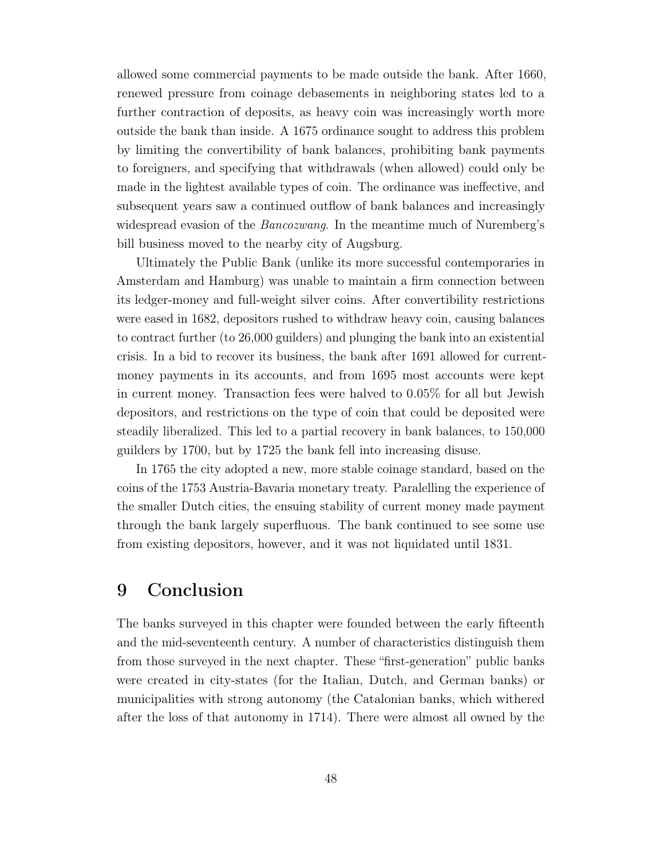allowed some commercial payments to be made outside the bank. After 1660, renewed pressure from coinage debasements in neighboring states led to a further contraction of deposits, as heavy coin was increasingly worth more outside the bank than inside. A 1675 ordinance sought to address this problem by limiting the convertibility of bank balances, prohibiting bank payments to foreigners, and specifying that withdrawals (when allowed) could only be made in the lightest available types of coin. The ordinance was ineffective, and subsequent years saw a continued outflow of bank balances and increasingly widespread evasion of the *Bancozwang*. In the meantime much of Nuremberg's bill business moved to the nearby city of Augsburg.

Ultimately the Public Bank (unlike its more successful contemporaries in Amsterdam and Hamburg) was unable to maintain a firm connection between its ledger-money and full-weight silver coins. After convertibility restrictions were eased in 1682, depositors rushed to withdraw heavy coin, causing balances to contract further (to 26,000 guilders) and plunging the bank into an existential crisis. In a bid to recover its business, the bank after 1691 allowed for currentmoney payments in its accounts, and from 1695 most accounts were kept in current money. Transaction fees were halved to 0.05% for all but Jewish depositors, and restrictions on the type of coin that could be deposited were steadily liberalized. This led to a partial recovery in bank balances, to 150,000 guilders by 1700, but by 1725 the bank fell into increasing disuse.

In 1765 the city adopted a new, more stable coinage standard, based on the coins of the 1753 Austria-Bavaria monetary treaty. Paralelling the experience of the smaller Dutch cities, the ensuing stability of current money made payment through the bank largely superfluous. The bank continued to see some use from existing depositors, however, and it was not liquidated until 1831.

#### 9 Conclusion

The banks surveyed in this chapter were founded between the early fifteenth and the mid-seventeenth century. A number of characteristics distinguish them from those surveyed in the next chapter. These "first-generation" public banks were created in city-states (for the Italian, Dutch, and German banks) or municipalities with strong autonomy (the Catalonian banks, which withered after the loss of that autonomy in 1714). There were almost all owned by the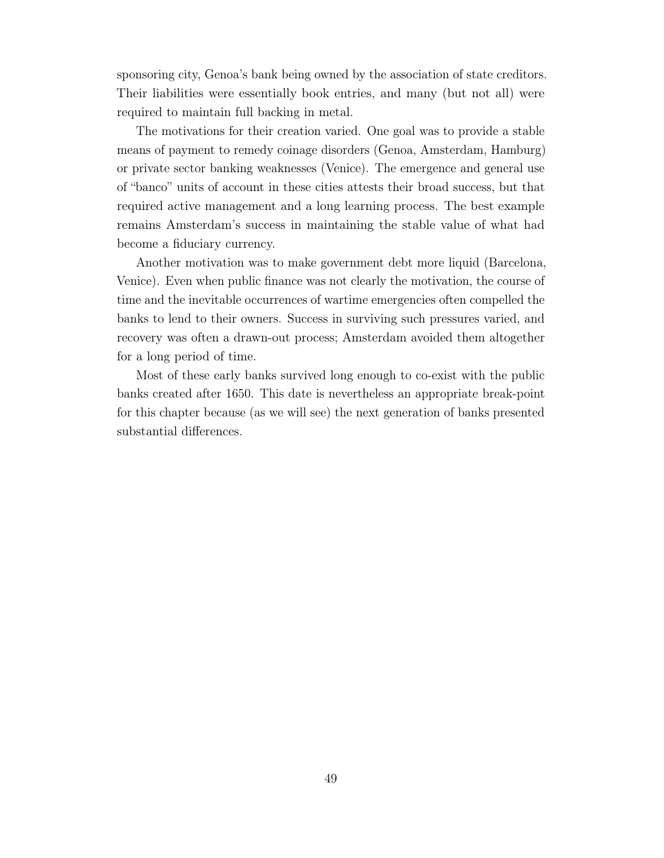sponsoring city, Genoa's bank being owned by the association of state creditors. Their liabilities were essentially book entries, and many (but not all) were required to maintain full backing in metal.

The motivations for their creation varied. One goal was to provide a stable means of payment to remedy coinage disorders (Genoa, Amsterdam, Hamburg) or private sector banking weaknesses (Venice). The emergence and general use of "banco" units of account in these cities attests their broad success, but that required active management and a long learning process. The best example remains Amsterdam's success in maintaining the stable value of what had become a fiduciary currency.

Another motivation was to make government debt more liquid (Barcelona, Venice). Even when public finance was not clearly the motivation, the course of time and the inevitable occurrences of wartime emergencies often compelled the banks to lend to their owners. Success in surviving such pressures varied, and recovery was often a drawn-out process; Amsterdam avoided them altogether for a long period of time.

Most of these early banks survived long enough to co-exist with the public banks created after 1650. This date is nevertheless an appropriate break-point for this chapter because (as we will see) the next generation of banks presented substantial differences.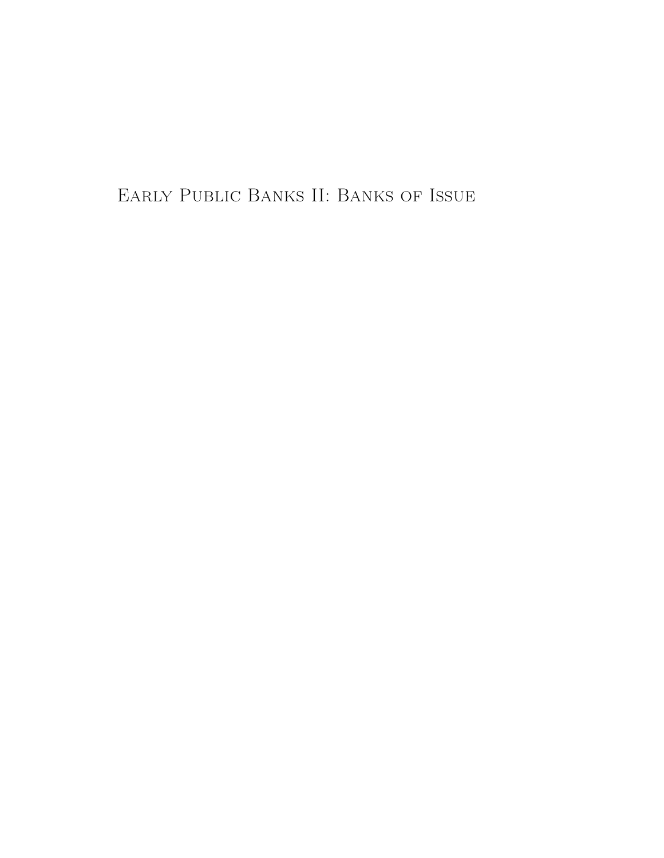Early Public Banks II: Banks of Issue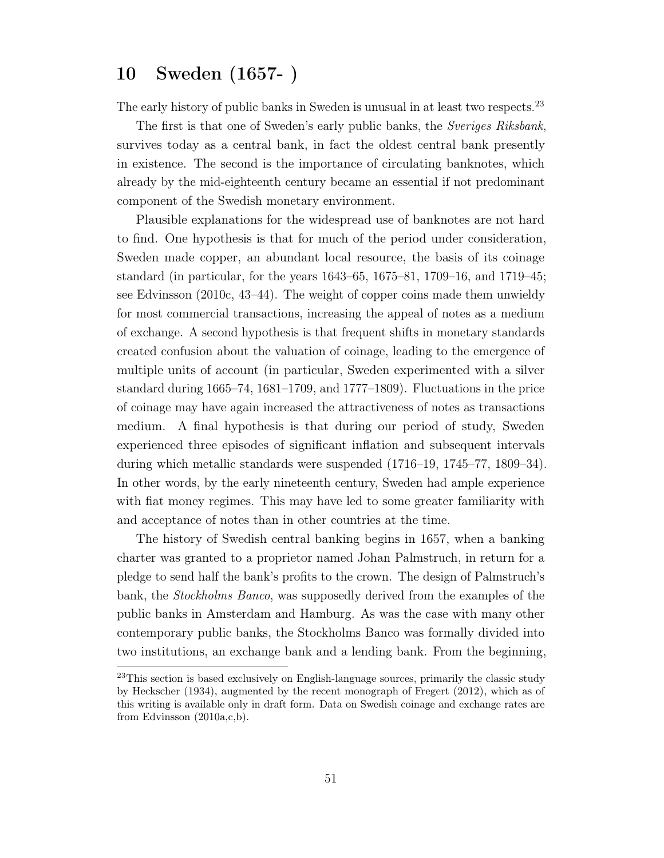### 10 Sweden (1657- )

The early history of public banks in Sweden is unusual in at least two respects.<sup>[23](#page-51-0)</sup>

The first is that one of Sweden's early public banks, the Sveriges Riksbank, survives today as a central bank, in fact the oldest central bank presently in existence. The second is the importance of circulating banknotes, which already by the mid-eighteenth century became an essential if not predominant component of the Swedish monetary environment.

Plausible explanations for the widespread use of banknotes are not hard to find. One hypothesis is that for much of the period under consideration, Sweden made copper, an abundant local resource, the basis of its coinage standard (in particular, for the years 1643–65, 1675–81, 1709–16, and 1719–45; see [Edvinsson](#page-87-4) [\(2010c,](#page-87-4) 43–44). The weight of copper coins made them unwieldy for most commercial transactions, increasing the appeal of notes as a medium of exchange. A second hypothesis is that frequent shifts in monetary standards created confusion about the valuation of coinage, leading to the emergence of multiple units of account (in particular, Sweden experimented with a silver standard during 1665–74, 1681–1709, and 1777–1809). Fluctuations in the price of coinage may have again increased the attractiveness of notes as transactions medium. A final hypothesis is that during our period of study, Sweden experienced three episodes of significant inflation and subsequent intervals during which metallic standards were suspended (1716–19, 1745–77, 1809–34). In other words, by the early nineteenth century, Sweden had ample experience with fiat money regimes. This may have led to some greater familiarity with and acceptance of notes than in other countries at the time.

The history of Swedish central banking begins in 1657, when a banking charter was granted to a proprietor named Johan Palmstruch, in return for a pledge to send half the bank's profits to the crown. The design of Palmstruch's bank, the Stockholms Banco, was supposedly derived from the examples of the public banks in Amsterdam and Hamburg. As was the case with many other contemporary public banks, the Stockholms Banco was formally divided into two institutions, an exchange bank and a lending bank. From the beginning,

<span id="page-51-0"></span><sup>&</sup>lt;sup>23</sup>This section is based exclusively on English-language sources, primarily the classic study by [Heckscher](#page-87-5) [\(1934\)](#page-87-5), augmented by the recent monograph of [Fregert](#page-87-6) [\(2012\)](#page-87-6), which as of this writing is available only in draft form. Data on Swedish coinage and exchange rates are from [Edvinsson](#page-86-3) [\(2010a,](#page-86-3)[c,](#page-87-4)[b\)](#page-86-4).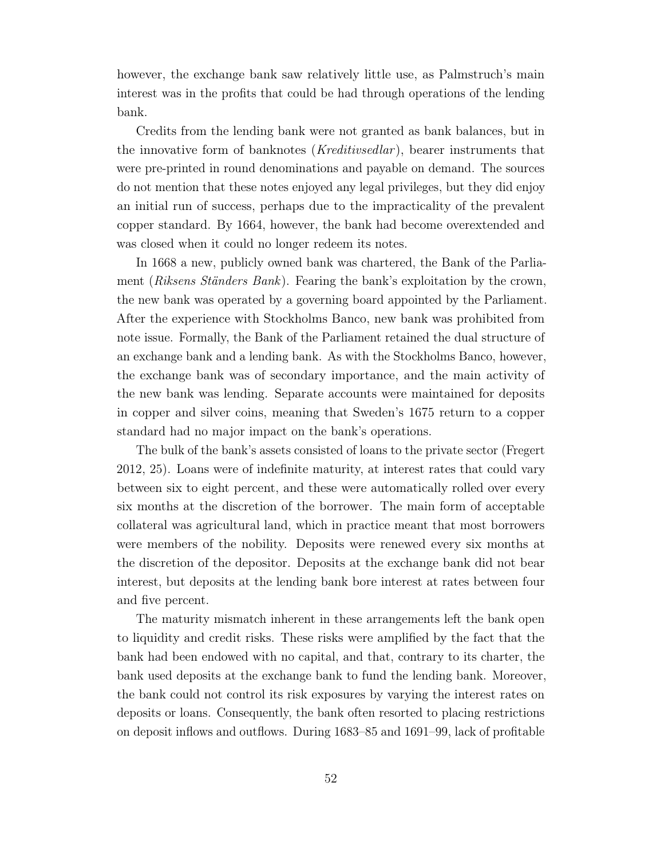however, the exchange bank saw relatively little use, as Palmstruch's main interest was in the profits that could be had through operations of the lending bank.

Credits from the lending bank were not granted as bank balances, but in the innovative form of banknotes (*Kreditivsedlar*), bearer instruments that were pre-printed in round denominations and payable on demand. The sources do not mention that these notes enjoyed any legal privileges, but they did enjoy an initial run of success, perhaps due to the impracticality of the prevalent copper standard. By 1664, however, the bank had become overextended and was closed when it could no longer redeem its notes.

In 1668 a new, publicly owned bank was chartered, the Bank of the Parliament (Riksens Ständers Bank). Fearing the bank's exploitation by the crown, the new bank was operated by a governing board appointed by the Parliament. After the experience with Stockholms Banco, new bank was prohibited from note issue. Formally, the Bank of the Parliament retained the dual structure of an exchange bank and a lending bank. As with the Stockholms Banco, however, the exchange bank was of secondary importance, and the main activity of the new bank was lending. Separate accounts were maintained for deposits in copper and silver coins, meaning that Sweden's 1675 return to a copper standard had no major impact on the bank's operations.

The bulk of the bank's assets consisted of loans to the private sector [\(Fregert](#page-87-6) [2012,](#page-87-6) 25). Loans were of indefinite maturity, at interest rates that could vary between six to eight percent, and these were automatically rolled over every six months at the discretion of the borrower. The main form of acceptable collateral was agricultural land, which in practice meant that most borrowers were members of the nobility. Deposits were renewed every six months at the discretion of the depositor. Deposits at the exchange bank did not bear interest, but deposits at the lending bank bore interest at rates between four and five percent.

The maturity mismatch inherent in these arrangements left the bank open to liquidity and credit risks. These risks were amplified by the fact that the bank had been endowed with no capital, and that, contrary to its charter, the bank used deposits at the exchange bank to fund the lending bank. Moreover, the bank could not control its risk exposures by varying the interest rates on deposits or loans. Consequently, the bank often resorted to placing restrictions on deposit inflows and outflows. During 1683–85 and 1691–99, lack of profitable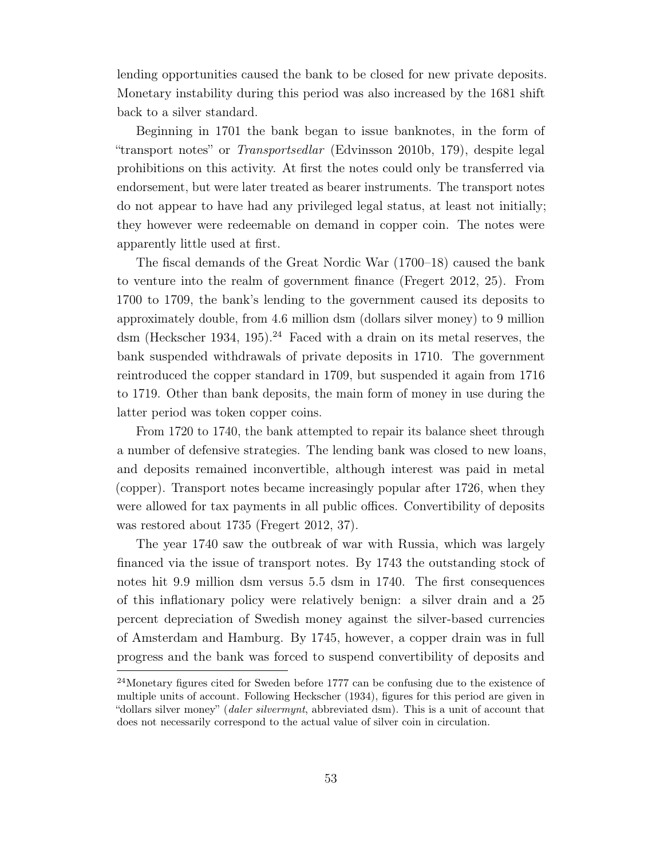lending opportunities caused the bank to be closed for new private deposits. Monetary instability during this period was also increased by the 1681 shift back to a silver standard.

Beginning in 1701 the bank began to issue banknotes, in the form of "transport notes" or Transportsedlar [\(Edvinsson 2010b,](#page-86-4) 179), despite legal prohibitions on this activity. At first the notes could only be transferred via endorsement, but were later treated as bearer instruments. The transport notes do not appear to have had any privileged legal status, at least not initially; they however were redeemable on demand in copper coin. The notes were apparently little used at first.

The fiscal demands of the Great Nordic War (1700–18) caused the bank to venture into the realm of government finance [\(Fregert 2012,](#page-87-6) 25). From 1700 to 1709, the bank's lending to the government caused its deposits to approximately double, from 4.6 million dsm (dollars silver money) to 9 million dsm [\(Heckscher 1934,](#page-87-5) 195).<sup>[24](#page-53-0)</sup> Faced with a drain on its metal reserves, the bank suspended withdrawals of private deposits in 1710. The government reintroduced the copper standard in 1709, but suspended it again from 1716 to 1719. Other than bank deposits, the main form of money in use during the latter period was token copper coins.

From 1720 to 1740, the bank attempted to repair its balance sheet through a number of defensive strategies. The lending bank was closed to new loans, and deposits remained inconvertible, although interest was paid in metal (copper). Transport notes became increasingly popular after 1726, when they were allowed for tax payments in all public offices. Convertibility of deposits was restored about 1735 [\(Fregert 2012,](#page-87-6) 37).

The year 1740 saw the outbreak of war with Russia, which was largely financed via the issue of transport notes. By 1743 the outstanding stock of notes hit 9.9 million dsm versus 5.5 dsm in 1740. The first consequences of this inflationary policy were relatively benign: a silver drain and a 25 percent depreciation of Swedish money against the silver-based currencies of Amsterdam and Hamburg. By 1745, however, a copper drain was in full progress and the bank was forced to suspend convertibility of deposits and

<span id="page-53-0"></span><sup>&</sup>lt;sup>24</sup>Monetary figures cited for Sweden before 1777 can be confusing due to the existence of multiple units of account. Following [Heckscher](#page-87-5) [\(1934\)](#page-87-5), figures for this period are given in "dollars silver money" (daler silvermynt, abbreviated dsm). This is a unit of account that does not necessarily correspond to the actual value of silver coin in circulation.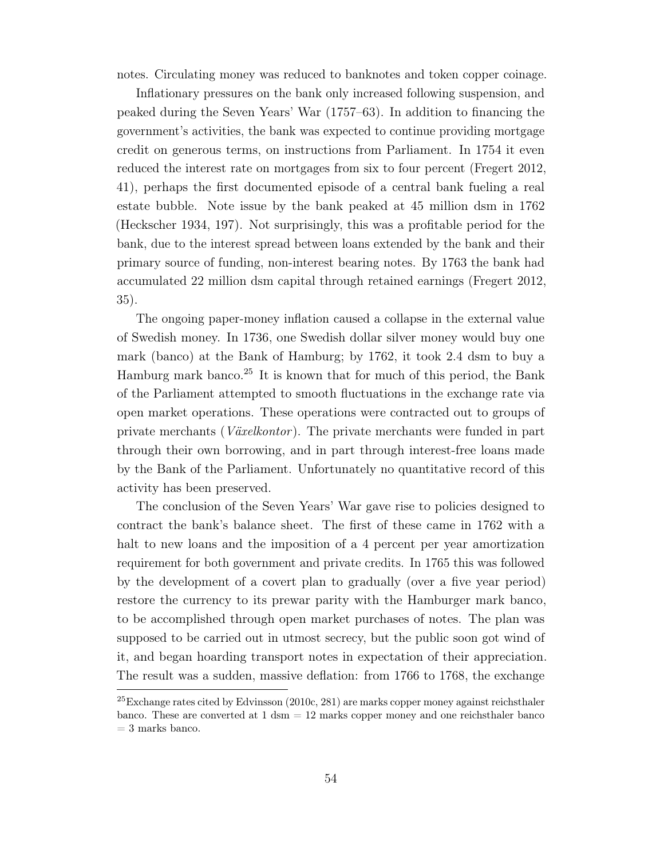notes. Circulating money was reduced to banknotes and token copper coinage.

Inflationary pressures on the bank only increased following suspension, and peaked during the Seven Years' War (1757–63). In addition to financing the government's activities, the bank was expected to continue providing mortgage credit on generous terms, on instructions from Parliament. In 1754 it even reduced the interest rate on mortgages from six to four percent [\(Fregert 2012,](#page-87-6) 41), perhaps the first documented episode of a central bank fueling a real estate bubble. Note issue by the bank peaked at 45 million dsm in 1762 [\(Heckscher 1934,](#page-87-5) 197). Not surprisingly, this was a profitable period for the bank, due to the interest spread between loans extended by the bank and their primary source of funding, non-interest bearing notes. By 1763 the bank had accumulated 22 million dsm capital through retained earnings [\(Fregert 2012,](#page-87-6) 35).

The ongoing paper-money inflation caused a collapse in the external value of Swedish money. In 1736, one Swedish dollar silver money would buy one mark (banco) at the Bank of Hamburg; by 1762, it took 2.4 dsm to buy a Hamburg mark banco.<sup>[25](#page-54-0)</sup> It is known that for much of this period, the Bank of the Parliament attempted to smooth fluctuations in the exchange rate via open market operations. These operations were contracted out to groups of private merchants (*Växelkontor*). The private merchants were funded in part through their own borrowing, and in part through interest-free loans made by the Bank of the Parliament. Unfortunately no quantitative record of this activity has been preserved.

The conclusion of the Seven Years' War gave rise to policies designed to contract the bank's balance sheet. The first of these came in 1762 with a halt to new loans and the imposition of a 4 percent per year amortization requirement for both government and private credits. In 1765 this was followed by the development of a covert plan to gradually (over a five year period) restore the currency to its prewar parity with the Hamburger mark banco, to be accomplished through open market purchases of notes. The plan was supposed to be carried out in utmost secrecy, but the public soon got wind of it, and began hoarding transport notes in expectation of their appreciation. The result was a sudden, massive deflation: from 1766 to 1768, the exchange

<span id="page-54-0"></span> $^{25}$ Exchange rates cited by [Edvinsson](#page-87-4) [\(2010c,](#page-87-4) 281) are marks copper money against reichsthaler banco. These are converted at  $1 \text{ dsm} = 12 \text{ marks copper money and one reichsthaler banco}$  $=$  3 marks banco.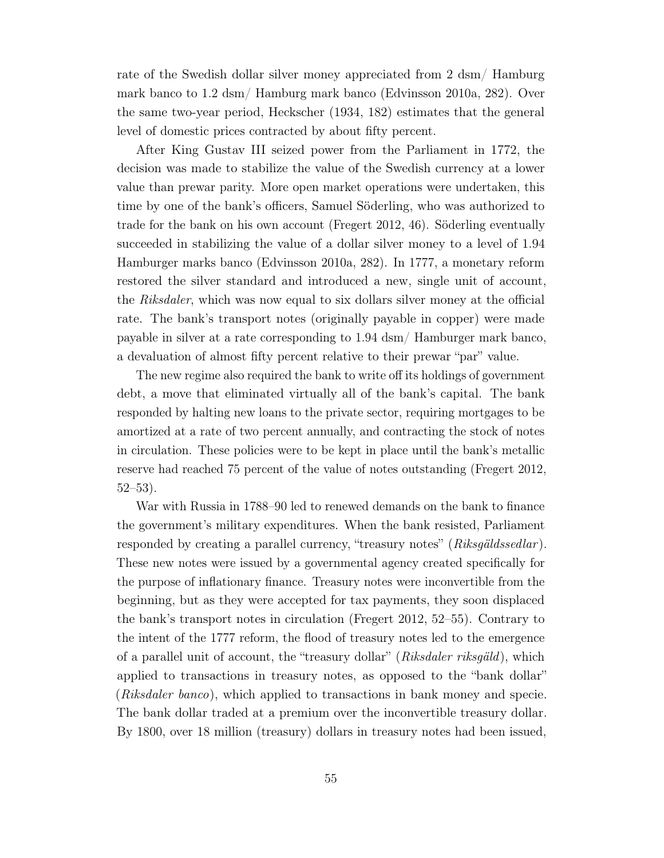rate of the Swedish dollar silver money appreciated from 2 dsm/ Hamburg mark banco to 1.2 dsm/ Hamburg mark banco [\(Edvinsson 2010a,](#page-86-3) 282). Over the same two-year period, [Heckscher](#page-87-5) [\(1934,](#page-87-5) 182) estimates that the general level of domestic prices contracted by about fifty percent.

After King Gustav III seized power from the Parliament in 1772, the decision was made to stabilize the value of the Swedish currency at a lower value than prewar parity. More open market operations were undertaken, this time by one of the bank's officers, Samuel Söderling, who was authorized to trade for the bank on his own account [\(Fregert 2012,](#page-87-6) 46). Söderling eventually succeeded in stabilizing the value of a dollar silver money to a level of 1.94 Hamburger marks banco [\(Edvinsson 2010a,](#page-86-3) 282). In 1777, a monetary reform restored the silver standard and introduced a new, single unit of account, the Riksdaler, which was now equal to six dollars silver money at the official rate. The bank's transport notes (originally payable in copper) were made payable in silver at a rate corresponding to 1.94 dsm/ Hamburger mark banco, a devaluation of almost fifty percent relative to their prewar "par" value.

The new regime also required the bank to write off its holdings of government debt, a move that eliminated virtually all of the bank's capital. The bank responded by halting new loans to the private sector, requiring mortgages to be amortized at a rate of two percent annually, and contracting the stock of notes in circulation. These policies were to be kept in place until the bank's metallic reserve had reached 75 percent of the value of notes outstanding [\(Fregert 2012,](#page-87-6) 52–53).

War with Russia in 1788–90 led to renewed demands on the bank to finance the government's military expenditures. When the bank resisted, Parliament responded by creating a parallel currency, "treasury notes" (Riksgäldssedlar). These new notes were issued by a governmental agency created specifically for the purpose of inflationary finance. Treasury notes were inconvertible from the beginning, but as they were accepted for tax payments, they soon displaced the bank's transport notes in circulation [\(Fregert 2012,](#page-87-6) 52–55). Contrary to the intent of the 1777 reform, the flood of treasury notes led to the emergence of a parallel unit of account, the "treasury dollar" (Riksdaler riksgäld), which applied to transactions in treasury notes, as opposed to the "bank dollar" (*Riksdaler banco*), which applied to transactions in bank money and specie. The bank dollar traded at a premium over the inconvertible treasury dollar. By 1800, over 18 million (treasury) dollars in treasury notes had been issued,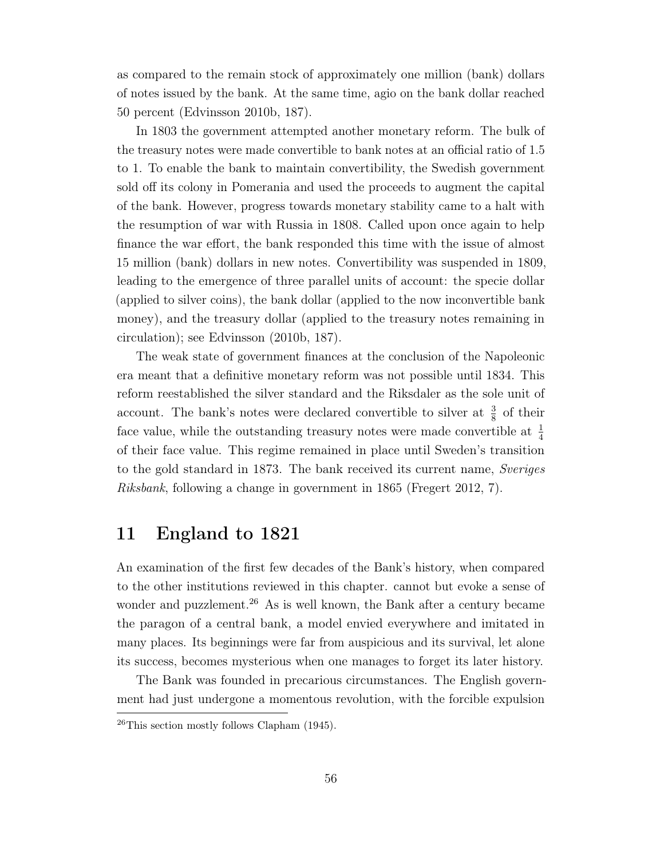as compared to the remain stock of approximately one million (bank) dollars of notes issued by the bank. At the same time, agio on the bank dollar reached 50 percent [\(Edvinsson 2010b,](#page-86-4) 187).

In 1803 the government attempted another monetary reform. The bulk of the treasury notes were made convertible to bank notes at an official ratio of 1.5 to 1. To enable the bank to maintain convertibility, the Swedish government sold off its colony in Pomerania and used the proceeds to augment the capital of the bank. However, progress towards monetary stability came to a halt with the resumption of war with Russia in 1808. Called upon once again to help finance the war effort, the bank responded this time with the issue of almost 15 million (bank) dollars in new notes. Convertibility was suspended in 1809, leading to the emergence of three parallel units of account: the specie dollar (applied to silver coins), the bank dollar (applied to the now inconvertible bank money), and the treasury dollar (applied to the treasury notes remaining in circulation); see [Edvinsson](#page-86-4) [\(2010b,](#page-86-4) 187).

The weak state of government finances at the conclusion of the Napoleonic era meant that a definitive monetary reform was not possible until 1834. This reform reestablished the silver standard and the Riksdaler as the sole unit of account. The bank's notes were declared convertible to silver at  $\frac{3}{8}$  of their face value, while the outstanding treasury notes were made convertible at  $\frac{1}{4}$ of their face value. This regime remained in place until Sweden's transition to the gold standard in 1873. The bank received its current name, Sveriges Riksbank, following a change in government in 1865 [\(Fregert 2012,](#page-87-6) 7).

#### 11 England to 1821

An examination of the first few decades of the Bank's history, when compared to the other institutions reviewed in this chapter. cannot but evoke a sense of wonder and puzzlement.<sup>[26](#page-56-0)</sup> As is well known, the Bank after a century became the paragon of a central bank, a model envied everywhere and imitated in many places. Its beginnings were far from auspicious and its survival, let alone its success, becomes mysterious when one manages to forget its later history.

The Bank was founded in precarious circumstances. The English government had just undergone a momentous revolution, with the forcible expulsion

<span id="page-56-0"></span> $^{26}$ This section mostly follows [Clapham](#page-86-5) [\(1945\)](#page-86-5).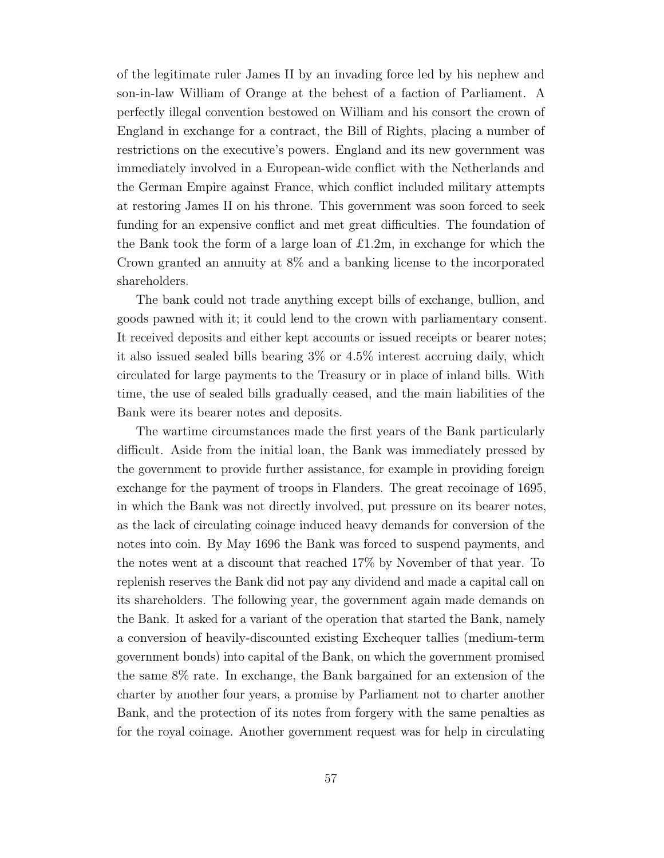of the legitimate ruler James II by an invading force led by his nephew and son-in-law William of Orange at the behest of a faction of Parliament. A perfectly illegal convention bestowed on William and his consort the crown of England in exchange for a contract, the Bill of Rights, placing a number of restrictions on the executive's powers. England and its new government was immediately involved in a European-wide conflict with the Netherlands and the German Empire against France, which conflict included military attempts at restoring James II on his throne. This government was soon forced to seek funding for an expensive conflict and met great difficulties. The foundation of the Bank took the form of a large loan of  $\pounds$ 1.2m, in exchange for which the Crown granted an annuity at 8% and a banking license to the incorporated shareholders.

The bank could not trade anything except bills of exchange, bullion, and goods pawned with it; it could lend to the crown with parliamentary consent. It received deposits and either kept accounts or issued receipts or bearer notes; it also issued sealed bills bearing 3% or 4.5% interest accruing daily, which circulated for large payments to the Treasury or in place of inland bills. With time, the use of sealed bills gradually ceased, and the main liabilities of the Bank were its bearer notes and deposits.

The wartime circumstances made the first years of the Bank particularly difficult. Aside from the initial loan, the Bank was immediately pressed by the government to provide further assistance, for example in providing foreign exchange for the payment of troops in Flanders. The great recoinage of 1695, in which the Bank was not directly involved, put pressure on its bearer notes, as the lack of circulating coinage induced heavy demands for conversion of the notes into coin. By May 1696 the Bank was forced to suspend payments, and the notes went at a discount that reached 17% by November of that year. To replenish reserves the Bank did not pay any dividend and made a capital call on its shareholders. The following year, the government again made demands on the Bank. It asked for a variant of the operation that started the Bank, namely a conversion of heavily-discounted existing Exchequer tallies (medium-term government bonds) into capital of the Bank, on which the government promised the same 8% rate. In exchange, the Bank bargained for an extension of the charter by another four years, a promise by Parliament not to charter another Bank, and the protection of its notes from forgery with the same penalties as for the royal coinage. Another government request was for help in circulating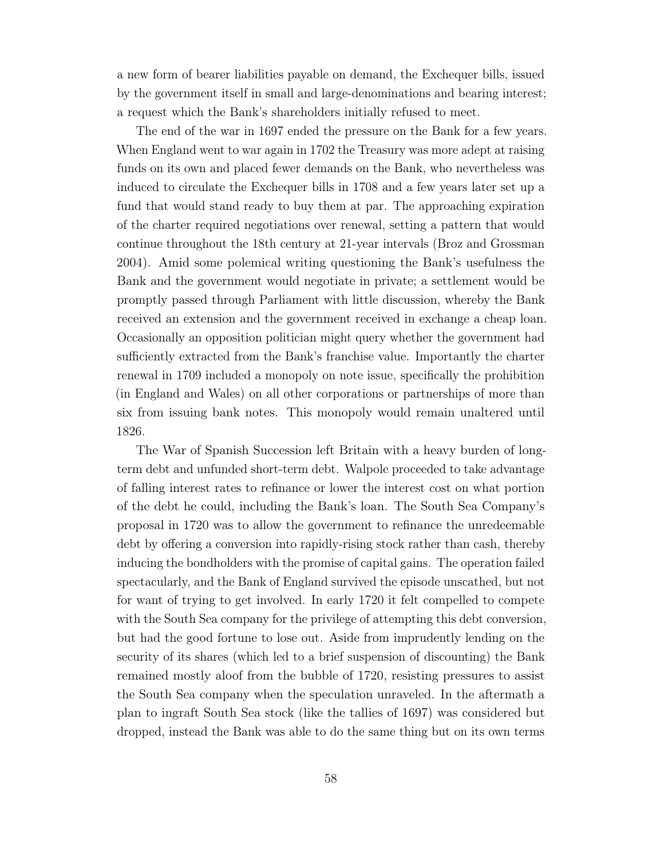a new form of bearer liabilities payable on demand, the Exchequer bills, issued by the government itself in small and large-denominations and bearing interest; a request which the Bank's shareholders initially refused to meet.

The end of the war in 1697 ended the pressure on the Bank for a few years. When England went to war again in 1702 the Treasury was more adept at raising funds on its own and placed fewer demands on the Bank, who nevertheless was induced to circulate the Exchequer bills in 1708 and a few years later set up a fund that would stand ready to buy them at par. The approaching expiration of the charter required negotiations over renewal, setting a pattern that would continue throughout the 18th century at 21-year intervals [\(Broz and Grossman](#page-85-1) [2004\)](#page-85-1). Amid some polemical writing questioning the Bank's usefulness the Bank and the government would negotiate in private; a settlement would be promptly passed through Parliament with little discussion, whereby the Bank received an extension and the government received in exchange a cheap loan. Occasionally an opposition politician might query whether the government had sufficiently extracted from the Bank's franchise value. Importantly the charter renewal in 1709 included a monopoly on note issue, specifically the prohibition (in England and Wales) on all other corporations or partnerships of more than six from issuing bank notes. This monopoly would remain unaltered until 1826.

The War of Spanish Succession left Britain with a heavy burden of longterm debt and unfunded short-term debt. Walpole proceeded to take advantage of falling interest rates to refinance or lower the interest cost on what portion of the debt he could, including the Bank's loan. The South Sea Company's proposal in 1720 was to allow the government to refinance the unredeemable debt by offering a conversion into rapidly-rising stock rather than cash, thereby inducing the bondholders with the promise of capital gains. The operation failed spectacularly, and the Bank of England survived the episode unscathed, but not for want of trying to get involved. In early 1720 it felt compelled to compete with the South Sea company for the privilege of attempting this debt conversion, but had the good fortune to lose out. Aside from imprudently lending on the security of its shares (which led to a brief suspension of discounting) the Bank remained mostly aloof from the bubble of 1720, resisting pressures to assist the South Sea company when the speculation unraveled. In the aftermath a plan to ingraft South Sea stock (like the tallies of 1697) was considered but dropped, instead the Bank was able to do the same thing but on its own terms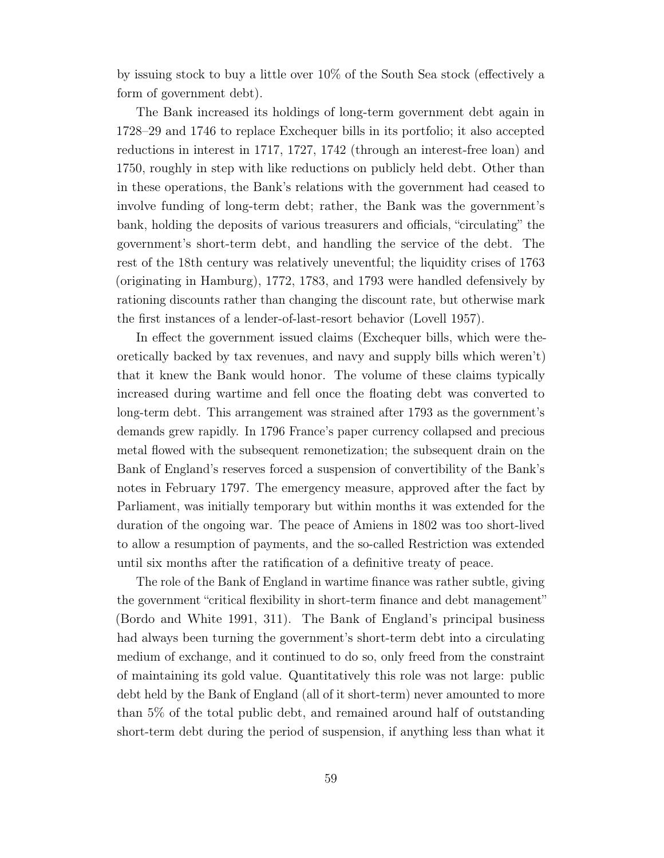by issuing stock to buy a little over 10% of the South Sea stock (effectively a form of government debt).

The Bank increased its holdings of long-term government debt again in 1728–29 and 1746 to replace Exchequer bills in its portfolio; it also accepted reductions in interest in 1717, 1727, 1742 (through an interest-free loan) and 1750, roughly in step with like reductions on publicly held debt. Other than in these operations, the Bank's relations with the government had ceased to involve funding of long-term debt; rather, the Bank was the government's bank, holding the deposits of various treasurers and officials, "circulating" the government's short-term debt, and handling the service of the debt. The rest of the 18th century was relatively uneventful; the liquidity crises of 1763 (originating in Hamburg), 1772, 1783, and 1793 were handled defensively by rationing discounts rather than changing the discount rate, but otherwise mark the first instances of a lender-of-last-resort behavior [\(Lovell 1957\)](#page-88-1).

In effect the government issued claims (Exchequer bills, which were theoretically backed by tax revenues, and navy and supply bills which weren't) that it knew the Bank would honor. The volume of these claims typically increased during wartime and fell once the floating debt was converted to long-term debt. This arrangement was strained after 1793 as the government's demands grew rapidly. In 1796 France's paper currency collapsed and precious metal flowed with the subsequent remonetization; the subsequent drain on the Bank of England's reserves forced a suspension of convertibility of the Bank's notes in February 1797. The emergency measure, approved after the fact by Parliament, was initially temporary but within months it was extended for the duration of the ongoing war. The peace of Amiens in 1802 was too short-lived to allow a resumption of payments, and the so-called Restriction was extended until six months after the ratification of a definitive treaty of peace.

The role of the Bank of England in wartime finance was rather subtle, giving the government "critical flexibility in short-term finance and debt management" [\(Bordo and White 1991,](#page-85-2) 311). The Bank of England's principal business had always been turning the government's short-term debt into a circulating medium of exchange, and it continued to do so, only freed from the constraint of maintaining its gold value. Quantitatively this role was not large: public debt held by the Bank of England (all of it short-term) never amounted to more than 5% of the total public debt, and remained around half of outstanding short-term debt during the period of suspension, if anything less than what it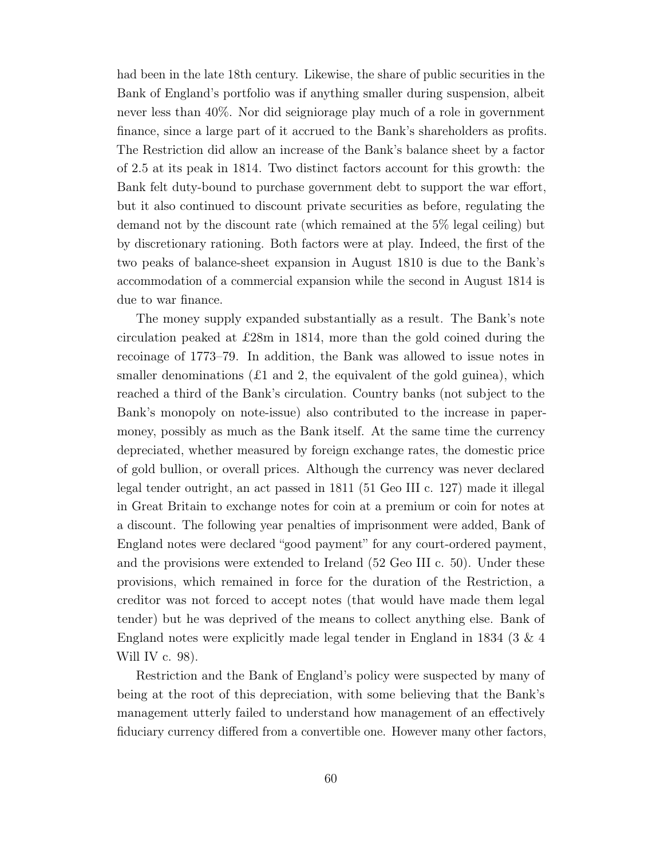had been in the late 18th century. Likewise, the share of public securities in the Bank of England's portfolio was if anything smaller during suspension, albeit never less than 40%. Nor did seigniorage play much of a role in government finance, since a large part of it accrued to the Bank's shareholders as profits. The Restriction did allow an increase of the Bank's balance sheet by a factor of 2.5 at its peak in 1814. Two distinct factors account for this growth: the Bank felt duty-bound to purchase government debt to support the war effort, but it also continued to discount private securities as before, regulating the demand not by the discount rate (which remained at the 5% legal ceiling) but by discretionary rationing. Both factors were at play. Indeed, the first of the two peaks of balance-sheet expansion in August 1810 is due to the Bank's accommodation of a commercial expansion while the second in August 1814 is due to war finance.

The money supply expanded substantially as a result. The Bank's note circulation peaked at £28m in 1814, more than the gold coined during the recoinage of 1773–79. In addition, the Bank was allowed to issue notes in smaller denominations  $(£1$  and  $2$ , the equivalent of the gold guinea), which reached a third of the Bank's circulation. Country banks (not subject to the Bank's monopoly on note-issue) also contributed to the increase in papermoney, possibly as much as the Bank itself. At the same time the currency depreciated, whether measured by foreign exchange rates, the domestic price of gold bullion, or overall prices. Although the currency was never declared legal tender outright, an act passed in 1811 (51 Geo III c. 127) made it illegal in Great Britain to exchange notes for coin at a premium or coin for notes at a discount. The following year penalties of imprisonment were added, Bank of England notes were declared "good payment" for any court-ordered payment, and the provisions were extended to Ireland (52 Geo III c. 50). Under these provisions, which remained in force for the duration of the Restriction, a creditor was not forced to accept notes (that would have made them legal tender) but he was deprived of the means to collect anything else. Bank of England notes were explicitly made legal tender in England in 1834 (3 & 4 Will IV c. 98).

Restriction and the Bank of England's policy were suspected by many of being at the root of this depreciation, with some believing that the Bank's management utterly failed to understand how management of an effectively fiduciary currency differed from a convertible one. However many other factors,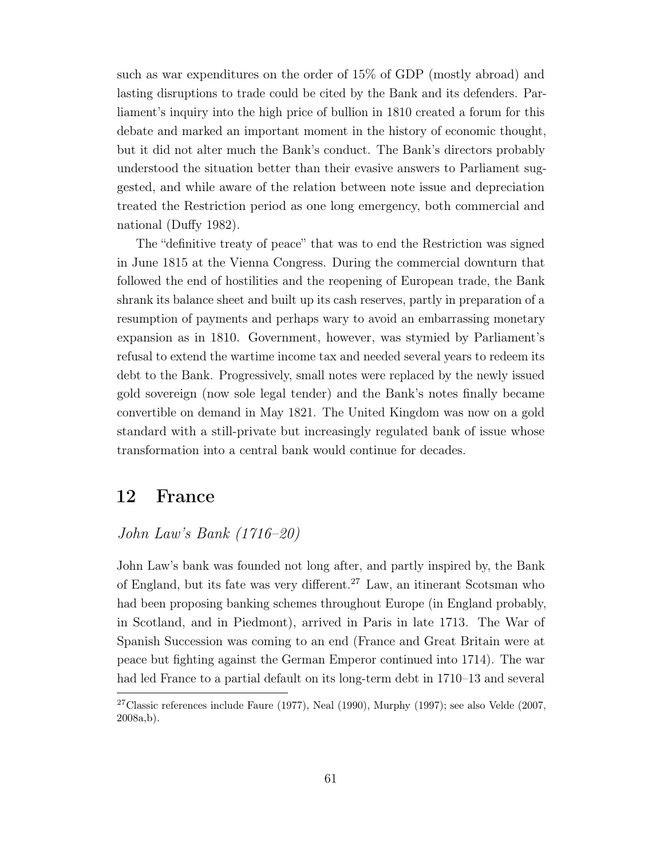such as war expenditures on the order of 15% of GDP (mostly abroad) and lasting disruptions to trade could be cited by the Bank and its defenders. Parliament's inquiry into the high price of bullion in 1810 created a forum for this debate and marked an important moment in the history of economic thought, but it did not alter much the Bank's conduct. The Bank's directors probably understood the situation better than their evasive answers to Parliament suggested, and while aware of the relation between note issue and depreciation treated the Restriction period as one long emergency, both commercial and national [\(Duffy 1982\)](#page-86-6).

The "definitive treaty of peace" that was to end the Restriction was signed in June 1815 at the Vienna Congress. During the commercial downturn that followed the end of hostilities and the reopening of European trade, the Bank shrank its balance sheet and built up its cash reserves, partly in preparation of a resumption of payments and perhaps wary to avoid an embarrassing monetary expansion as in 1810. Government, however, was stymied by Parliament's refusal to extend the wartime income tax and needed several years to redeem its debt to the Bank. Progressively, small notes were replaced by the newly issued gold sovereign (now sole legal tender) and the Bank's notes finally became convertible on demand in May 1821. The United Kingdom was now on a gold standard with a still-private but increasingly regulated bank of issue whose transformation into a central bank would continue for decades.

#### 12 France

#### John Law's Bank (1716–20)

John Law's bank was founded not long after, and partly inspired by, the Bank of England, but its fate was very different.<sup>[27](#page-61-0)</sup> Law, an itinerant Scotsman who had been proposing banking schemes throughout Europe (in England probably, in Scotland, and in Piedmont), arrived in Paris in late 1713. The War of Spanish Succession was coming to an end (France and Great Britain were at peace but fighting against the German Emperor continued into 1714). The war had led France to a partial default on its long-term debt in 1710–13 and several

<span id="page-61-0"></span><sup>&</sup>lt;sup>27</sup>Classic references include [Faure](#page-87-7) [\(1977\)](#page-87-7), [Neal](#page-89-2) [\(1990\)](#page-89-2), [Murphy](#page-89-3) [\(1997\)](#page-89-3); see also [Velde](#page-92-4) [\(2007,](#page-92-4) [2008a,](#page-92-5)[b\)](#page-92-6).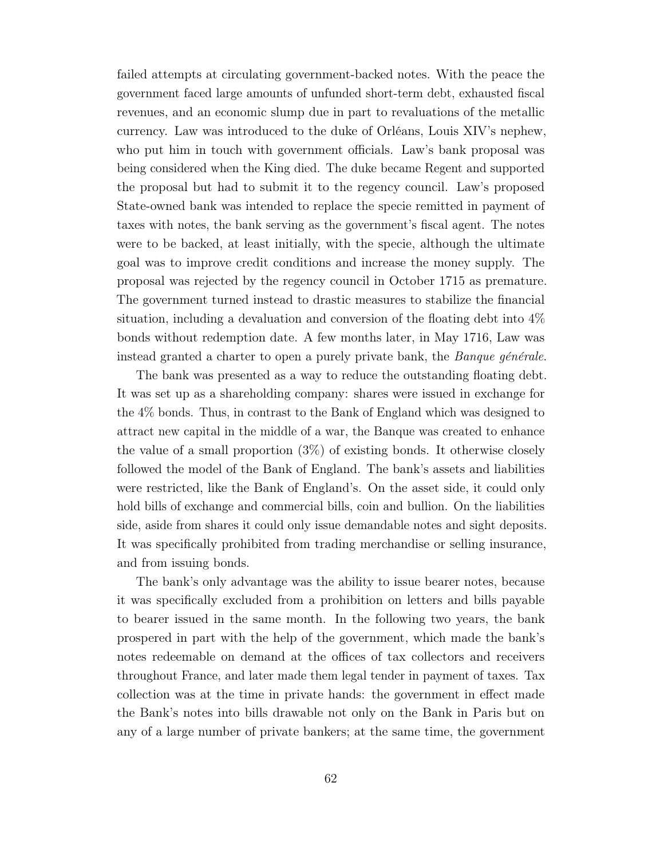failed attempts at circulating government-backed notes. With the peace the government faced large amounts of unfunded short-term debt, exhausted fiscal revenues, and an economic slump due in part to revaluations of the metallic currency. Law was introduced to the duke of Orléans, Louis XIV's nephew, who put him in touch with government officials. Law's bank proposal was being considered when the King died. The duke became Regent and supported the proposal but had to submit it to the regency council. Law's proposed State-owned bank was intended to replace the specie remitted in payment of taxes with notes, the bank serving as the government's fiscal agent. The notes were to be backed, at least initially, with the specie, although the ultimate goal was to improve credit conditions and increase the money supply. The proposal was rejected by the regency council in October 1715 as premature. The government turned instead to drastic measures to stabilize the financial situation, including a devaluation and conversion of the floating debt into 4% bonds without redemption date. A few months later, in May 1716, Law was instead granted a charter to open a purely private bank, the Banque générale.

The bank was presented as a way to reduce the outstanding floating debt. It was set up as a shareholding company: shares were issued in exchange for the 4% bonds. Thus, in contrast to the Bank of England which was designed to attract new capital in the middle of a war, the Banque was created to enhance the value of a small proportion (3%) of existing bonds. It otherwise closely followed the model of the Bank of England. The bank's assets and liabilities were restricted, like the Bank of England's. On the asset side, it could only hold bills of exchange and commercial bills, coin and bullion. On the liabilities side, aside from shares it could only issue demandable notes and sight deposits. It was specifically prohibited from trading merchandise or selling insurance, and from issuing bonds.

The bank's only advantage was the ability to issue bearer notes, because it was specifically excluded from a prohibition on letters and bills payable to bearer issued in the same month. In the following two years, the bank prospered in part with the help of the government, which made the bank's notes redeemable on demand at the offices of tax collectors and receivers throughout France, and later made them legal tender in payment of taxes. Tax collection was at the time in private hands: the government in effect made the Bank's notes into bills drawable not only on the Bank in Paris but on any of a large number of private bankers; at the same time, the government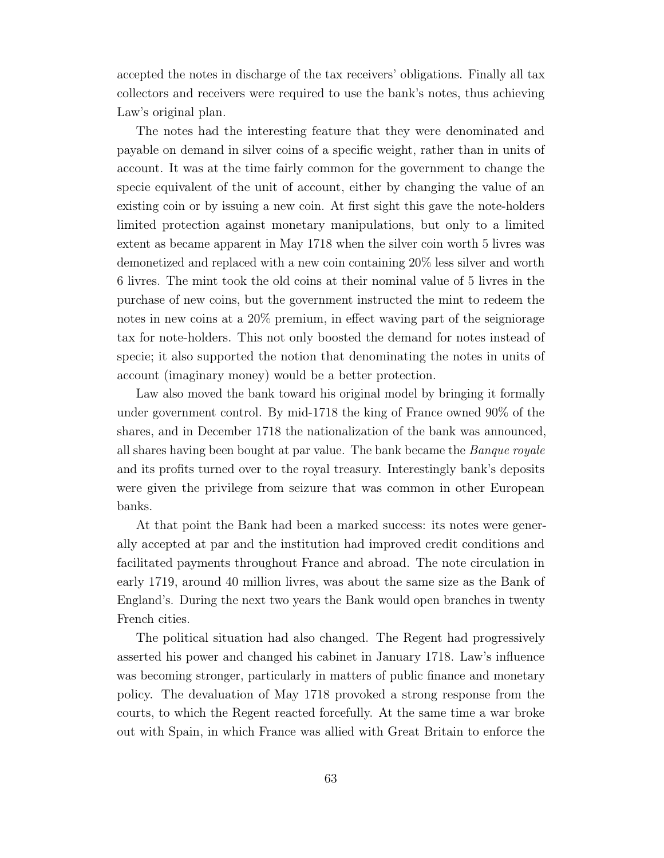accepted the notes in discharge of the tax receivers' obligations. Finally all tax collectors and receivers were required to use the bank's notes, thus achieving Law's original plan.

The notes had the interesting feature that they were denominated and payable on demand in silver coins of a specific weight, rather than in units of account. It was at the time fairly common for the government to change the specie equivalent of the unit of account, either by changing the value of an existing coin or by issuing a new coin. At first sight this gave the note-holders limited protection against monetary manipulations, but only to a limited extent as became apparent in May 1718 when the silver coin worth 5 livres was demonetized and replaced with a new coin containing 20% less silver and worth 6 livres. The mint took the old coins at their nominal value of 5 livres in the purchase of new coins, but the government instructed the mint to redeem the notes in new coins at a 20% premium, in effect waving part of the seigniorage tax for note-holders. This not only boosted the demand for notes instead of specie; it also supported the notion that denominating the notes in units of account (imaginary money) would be a better protection.

Law also moved the bank toward his original model by bringing it formally under government control. By mid-1718 the king of France owned 90% of the shares, and in December 1718 the nationalization of the bank was announced, all shares having been bought at par value. The bank became the Banque royale and its profits turned over to the royal treasury. Interestingly bank's deposits were given the privilege from seizure that was common in other European banks.

At that point the Bank had been a marked success: its notes were generally accepted at par and the institution had improved credit conditions and facilitated payments throughout France and abroad. The note circulation in early 1719, around 40 million livres, was about the same size as the Bank of England's. During the next two years the Bank would open branches in twenty French cities.

The political situation had also changed. The Regent had progressively asserted his power and changed his cabinet in January 1718. Law's influence was becoming stronger, particularly in matters of public finance and monetary policy. The devaluation of May 1718 provoked a strong response from the courts, to which the Regent reacted forcefully. At the same time a war broke out with Spain, in which France was allied with Great Britain to enforce the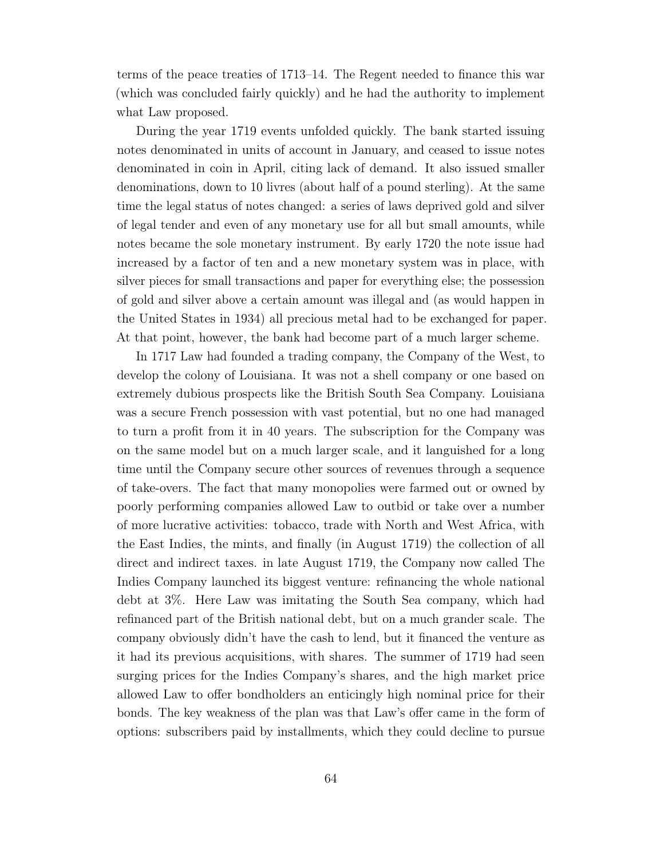terms of the peace treaties of 1713–14. The Regent needed to finance this war (which was concluded fairly quickly) and he had the authority to implement what Law proposed.

During the year 1719 events unfolded quickly. The bank started issuing notes denominated in units of account in January, and ceased to issue notes denominated in coin in April, citing lack of demand. It also issued smaller denominations, down to 10 livres (about half of a pound sterling). At the same time the legal status of notes changed: a series of laws deprived gold and silver of legal tender and even of any monetary use for all but small amounts, while notes became the sole monetary instrument. By early 1720 the note issue had increased by a factor of ten and a new monetary system was in place, with silver pieces for small transactions and paper for everything else; the possession of gold and silver above a certain amount was illegal and (as would happen in the United States in 1934) all precious metal had to be exchanged for paper. At that point, however, the bank had become part of a much larger scheme.

In 1717 Law had founded a trading company, the Company of the West, to develop the colony of Louisiana. It was not a shell company or one based on extremely dubious prospects like the British South Sea Company. Louisiana was a secure French possession with vast potential, but no one had managed to turn a profit from it in 40 years. The subscription for the Company was on the same model but on a much larger scale, and it languished for a long time until the Company secure other sources of revenues through a sequence of take-overs. The fact that many monopolies were farmed out or owned by poorly performing companies allowed Law to outbid or take over a number of more lucrative activities: tobacco, trade with North and West Africa, with the East Indies, the mints, and finally (in August 1719) the collection of all direct and indirect taxes. in late August 1719, the Company now called The Indies Company launched its biggest venture: refinancing the whole national debt at 3%. Here Law was imitating the South Sea company, which had refinanced part of the British national debt, but on a much grander scale. The company obviously didn't have the cash to lend, but it financed the venture as it had its previous acquisitions, with shares. The summer of 1719 had seen surging prices for the Indies Company's shares, and the high market price allowed Law to offer bondholders an enticingly high nominal price for their bonds. The key weakness of the plan was that Law's offer came in the form of options: subscribers paid by installments, which they could decline to pursue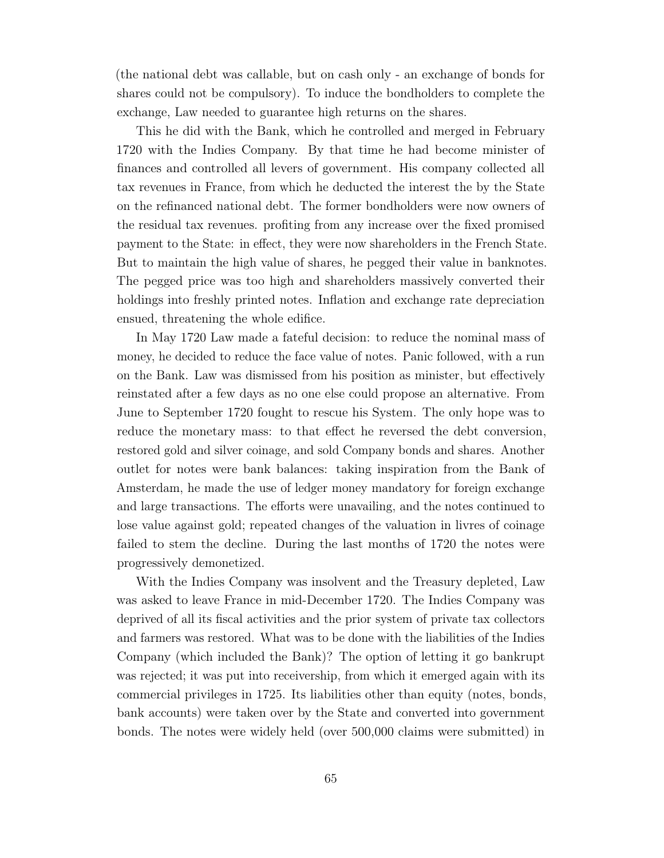(the national debt was callable, but on cash only - an exchange of bonds for shares could not be compulsory). To induce the bondholders to complete the exchange, Law needed to guarantee high returns on the shares.

This he did with the Bank, which he controlled and merged in February 1720 with the Indies Company. By that time he had become minister of finances and controlled all levers of government. His company collected all tax revenues in France, from which he deducted the interest the by the State on the refinanced national debt. The former bondholders were now owners of the residual tax revenues. profiting from any increase over the fixed promised payment to the State: in effect, they were now shareholders in the French State. But to maintain the high value of shares, he pegged their value in banknotes. The pegged price was too high and shareholders massively converted their holdings into freshly printed notes. Inflation and exchange rate depreciation ensued, threatening the whole edifice.

In May 1720 Law made a fateful decision: to reduce the nominal mass of money, he decided to reduce the face value of notes. Panic followed, with a run on the Bank. Law was dismissed from his position as minister, but effectively reinstated after a few days as no one else could propose an alternative. From June to September 1720 fought to rescue his System. The only hope was to reduce the monetary mass: to that effect he reversed the debt conversion, restored gold and silver coinage, and sold Company bonds and shares. Another outlet for notes were bank balances: taking inspiration from the Bank of Amsterdam, he made the use of ledger money mandatory for foreign exchange and large transactions. The efforts were unavailing, and the notes continued to lose value against gold; repeated changes of the valuation in livres of coinage failed to stem the decline. During the last months of 1720 the notes were progressively demonetized.

With the Indies Company was insolvent and the Treasury depleted, Law was asked to leave France in mid-December 1720. The Indies Company was deprived of all its fiscal activities and the prior system of private tax collectors and farmers was restored. What was to be done with the liabilities of the Indies Company (which included the Bank)? The option of letting it go bankrupt was rejected; it was put into receivership, from which it emerged again with its commercial privileges in 1725. Its liabilities other than equity (notes, bonds, bank accounts) were taken over by the State and converted into government bonds. The notes were widely held (over 500,000 claims were submitted) in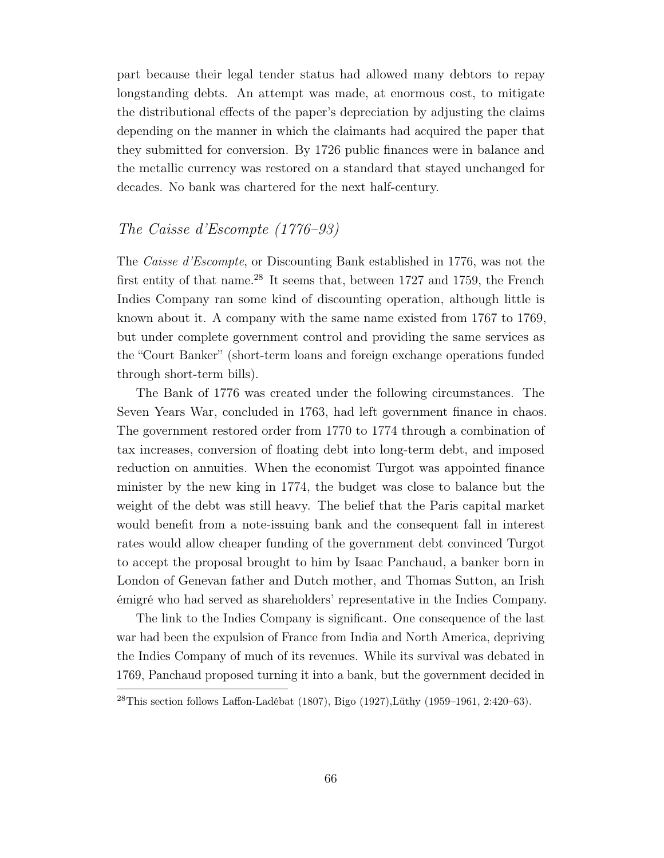part because their legal tender status had allowed many debtors to repay longstanding debts. An attempt was made, at enormous cost, to mitigate the distributional effects of the paper's depreciation by adjusting the claims depending on the manner in which the claimants had acquired the paper that they submitted for conversion. By 1726 public finances were in balance and the metallic currency was restored on a standard that stayed unchanged for decades. No bank was chartered for the next half-century.

#### The Caisse d'Escompte (1776–93)

The Caisse d'Escompte, or Discounting Bank established in 1776, was not the first entity of that name. $^{28}$  $^{28}$  $^{28}$  It seems that, between 1727 and 1759, the French Indies Company ran some kind of discounting operation, although little is known about it. A company with the same name existed from 1767 to 1769, but under complete government control and providing the same services as the "Court Banker" (short-term loans and foreign exchange operations funded through short-term bills).

The Bank of 1776 was created under the following circumstances. The Seven Years War, concluded in 1763, had left government finance in chaos. The government restored order from 1770 to 1774 through a combination of tax increases, conversion of floating debt into long-term debt, and imposed reduction on annuities. When the economist Turgot was appointed finance minister by the new king in 1774, the budget was close to balance but the weight of the debt was still heavy. The belief that the Paris capital market would benefit from a note-issuing bank and the consequent fall in interest rates would allow cheaper funding of the government debt convinced Turgot to accept the proposal brought to him by Isaac Panchaud, a banker born in London of Genevan father and Dutch mother, and Thomas Sutton, an Irish émigré who had served as shareholders' representative in the Indies Company.

The link to the Indies Company is significant. One consequence of the last war had been the expulsion of France from India and North America, depriving the Indies Company of much of its revenues. While its survival was debated in 1769, Panchaud proposed turning it into a bank, but the government decided in

<span id="page-66-0"></span> $^{28}$ This section follows [Laffon-Ladébat](#page-87-8) [\(1807\)](#page-87-8), [Bigo](#page-85-3) [\(1927\)](#page-85-3), Lüthy [\(1959–1961,](#page-88-2) 2:420–63).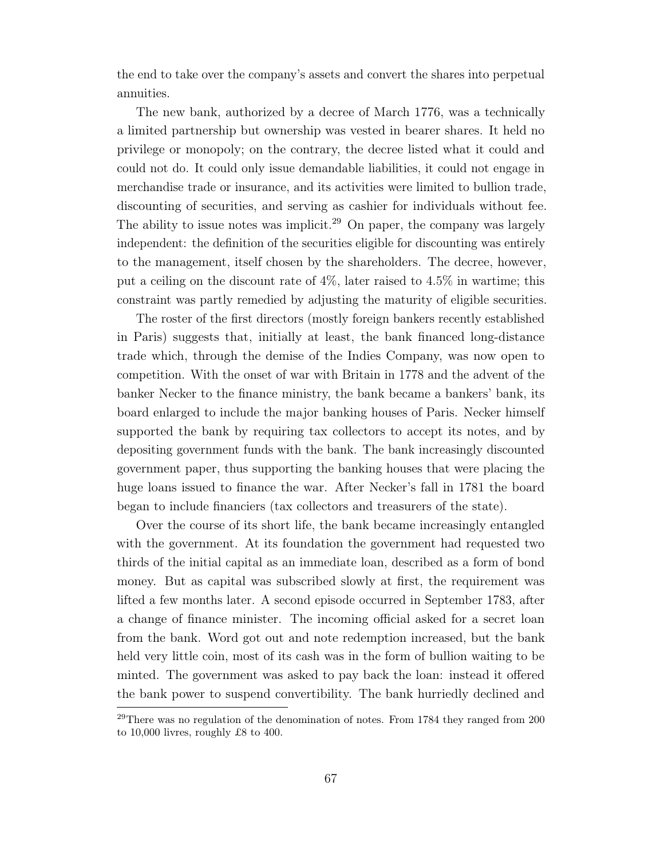the end to take over the company's assets and convert the shares into perpetual annuities.

The new bank, authorized by a decree of March 1776, was a technically a limited partnership but ownership was vested in bearer shares. It held no privilege or monopoly; on the contrary, the decree listed what it could and could not do. It could only issue demandable liabilities, it could not engage in merchandise trade or insurance, and its activities were limited to bullion trade, discounting of securities, and serving as cashier for individuals without fee. The ability to issue notes was implicit.<sup>[29](#page-67-0)</sup> On paper, the company was largely independent: the definition of the securities eligible for discounting was entirely to the management, itself chosen by the shareholders. The decree, however, put a ceiling on the discount rate of 4%, later raised to 4.5% in wartime; this constraint was partly remedied by adjusting the maturity of eligible securities.

The roster of the first directors (mostly foreign bankers recently established in Paris) suggests that, initially at least, the bank financed long-distance trade which, through the demise of the Indies Company, was now open to competition. With the onset of war with Britain in 1778 and the advent of the banker Necker to the finance ministry, the bank became a bankers' bank, its board enlarged to include the major banking houses of Paris. Necker himself supported the bank by requiring tax collectors to accept its notes, and by depositing government funds with the bank. The bank increasingly discounted government paper, thus supporting the banking houses that were placing the huge loans issued to finance the war. After Necker's fall in 1781 the board began to include financiers (tax collectors and treasurers of the state).

Over the course of its short life, the bank became increasingly entangled with the government. At its foundation the government had requested two thirds of the initial capital as an immediate loan, described as a form of bond money. But as capital was subscribed slowly at first, the requirement was lifted a few months later. A second episode occurred in September 1783, after a change of finance minister. The incoming official asked for a secret loan from the bank. Word got out and note redemption increased, but the bank held very little coin, most of its cash was in the form of bullion waiting to be minted. The government was asked to pay back the loan: instead it offered the bank power to suspend convertibility. The bank hurriedly declined and

<span id="page-67-0"></span> $29$ There was no regulation of the denomination of notes. From 1784 they ranged from 200 to 10,000 livres, roughly £8 to 400.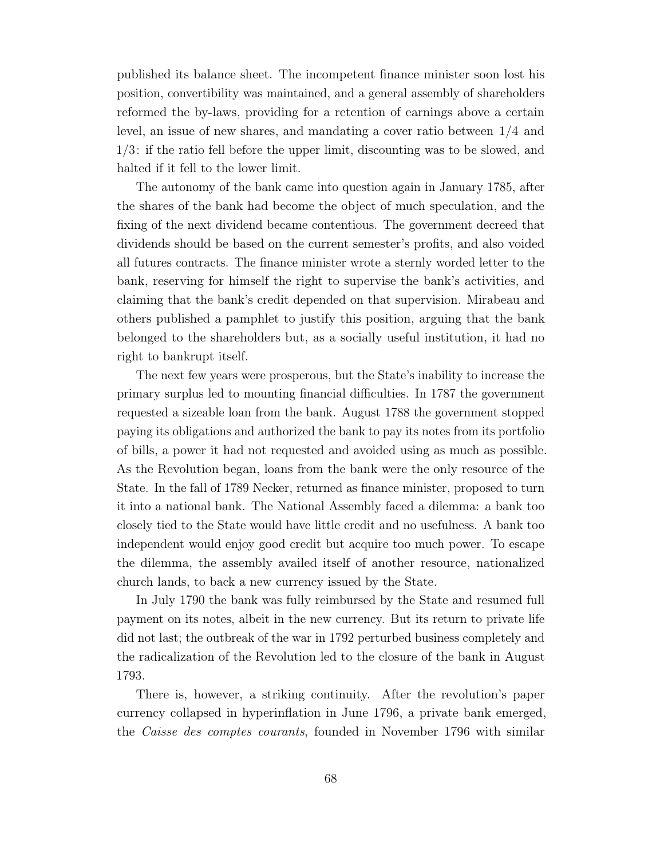published its balance sheet. The incompetent finance minister soon lost his position, convertibility was maintained, and a general assembly of shareholders reformed the by-laws, providing for a retention of earnings above a certain level, an issue of new shares, and mandating a cover ratio between 1/4 and 1/3: if the ratio fell before the upper limit, discounting was to be slowed, and halted if it fell to the lower limit.

The autonomy of the bank came into question again in January 1785, after the shares of the bank had become the object of much speculation, and the fixing of the next dividend became contentious. The government decreed that dividends should be based on the current semester's profits, and also voided all futures contracts. The finance minister wrote a sternly worded letter to the bank, reserving for himself the right to supervise the bank's activities, and claiming that the bank's credit depended on that supervision. Mirabeau and others published a pamphlet to justify this position, arguing that the bank belonged to the shareholders but, as a socially useful institution, it had no right to bankrupt itself.

The next few years were prosperous, but the State's inability to increase the primary surplus led to mounting financial difficulties. In 1787 the government requested a sizeable loan from the bank. August 1788 the government stopped paying its obligations and authorized the bank to pay its notes from its portfolio of bills, a power it had not requested and avoided using as much as possible. As the Revolution began, loans from the bank were the only resource of the State. In the fall of 1789 Necker, returned as finance minister, proposed to turn it into a national bank. The National Assembly faced a dilemma: a bank too closely tied to the State would have little credit and no usefulness. A bank too independent would enjoy good credit but acquire too much power. To escape the dilemma, the assembly availed itself of another resource, nationalized church lands, to back a new currency issued by the State.

In July 1790 the bank was fully reimbursed by the State and resumed full payment on its notes, albeit in the new currency. But its return to private life did not last; the outbreak of the war in 1792 perturbed business completely and the radicalization of the Revolution led to the closure of the bank in August 1793.

There is, however, a striking continuity. After the revolution's paper currency collapsed in hyperinflation in June 1796, a private bank emerged, the *Caisse des comptes courants*, founded in November 1796 with similar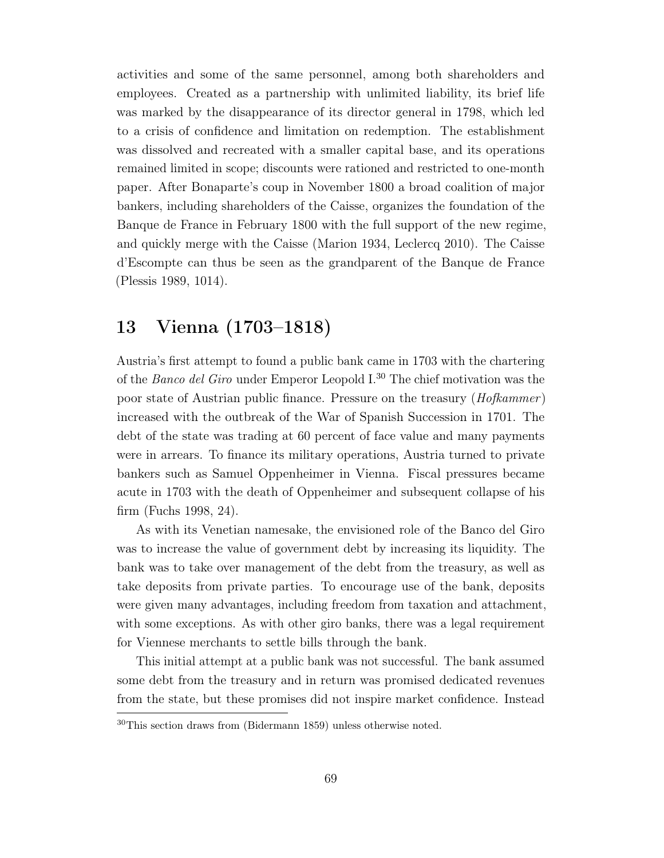activities and some of the same personnel, among both shareholders and employees. Created as a partnership with unlimited liability, its brief life was marked by the disappearance of its director general in 1798, which led to a crisis of confidence and limitation on redemption. The establishment was dissolved and recreated with a smaller capital base, and its operations remained limited in scope; discounts were rationed and restricted to one-month paper. After Bonaparte's coup in November 1800 a broad coalition of major bankers, including shareholders of the Caisse, organizes the foundation of the Banque de France in February 1800 with the full support of the new regime, and quickly merge with the Caisse [\(Marion 1934,](#page-88-3) [Leclercq 2010\)](#page-88-4). The Caisse d'Escompte can thus be seen as the grandparent of the Banque de France [\(Plessis 1989,](#page-89-4) 1014).

## 13 Vienna (1703–1818)

Austria's first attempt to found a public bank came in 1703 with the chartering of the Banco del Giro under Emperor Leopold I.<sup>[30](#page-69-0)</sup> The chief motivation was the poor state of Austrian public finance. Pressure on the treasury (*Hofkammer*) increased with the outbreak of the War of Spanish Succession in 1701. The debt of the state was trading at 60 percent of face value and many payments were in arrears. To finance its military operations, Austria turned to private bankers such as Samuel Oppenheimer in Vienna. Fiscal pressures became acute in 1703 with the death of Oppenheimer and subsequent collapse of his firm [\(Fuchs 1998,](#page-87-9) 24).

As with its Venetian namesake, the envisioned role of the Banco del Giro was to increase the value of government debt by increasing its liquidity. The bank was to take over management of the debt from the treasury, as well as take deposits from private parties. To encourage use of the bank, deposits were given many advantages, including freedom from taxation and attachment, with some exceptions. As with other giro banks, there was a legal requirement for Viennese merchants to settle bills through the bank.

This initial attempt at a public bank was not successful. The bank assumed some debt from the treasury and in return was promised dedicated revenues from the state, but these promises did not inspire market confidence. Instead

<span id="page-69-0"></span><sup>30</sup>This section draws from [\(Bidermann 1859\)](#page-85-4) unless otherwise noted.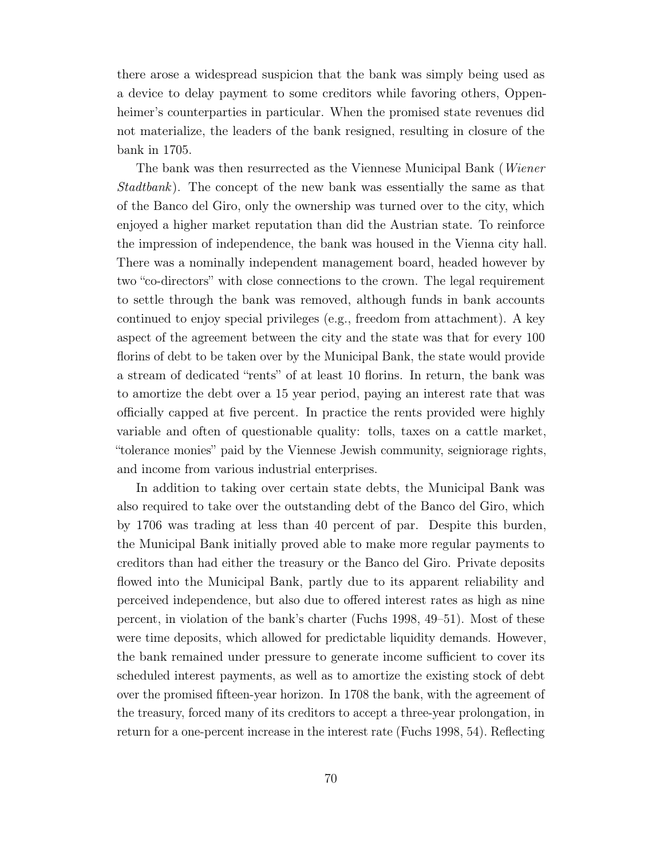there arose a widespread suspicion that the bank was simply being used as a device to delay payment to some creditors while favoring others, Oppenheimer's counterparties in particular. When the promised state revenues did not materialize, the leaders of the bank resigned, resulting in closure of the bank in 1705.

The bank was then resurrected as the Viennese Municipal Bank (Wiener Stadtbank ). The concept of the new bank was essentially the same as that of the Banco del Giro, only the ownership was turned over to the city, which enjoyed a higher market reputation than did the Austrian state. To reinforce the impression of independence, the bank was housed in the Vienna city hall. There was a nominally independent management board, headed however by two "co-directors" with close connections to the crown. The legal requirement to settle through the bank was removed, although funds in bank accounts continued to enjoy special privileges (e.g., freedom from attachment). A key aspect of the agreement between the city and the state was that for every 100 florins of debt to be taken over by the Municipal Bank, the state would provide a stream of dedicated "rents" of at least 10 florins. In return, the bank was to amortize the debt over a 15 year period, paying an interest rate that was officially capped at five percent. In practice the rents provided were highly variable and often of questionable quality: tolls, taxes on a cattle market, "tolerance monies" paid by the Viennese Jewish community, seigniorage rights, and income from various industrial enterprises.

In addition to taking over certain state debts, the Municipal Bank was also required to take over the outstanding debt of the Banco del Giro, which by 1706 was trading at less than 40 percent of par. Despite this burden, the Municipal Bank initially proved able to make more regular payments to creditors than had either the treasury or the Banco del Giro. Private deposits flowed into the Municipal Bank, partly due to its apparent reliability and perceived independence, but also due to offered interest rates as high as nine percent, in violation of the bank's charter [\(Fuchs 1998,](#page-87-9) 49–51). Most of these were time deposits, which allowed for predictable liquidity demands. However, the bank remained under pressure to generate income sufficient to cover its scheduled interest payments, as well as to amortize the existing stock of debt over the promised fifteen-year horizon. In 1708 the bank, with the agreement of the treasury, forced many of its creditors to accept a three-year prolongation, in return for a one-percent increase in the interest rate [\(Fuchs 1998,](#page-87-9) 54). Reflecting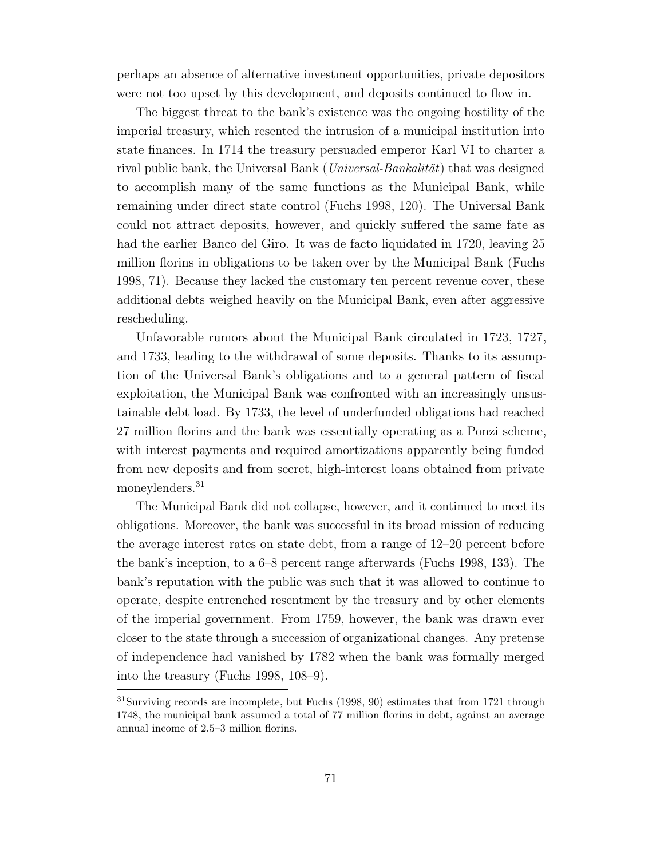perhaps an absence of alternative investment opportunities, private depositors were not too upset by this development, and deposits continued to flow in.

The biggest threat to the bank's existence was the ongoing hostility of the imperial treasury, which resented the intrusion of a municipal institution into state finances. In 1714 the treasury persuaded emperor Karl VI to charter a rival public bank, the Universal Bank (Universal-Bankalität) that was designed to accomplish many of the same functions as the Municipal Bank, while remaining under direct state control [\(Fuchs 1998,](#page-87-9) 120). The Universal Bank could not attract deposits, however, and quickly suffered the same fate as had the earlier Banco del Giro. It was de facto liquidated in 1720, leaving 25 million florins in obligations to be taken over by the Municipal Bank [\(Fuchs](#page-87-9) [1998,](#page-87-9) 71). Because they lacked the customary ten percent revenue cover, these additional debts weighed heavily on the Municipal Bank, even after aggressive rescheduling.

Unfavorable rumors about the Municipal Bank circulated in 1723, 1727, and 1733, leading to the withdrawal of some deposits. Thanks to its assumption of the Universal Bank's obligations and to a general pattern of fiscal exploitation, the Municipal Bank was confronted with an increasingly unsustainable debt load. By 1733, the level of underfunded obligations had reached 27 million florins and the bank was essentially operating as a Ponzi scheme, with interest payments and required amortizations apparently being funded from new deposits and from secret, high-interest loans obtained from private moneylenders.<sup>[31](#page-71-0)</sup>

The Municipal Bank did not collapse, however, and it continued to meet its obligations. Moreover, the bank was successful in its broad mission of reducing the average interest rates on state debt, from a range of 12–20 percent before the bank's inception, to a 6–8 percent range afterwards [\(Fuchs 1998,](#page-87-9) 133). The bank's reputation with the public was such that it was allowed to continue to operate, despite entrenched resentment by the treasury and by other elements of the imperial government. From 1759, however, the bank was drawn ever closer to the state through a succession of organizational changes. Any pretense of independence had vanished by 1782 when the bank was formally merged into the treasury [\(Fuchs 1998,](#page-87-9) 108–9).

<span id="page-71-0"></span><sup>31</sup>Surviving records are incomplete, but [Fuchs](#page-87-9) [\(1998,](#page-87-9) 90) estimates that from 1721 through 1748, the municipal bank assumed a total of 77 million florins in debt, against an average annual income of 2.5–3 million florins.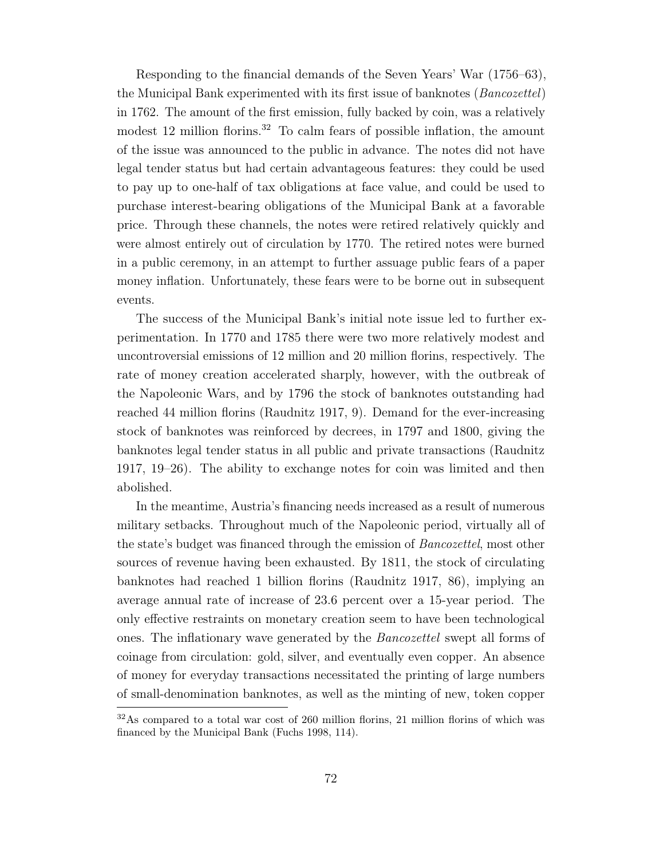Responding to the financial demands of the Seven Years' War (1756–63), the Municipal Bank experimented with its first issue of banknotes (*Bancozettel*) in 1762. The amount of the first emission, fully backed by coin, was a relatively modest 12 million florins.<sup>[32](#page-72-0)</sup> To calm fears of possible inflation, the amount of the issue was announced to the public in advance. The notes did not have legal tender status but had certain advantageous features: they could be used to pay up to one-half of tax obligations at face value, and could be used to purchase interest-bearing obligations of the Municipal Bank at a favorable price. Through these channels, the notes were retired relatively quickly and were almost entirely out of circulation by 1770. The retired notes were burned in a public ceremony, in an attempt to further assuage public fears of a paper money inflation. Unfortunately, these fears were to be borne out in subsequent events.

The success of the Municipal Bank's initial note issue led to further experimentation. In 1770 and 1785 there were two more relatively modest and uncontroversial emissions of 12 million and 20 million florins, respectively. The rate of money creation accelerated sharply, however, with the outbreak of the Napoleonic Wars, and by 1796 the stock of banknotes outstanding had reached 44 million florins [\(Raudnitz 1917,](#page-90-0) 9). Demand for the ever-increasing stock of banknotes was reinforced by decrees, in 1797 and 1800, giving the banknotes legal tender status in all public and private transactions [\(Raudnitz](#page-90-0) [1917,](#page-90-0) 19–26). The ability to exchange notes for coin was limited and then abolished.

In the meantime, Austria's financing needs increased as a result of numerous military setbacks. Throughout much of the Napoleonic period, virtually all of the state's budget was financed through the emission of *Bancozettel*, most other sources of revenue having been exhausted. By 1811, the stock of circulating banknotes had reached 1 billion florins [\(Raudnitz 1917,](#page-90-0) 86), implying an average annual rate of increase of 23.6 percent over a 15-year period. The only effective restraints on monetary creation seem to have been technological ones. The inflationary wave generated by the Bancozettel swept all forms of coinage from circulation: gold, silver, and eventually even copper. An absence of money for everyday transactions necessitated the printing of large numbers of small-denomination banknotes, as well as the minting of new, token copper

<span id="page-72-0"></span><sup>32</sup>As compared to a total war cost of 260 million florins, 21 million florins of which was financed by the Municipal Bank [\(Fuchs 1998,](#page-87-0) 114).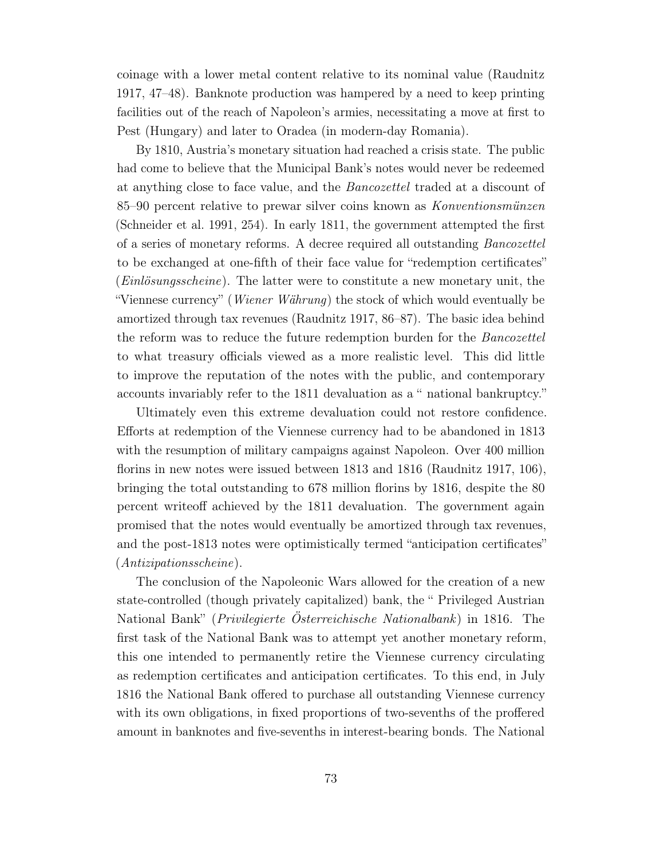coinage with a lower metal content relative to its nominal value [\(Raudnitz](#page-90-0) [1917,](#page-90-0) 47–48). Banknote production was hampered by a need to keep printing facilities out of the reach of Napoleon's armies, necessitating a move at first to Pest (Hungary) and later to Oradea (in modern-day Romania).

By 1810, Austria's monetary situation had reached a crisis state. The public had come to believe that the Municipal Bank's notes would never be redeemed at anything close to face value, and the Bancozettel traded at a discount of 85–90 percent relative to prewar silver coins known as Konventionsmünzen [\(Schneider et al. 1991,](#page-90-1) 254). In early 1811, the government attempted the first of a series of monetary reforms. A decree required all outstanding Bancozettel to be exchanged at one-fifth of their face value for "redemption certificates" (Einlösungsscheine). The latter were to constitute a new monetary unit, the "Viennese currency" (Wiener Währung) the stock of which would eventually be amortized through tax revenues [\(Raudnitz 1917,](#page-90-0) 86–87). The basic idea behind the reform was to reduce the future redemption burden for the *Bancozettel* to what treasury officials viewed as a more realistic level. This did little to improve the reputation of the notes with the public, and contemporary accounts invariably refer to the 1811 devaluation as a " national bankruptcy."

Ultimately even this extreme devaluation could not restore confidence. Efforts at redemption of the Viennese currency had to be abandoned in 1813 with the resumption of military campaigns against Napoleon. Over 400 million florins in new notes were issued between 1813 and 1816 [\(Raudnitz 1917,](#page-90-0) 106), bringing the total outstanding to 678 million florins by 1816, despite the 80 percent writeoff achieved by the 1811 devaluation. The government again promised that the notes would eventually be amortized through tax revenues, and the post-1813 notes were optimistically termed "anticipation certificates" (Antizipationsscheine).

The conclusion of the Napoleonic Wars allowed for the creation of a new state-controlled (though privately capitalized) bank, the " Privileged Austrian National Bank" (*Privilegierte Österreichische Nationalbank*) in 1816. The first task of the National Bank was to attempt yet another monetary reform, this one intended to permanently retire the Viennese currency circulating as redemption certificates and anticipation certificates. To this end, in July 1816 the National Bank offered to purchase all outstanding Viennese currency with its own obligations, in fixed proportions of two-sevenths of the proffered amount in banknotes and five-sevenths in interest-bearing bonds. The National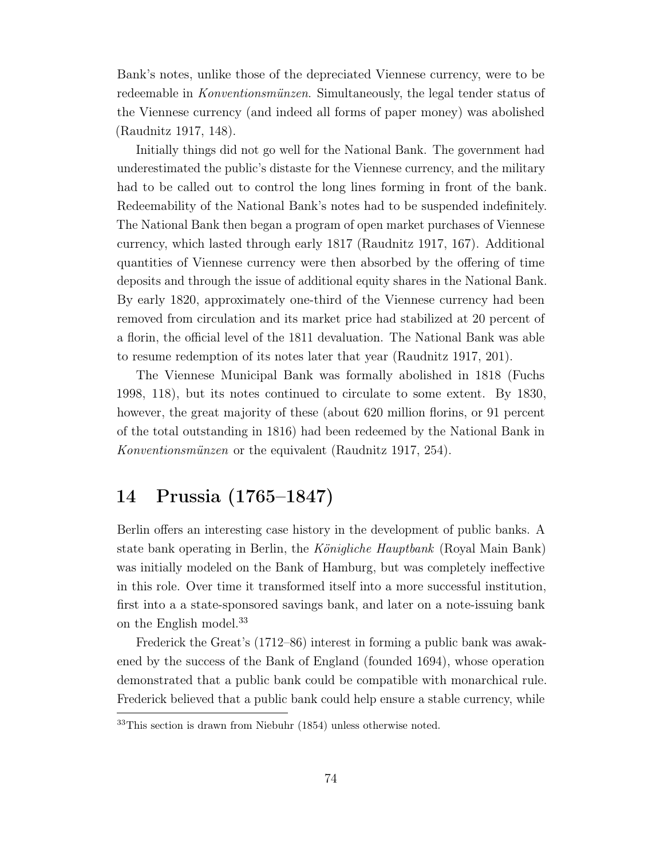Bank's notes, unlike those of the depreciated Viennese currency, were to be redeemable in Konventionsmünzen. Simultaneously, the legal tender status of the Viennese currency (and indeed all forms of paper money) was abolished [\(Raudnitz 1917,](#page-90-0) 148).

Initially things did not go well for the National Bank. The government had underestimated the public's distaste for the Viennese currency, and the military had to be called out to control the long lines forming in front of the bank. Redeemability of the National Bank's notes had to be suspended indefinitely. The National Bank then began a program of open market purchases of Viennese currency, which lasted through early 1817 [\(Raudnitz 1917,](#page-90-0) 167). Additional quantities of Viennese currency were then absorbed by the offering of time deposits and through the issue of additional equity shares in the National Bank. By early 1820, approximately one-third of the Viennese currency had been removed from circulation and its market price had stabilized at 20 percent of a florin, the official level of the 1811 devaluation. The National Bank was able to resume redemption of its notes later that year [\(Raudnitz 1917,](#page-90-0) 201).

The Viennese Municipal Bank was formally abolished in 1818 [\(Fuchs](#page-87-0) [1998,](#page-87-0) 118), but its notes continued to circulate to some extent. By 1830, however, the great majority of these (about 620 million florins, or 91 percent of the total outstanding in 1816) had been redeemed by the National Bank in Konventionsmünzen or the equivalent [\(Raudnitz 1917,](#page-90-0) 254).

# 14 Prussia (1765–1847)

Berlin offers an interesting case history in the development of public banks. A state bank operating in Berlin, the Königliche Hauptbank (Royal Main Bank) was initially modeled on the Bank of Hamburg, but was completely ineffective in this role. Over time it transformed itself into a more successful institution, first into a a state-sponsored savings bank, and later on a note-issuing bank on the English model.[33](#page-74-0)

Frederick the Great's (1712–86) interest in forming a public bank was awakened by the success of the Bank of England (founded 1694), whose operation demonstrated that a public bank could be compatible with monarchical rule. Frederick believed that a public bank could help ensure a stable currency, while

<span id="page-74-0"></span><sup>33</sup>This section is drawn from [Niebuhr](#page-89-0) [\(1854\)](#page-89-0) unless otherwise noted.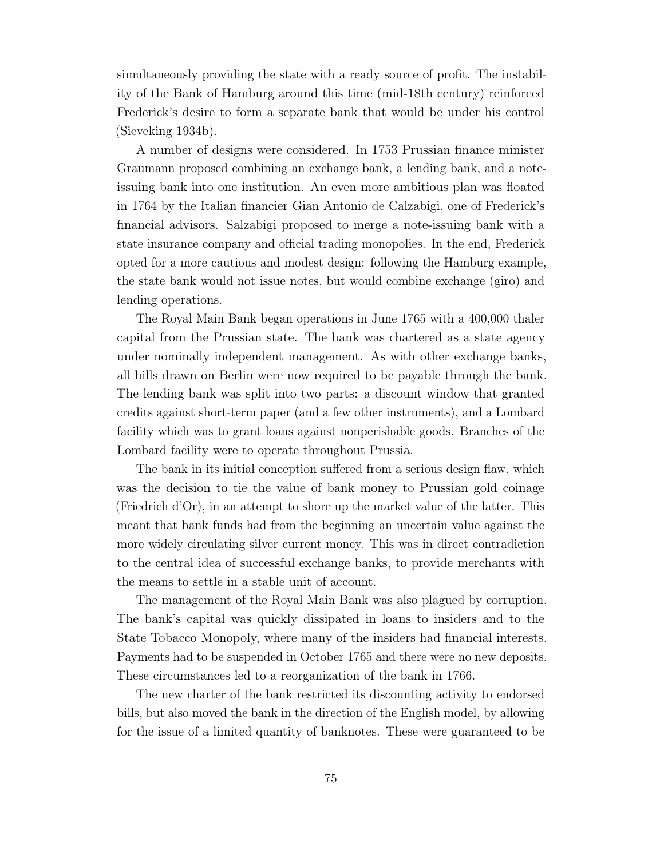simultaneously providing the state with a ready source of profit. The instability of the Bank of Hamburg around this time (mid-18th century) reinforced Frederick's desire to form a separate bank that would be under his control [\(Sieveking 1934b\)](#page-90-2).

A number of designs were considered. In 1753 Prussian finance minister Graumann proposed combining an exchange bank, a lending bank, and a noteissuing bank into one institution. An even more ambitious plan was floated in 1764 by the Italian financier Gian Antonio de Calzabigi, one of Frederick's financial advisors. Salzabigi proposed to merge a note-issuing bank with a state insurance company and official trading monopolies. In the end, Frederick opted for a more cautious and modest design: following the Hamburg example, the state bank would not issue notes, but would combine exchange (giro) and lending operations.

The Royal Main Bank began operations in June 1765 with a 400,000 thaler capital from the Prussian state. The bank was chartered as a state agency under nominally independent management. As with other exchange banks, all bills drawn on Berlin were now required to be payable through the bank. The lending bank was split into two parts: a discount window that granted credits against short-term paper (and a few other instruments), and a Lombard facility which was to grant loans against nonperishable goods. Branches of the Lombard facility were to operate throughout Prussia.

The bank in its initial conception suffered from a serious design flaw, which was the decision to tie the value of bank money to Prussian gold coinage (Friedrich d'Or), in an attempt to shore up the market value of the latter. This meant that bank funds had from the beginning an uncertain value against the more widely circulating silver current money. This was in direct contradiction to the central idea of successful exchange banks, to provide merchants with the means to settle in a stable unit of account.

The management of the Royal Main Bank was also plagued by corruption. The bank's capital was quickly dissipated in loans to insiders and to the State Tobacco Monopoly, where many of the insiders had financial interests. Payments had to be suspended in October 1765 and there were no new deposits. These circumstances led to a reorganization of the bank in 1766.

The new charter of the bank restricted its discounting activity to endorsed bills, but also moved the bank in the direction of the English model, by allowing for the issue of a limited quantity of banknotes. These were guaranteed to be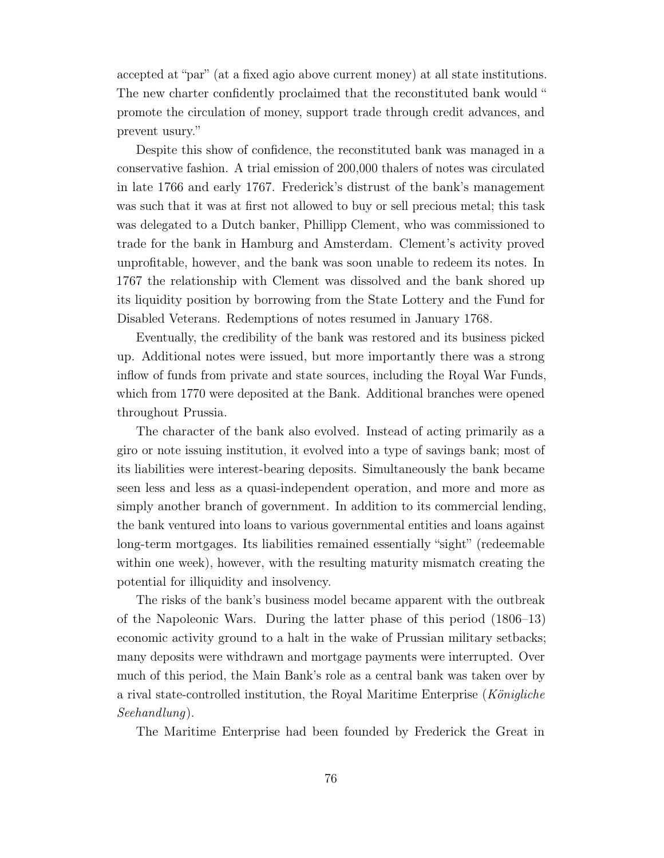accepted at "par" (at a fixed agio above current money) at all state institutions. The new charter confidently proclaimed that the reconstituted bank would " promote the circulation of money, support trade through credit advances, and prevent usury."

Despite this show of confidence, the reconstituted bank was managed in a conservative fashion. A trial emission of 200,000 thalers of notes was circulated in late 1766 and early 1767. Frederick's distrust of the bank's management was such that it was at first not allowed to buy or sell precious metal; this task was delegated to a Dutch banker, Phillipp Clement, who was commissioned to trade for the bank in Hamburg and Amsterdam. Clement's activity proved unprofitable, however, and the bank was soon unable to redeem its notes. In 1767 the relationship with Clement was dissolved and the bank shored up its liquidity position by borrowing from the State Lottery and the Fund for Disabled Veterans. Redemptions of notes resumed in January 1768.

Eventually, the credibility of the bank was restored and its business picked up. Additional notes were issued, but more importantly there was a strong inflow of funds from private and state sources, including the Royal War Funds, which from 1770 were deposited at the Bank. Additional branches were opened throughout Prussia.

The character of the bank also evolved. Instead of acting primarily as a giro or note issuing institution, it evolved into a type of savings bank; most of its liabilities were interest-bearing deposits. Simultaneously the bank became seen less and less as a quasi-independent operation, and more and more as simply another branch of government. In addition to its commercial lending, the bank ventured into loans to various governmental entities and loans against long-term mortgages. Its liabilities remained essentially "sight" (redeemable within one week), however, with the resulting maturity mismatch creating the potential for illiquidity and insolvency.

The risks of the bank's business model became apparent with the outbreak of the Napoleonic Wars. During the latter phase of this period (1806–13) economic activity ground to a halt in the wake of Prussian military setbacks; many deposits were withdrawn and mortgage payments were interrupted. Over much of this period, the Main Bank's role as a central bank was taken over by a rival state-controlled institution, the Royal Maritime Enterprise (Königliche Seehandlung).

The Maritime Enterprise had been founded by Frederick the Great in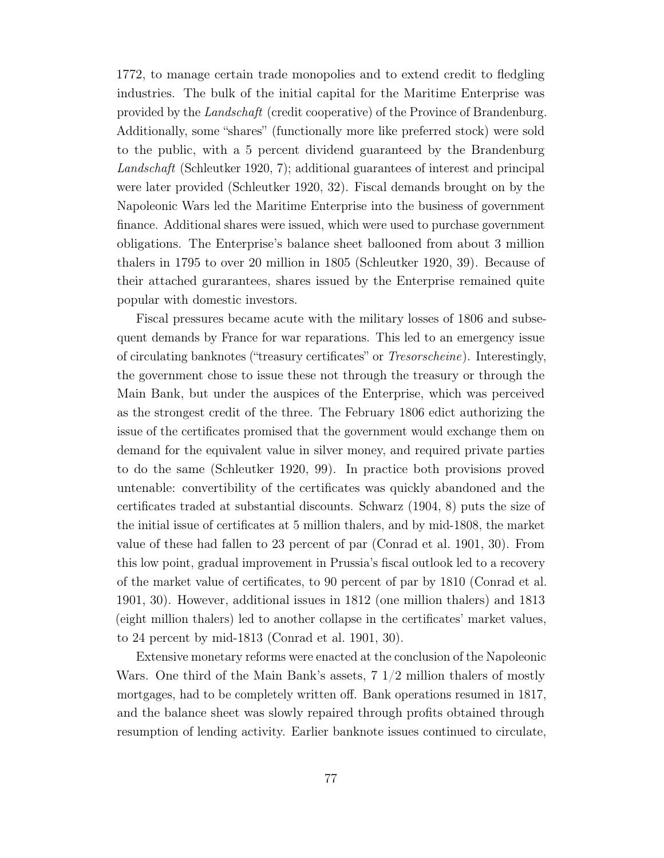1772, to manage certain trade monopolies and to extend credit to fledgling industries. The bulk of the initial capital for the Maritime Enterprise was provided by the Landschaft (credit cooperative) of the Province of Brandenburg. Additionally, some "shares" (functionally more like preferred stock) were sold to the public, with a 5 percent dividend guaranteed by the Brandenburg Landschaft [\(Schleutker 1920,](#page-90-3) 7); additional guarantees of interest and principal were later provided [\(Schleutker 1920,](#page-90-3) 32). Fiscal demands brought on by the Napoleonic Wars led the Maritime Enterprise into the business of government finance. Additional shares were issued, which were used to purchase government obligations. The Enterprise's balance sheet ballooned from about 3 million thalers in 1795 to over 20 million in 1805 [\(Schleutker 1920,](#page-90-3) 39). Because of their attached gurarantees, shares issued by the Enterprise remained quite popular with domestic investors.

Fiscal pressures became acute with the military losses of 1806 and subsequent demands by France for war reparations. This led to an emergency issue of circulating banknotes ("treasury certificates" or Tresorscheine). Interestingly, the government chose to issue these not through the treasury or through the Main Bank, but under the auspices of the Enterprise, which was perceived as the strongest credit of the three. The February 1806 edict authorizing the issue of the certificates promised that the government would exchange them on demand for the equivalent value in silver money, and required private parties to do the same [\(Schleutker 1920,](#page-90-3) 99). In practice both provisions proved untenable: convertibility of the certificates was quickly abandoned and the certificates traded at substantial discounts. [Schwarz](#page-90-4) [\(1904,](#page-90-4) 8) puts the size of the initial issue of certificates at 5 million thalers, and by mid-1808, the market value of these had fallen to 23 percent of par [\(Conrad et al. 1901,](#page-86-0) 30). From this low point, gradual improvement in Prussia's fiscal outlook led to a recovery of the market value of certificates, to 90 percent of par by 1810 [\(Conrad et al.](#page-86-0) [1901,](#page-86-0) 30). However, additional issues in 1812 (one million thalers) and 1813 (eight million thalers) led to another collapse in the certificates' market values, to 24 percent by mid-1813 [\(Conrad et al. 1901,](#page-86-0) 30).

Extensive monetary reforms were enacted at the conclusion of the Napoleonic Wars. One third of the Main Bank's assets, 7 1/2 million thalers of mostly mortgages, had to be completely written off. Bank operations resumed in 1817, and the balance sheet was slowly repaired through profits obtained through resumption of lending activity. Earlier banknote issues continued to circulate,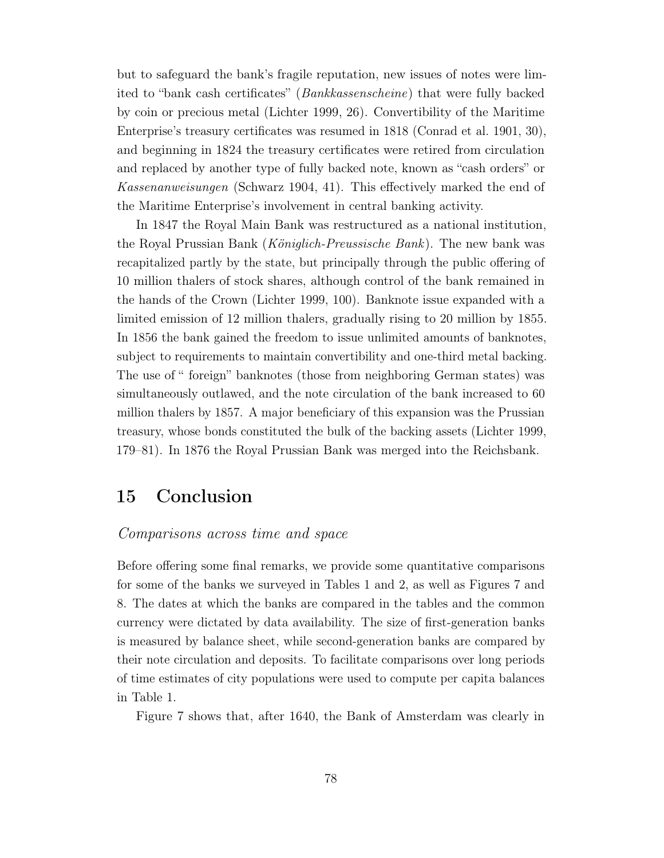but to safeguard the bank's fragile reputation, new issues of notes were limited to "bank cash certificates" (Bankkassenscheine) that were fully backed by coin or precious metal [\(Lichter 1999,](#page-88-0) 26). Convertibility of the Maritime Enterprise's treasury certificates was resumed in 1818 [\(Conrad et al. 1901,](#page-86-0) 30), and beginning in 1824 the treasury certificates were retired from circulation and replaced by another type of fully backed note, known as "cash orders" or Kassenanweisungen [\(Schwarz 1904,](#page-90-4) 41). This effectively marked the end of the Maritime Enterprise's involvement in central banking activity.

In 1847 the Royal Main Bank was restructured as a national institution, the Royal Prussian Bank (Königlich-Preussische Bank). The new bank was recapitalized partly by the state, but principally through the public offering of 10 million thalers of stock shares, although control of the bank remained in the hands of the Crown [\(Lichter 1999,](#page-88-0) 100). Banknote issue expanded with a limited emission of 12 million thalers, gradually rising to 20 million by 1855. In 1856 the bank gained the freedom to issue unlimited amounts of banknotes, subject to requirements to maintain convertibility and one-third metal backing. The use of " foreign" banknotes (those from neighboring German states) was simultaneously outlawed, and the note circulation of the bank increased to 60 million thalers by 1857. A major beneficiary of this expansion was the Prussian treasury, whose bonds constituted the bulk of the backing assets [\(Lichter 1999,](#page-88-0) 179–81). In 1876 the Royal Prussian Bank was merged into the Reichsbank.

## 15 Conclusion

#### Comparisons across time and space

Before offering some final remarks, we provide some quantitative comparisons for some of the banks we surveyed in Tables [1](#page-81-0) and [2,](#page-82-0) as well as Figures [7](#page-79-0) and [8.](#page-80-0) The dates at which the banks are compared in the tables and the common currency were dictated by data availability. The size of first-generation banks is measured by balance sheet, while second-generation banks are compared by their note circulation and deposits. To facilitate comparisons over long periods of time estimates of city populations were used to compute per capita balances in Table [1.](#page-81-0)

Figure [7](#page-79-0) shows that, after 1640, the Bank of Amsterdam was clearly in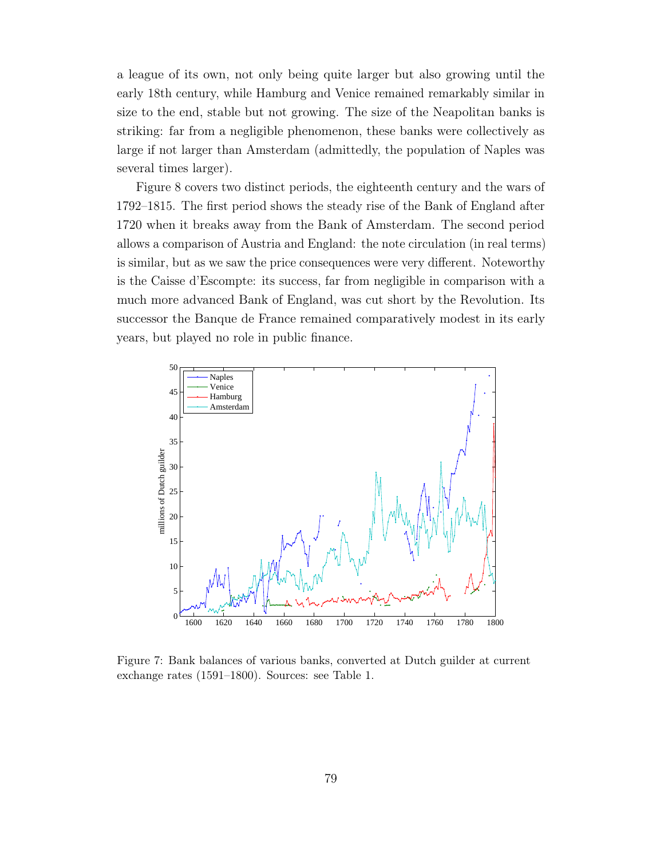a league of its own, not only being quite larger but also growing until the early 18th century, while Hamburg and Venice remained remarkably similar in size to the end, stable but not growing. The size of the Neapolitan banks is striking: far from a negligible phenomenon, these banks were collectively as large if not larger than Amsterdam (admittedly, the population of Naples was several times larger).

Figure [8](#page-80-0) covers two distinct periods, the eighteenth century and the wars of 1792–1815. The first period shows the steady rise of the Bank of England after 1720 when it breaks away from the Bank of Amsterdam. The second period allows a comparison of Austria and England: the note circulation (in real terms) is similar, but as we saw the price consequences were very different. Noteworthy is the Caisse d'Escompte: its success, far from negligible in comparison with a much more advanced Bank of England, was cut short by the Revolution. Its successor the Banque de France remained comparatively modest in its early years, but played no role in public finance.



<span id="page-79-0"></span>Figure 7: Bank balances of various banks, converted at Dutch guilder at current exchange rates (1591–1800). Sources: see Table [1.](#page-81-0)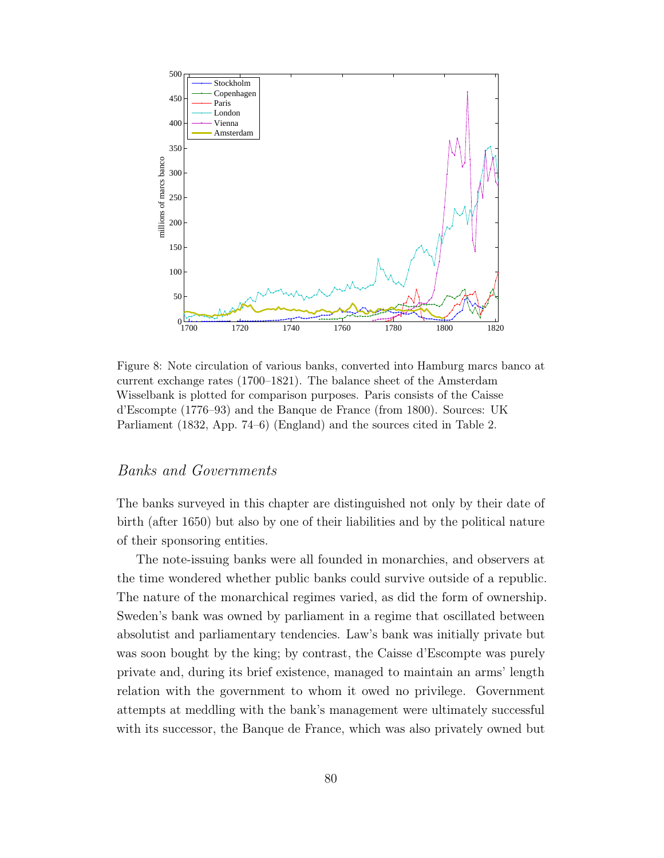

<span id="page-80-0"></span>Figure 8: Note circulation of various banks, converted into Hamburg marcs banco at current exchange rates (1700–1821). The balance sheet of the Amsterdam Wisselbank is plotted for comparison purposes. Paris consists of the Caisse d'Escompte (1776–93) and the Banque de France (from 1800). Sources: [UK](#page-91-0) [Parliament](#page-91-0) [\(1832,](#page-91-0) App. 74–6) (England) and the sources cited in Table [2.](#page-82-0)

### Banks and Governments

The banks surveyed in this chapter are distinguished not only by their date of birth (after 1650) but also by one of their liabilities and by the political nature of their sponsoring entities.

The note-issuing banks were all founded in monarchies, and observers at the time wondered whether public banks could survive outside of a republic. The nature of the monarchical regimes varied, as did the form of ownership. Sweden's bank was owned by parliament in a regime that oscillated between absolutist and parliamentary tendencies. Law's bank was initially private but was soon bought by the king; by contrast, the Caisse d'Escompte was purely private and, during its brief existence, managed to maintain an arms' length relation with the government to whom it owed no privilege. Government attempts at meddling with the bank's management were ultimately successful with its successor, the Banque de France, which was also privately owned but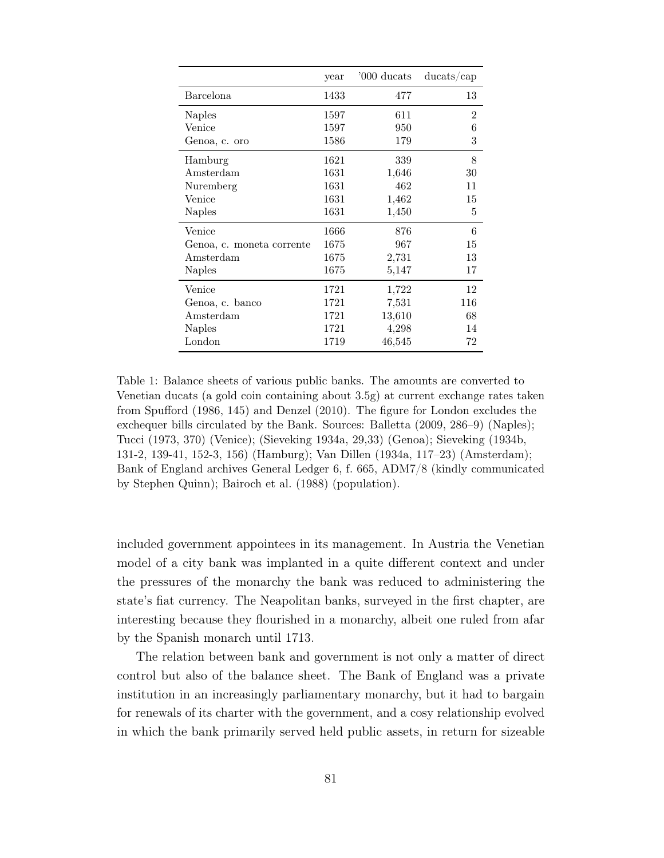|                           | year | '000 ducats | ducats/cap     |
|---------------------------|------|-------------|----------------|
| Barcelona                 | 1433 | 477         | 13             |
| Naples                    | 1597 | 611         | $\overline{2}$ |
| Venice                    | 1597 | 950         | 6              |
| Genoa, c. oro             | 1586 | 179         | 3              |
| Hamburg                   | 1621 | 339         | 8              |
| Amsterdam                 | 1631 | 1,646       | 30             |
| Nuremberg                 | 1631 | 462         | 11             |
| Venice                    | 1631 | 1,462       | 15             |
| <b>Naples</b>             | 1631 | 1,450       | 5              |
| Venice                    | 1666 | 876         | 6              |
| Genoa, c. moneta corrente | 1675 | 967         | 15             |
| Amsterdam                 | 1675 | 2,731       | 13             |
| <b>Naples</b>             | 1675 | 5,147       | 17             |
| Venice                    | 1721 | 1,722       | 12             |
| Genoa, c. banco           | 1721 | 7,531       | 116            |
| Amsterdam                 | 1721 | 13,610      | 68             |
| Naples                    | 1721 | 4,298       | 14             |
| London                    | 1719 | 46,545      | 72             |

<span id="page-81-0"></span>Table 1: Balance sheets of various public banks. The amounts are converted to Venetian ducats (a gold coin containing about 3.5g) at current exchange rates taken from [Spufford](#page-91-1) [\(1986,](#page-91-1) 145) and [Denzel](#page-86-1) [\(2010\)](#page-86-1). The figure for London excludes the exchequer bills circulated by the Bank. Sources: [Balletta](#page-85-0) [\(2009,](#page-85-0) 286–9) (Naples); [Tucci](#page-91-2) [\(1973,](#page-91-2) 370) (Venice); [\(Sieveking 1934a,](#page-90-5) 29,33) (Genoa); [Sieveking](#page-90-2) [\(1934b,](#page-90-2) 131-2, 139-41, 152-3, 156) (Hamburg); [Van Dillen](#page-91-3) [\(1934a,](#page-91-3) 117–23) (Amsterdam); Bank of England archives General Ledger 6, f. 665, ADM7/8 (kindly communicated by Stephen Quinn); [Bairoch et al.](#page-85-1) [\(1988\)](#page-85-1) (population).

included government appointees in its management. In Austria the Venetian model of a city bank was implanted in a quite different context and under the pressures of the monarchy the bank was reduced to administering the state's fiat currency. The Neapolitan banks, surveyed in the first chapter, are interesting because they flourished in a monarchy, albeit one ruled from afar by the Spanish monarch until 1713.

The relation between bank and government is not only a matter of direct control but also of the balance sheet. The Bank of England was a private institution in an increasingly parliamentary monarchy, but it had to bargain for renewals of its charter with the government, and a cosy relationship evolved in which the bank primarily served held public assets, in return for sizeable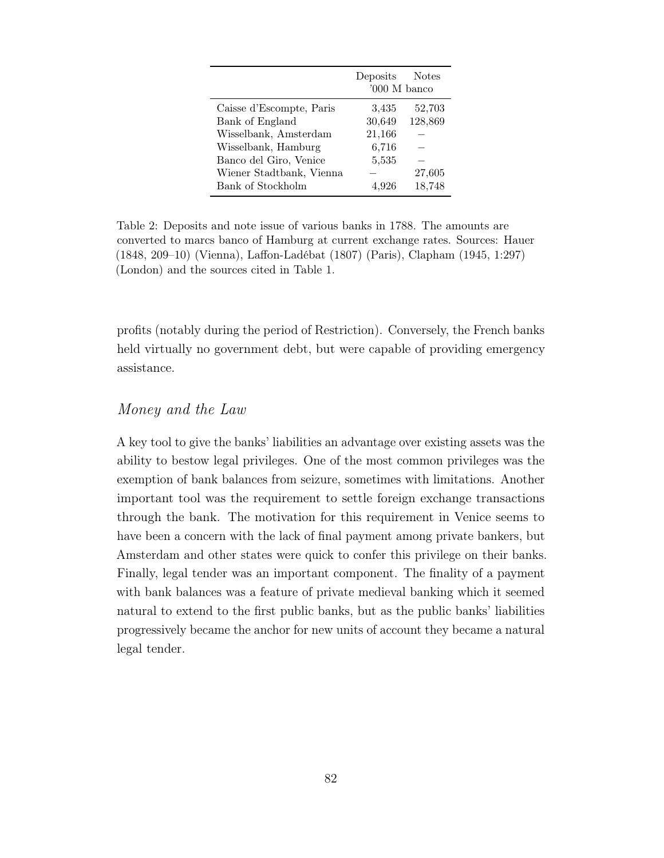|                          | Deposits<br>$'000$ M banco | <b>Notes</b> |
|--------------------------|----------------------------|--------------|
| Caisse d'Escompte, Paris | 3,435                      | 52,703       |
| Bank of England          | 30,649                     | 128,869      |
| Wisselbank, Amsterdam    | 21,166                     |              |
| Wisselbank, Hamburg      | 6,716                      |              |
| Banco del Giro, Venice   | 5,535                      |              |
| Wiener Stadtbank, Vienna |                            | 27,605       |
| Bank of Stockholm        | 4.926                      | 18,748       |

<span id="page-82-0"></span>Table 2: Deposits and note issue of various banks in 1788. The amounts are converted to marcs banco of Hamburg at current exchange rates. Sources: [Hauer](#page-87-1) [\(1848,](#page-87-1) 209–10) (Vienna), [Laffon-Ladébat](#page-87-2) [\(1807\)](#page-87-2) (Paris), [Clapham](#page-86-2) [\(1945,](#page-86-2) 1:297) (London) and the sources cited in Table [1.](#page-81-0)

profits (notably during the period of Restriction). Conversely, the French banks held virtually no government debt, but were capable of providing emergency assistance.

#### Money and the Law

A key tool to give the banks' liabilities an advantage over existing assets was the ability to bestow legal privileges. One of the most common privileges was the exemption of bank balances from seizure, sometimes with limitations. Another important tool was the requirement to settle foreign exchange transactions through the bank. The motivation for this requirement in Venice seems to have been a concern with the lack of final payment among private bankers, but Amsterdam and other states were quick to confer this privilege on their banks. Finally, legal tender was an important component. The finality of a payment with bank balances was a feature of private medieval banking which it seemed natural to extend to the first public banks, but as the public banks' liabilities progressively became the anchor for new units of account they became a natural legal tender.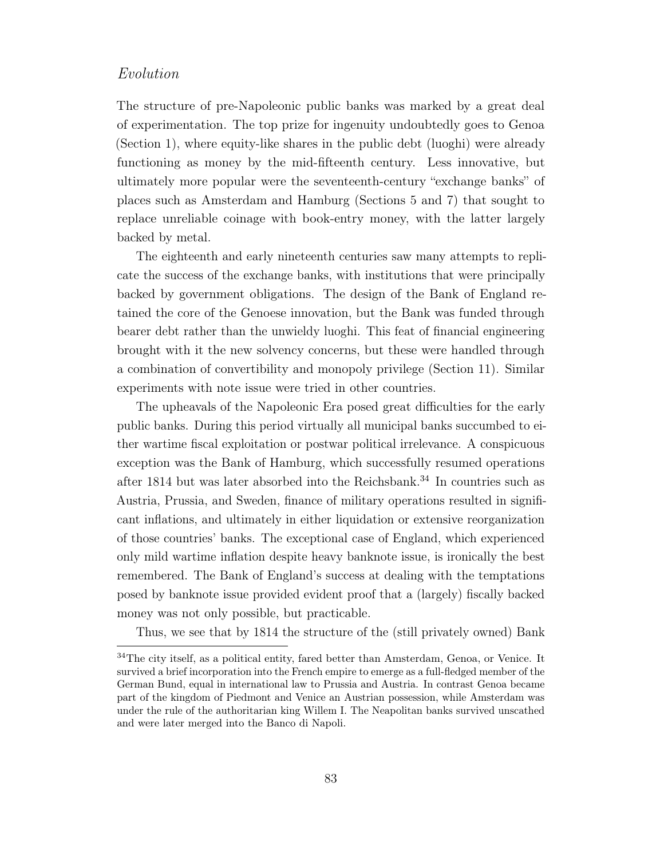#### Evolution

The structure of pre-Napoleonic public banks was marked by a great deal of experimentation. The top prize for ingenuity undoubtedly goes to Genoa (Section [1\)](#page-7-0), where equity-like shares in the public debt (luoghi) were already functioning as money by the mid-fifteenth century. Less innovative, but ultimately more popular were the seventeenth-century "exchange banks" of places such as Amsterdam and Hamburg (Sections [5](#page-33-0) and [7\)](#page-43-0) that sought to replace unreliable coinage with book-entry money, with the latter largely backed by metal.

The eighteenth and early nineteenth centuries saw many attempts to replicate the success of the exchange banks, with institutions that were principally backed by government obligations. The design of the Bank of England retained the core of the Genoese innovation, but the Bank was funded through bearer debt rather than the unwieldy luoghi. This feat of financial engineering brought with it the new solvency concerns, but these were handled through a combination of convertibility and monopoly privilege (Section [11\)](#page-56-0). Similar experiments with note issue were tried in other countries.

The upheavals of the Napoleonic Era posed great difficulties for the early public banks. During this period virtually all municipal banks succumbed to either wartime fiscal exploitation or postwar political irrelevance. A conspicuous exception was the Bank of Hamburg, which successfully resumed operations after 1814 but was later absorbed into the Reichsbank.<sup>[34](#page-83-0)</sup> In countries such as Austria, Prussia, and Sweden, finance of military operations resulted in significant inflations, and ultimately in either liquidation or extensive reorganization of those countries' banks. The exceptional case of England, which experienced only mild wartime inflation despite heavy banknote issue, is ironically the best remembered. The Bank of England's success at dealing with the temptations posed by banknote issue provided evident proof that a (largely) fiscally backed money was not only possible, but practicable.

Thus, we see that by 1814 the structure of the (still privately owned) Bank

<span id="page-83-0"></span><sup>34</sup>The city itself, as a political entity, fared better than Amsterdam, Genoa, or Venice. It survived a brief incorporation into the French empire to emerge as a full-fledged member of the German Bund, equal in international law to Prussia and Austria. In contrast Genoa became part of the kingdom of Piedmont and Venice an Austrian possession, while Amsterdam was under the rule of the authoritarian king Willem I. The Neapolitan banks survived unscathed and were later merged into the Banco di Napoli.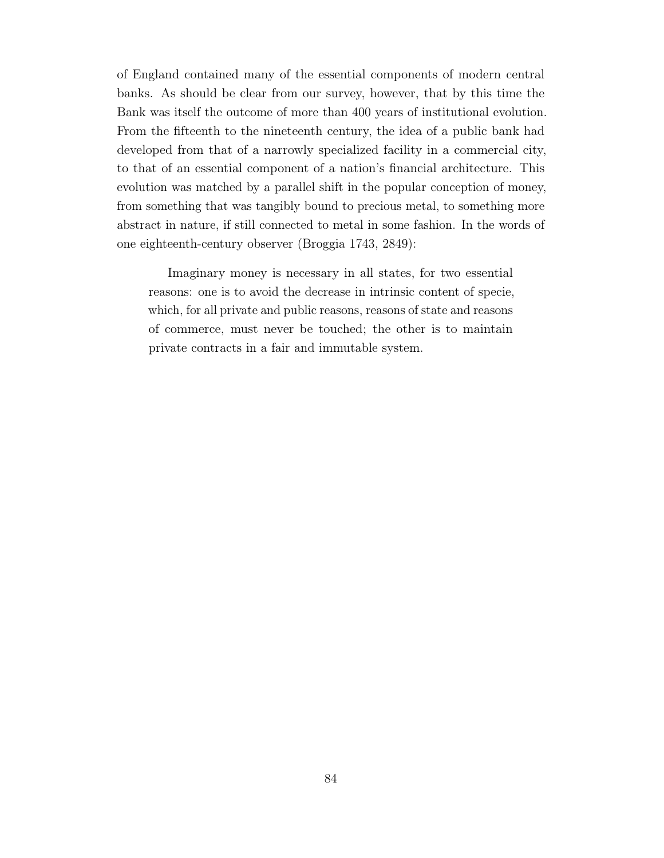of England contained many of the essential components of modern central banks. As should be clear from our survey, however, that by this time the Bank was itself the outcome of more than 400 years of institutional evolution. From the fifteenth to the nineteenth century, the idea of a public bank had developed from that of a narrowly specialized facility in a commercial city, to that of an essential component of a nation's financial architecture. This evolution was matched by a parallel shift in the popular conception of money, from something that was tangibly bound to precious metal, to something more abstract in nature, if still connected to metal in some fashion. In the words of one eighteenth-century observer [\(Broggia 1743,](#page-85-2) 2849):

Imaginary money is necessary in all states, for two essential reasons: one is to avoid the decrease in intrinsic content of specie, which, for all private and public reasons, reasons of state and reasons of commerce, must never be touched; the other is to maintain private contracts in a fair and immutable system.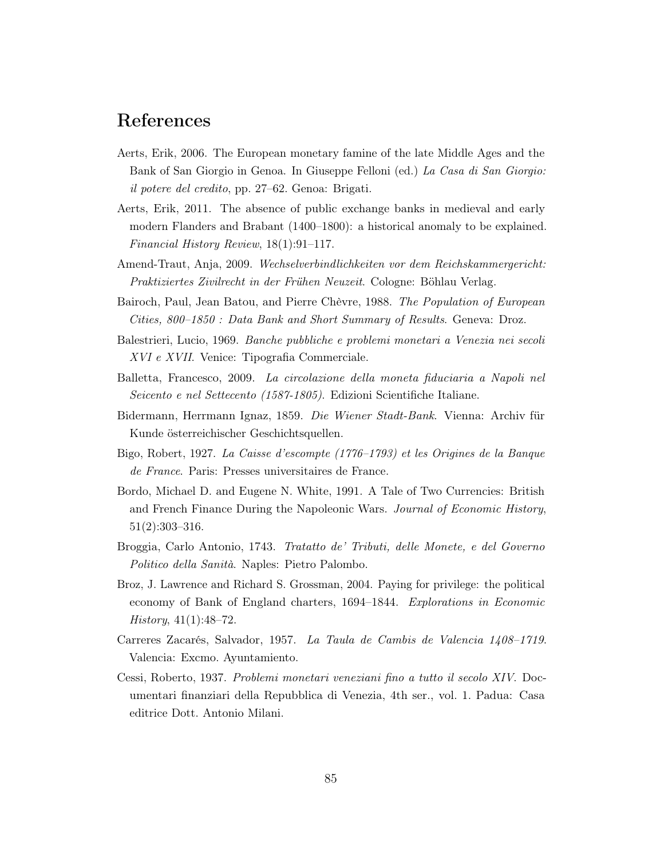### References

- Aerts, Erik, 2006. The European monetary famine of the late Middle Ages and the Bank of San Giorgio in Genoa. In Giuseppe Felloni (ed.) La Casa di San Giorgio: il potere del credito, pp. 27–62. Genoa: Brigati.
- Aerts, Erik, 2011. The absence of public exchange banks in medieval and early modern Flanders and Brabant (1400–1800): a historical anomaly to be explained. Financial History Review, 18(1):91–117.
- Amend-Traut, Anja, 2009. Wechselverbindlichkeiten vor dem Reichskammergericht: Praktiziertes Zivilrecht in der Frühen Neuzeit. Cologne: Böhlau Verlag.
- <span id="page-85-1"></span>Bairoch, Paul, Jean Batou, and Pierre Chèvre, 1988. The Population of European Cities, 800–1850 : Data Bank and Short Summary of Results. Geneva: Droz.
- Balestrieri, Lucio, 1969. Banche pubbliche e problemi monetari a Venezia nei secoli XVI e XVII. Venice: Tipografia Commerciale.
- <span id="page-85-0"></span>Balletta, Francesco, 2009. La circolazione della moneta fiduciaria a Napoli nel Seicento e nel Settecento (1587-1805). Edizioni Scientifiche Italiane.
- Bidermann, Herrmann Ignaz, 1859. Die Wiener Stadt-Bank. Vienna: Archiv für Kunde österreichischer Geschichtsquellen.
- Bigo, Robert, 1927. La Caisse d'escompte (1776–1793) et les Origines de la Banque de France. Paris: Presses universitaires de France.
- Bordo, Michael D. and Eugene N. White, 1991. A Tale of Two Currencies: British and French Finance During the Napoleonic Wars. Journal of Economic History, 51(2):303–316.
- <span id="page-85-2"></span>Broggia, Carlo Antonio, 1743. Tratatto de' Tributi, delle Monete, e del Governo Politico della Sanità. Naples: Pietro Palombo.
- Broz, J. Lawrence and Richard S. Grossman, 2004. Paying for privilege: the political economy of Bank of England charters, 1694–1844. Explorations in Economic History, 41(1):48–72.
- Carreres Zacarés, Salvador, 1957. La Taula de Cambis de Valencia 1408–1719. Valencia: Excmo. Ayuntamiento.
- Cessi, Roberto, 1937. Problemi monetari veneziani fino a tutto il secolo XIV. Documentari finanziari della Repubblica di Venezia, 4th ser., vol. 1. Padua: Casa editrice Dott. Antonio Milani.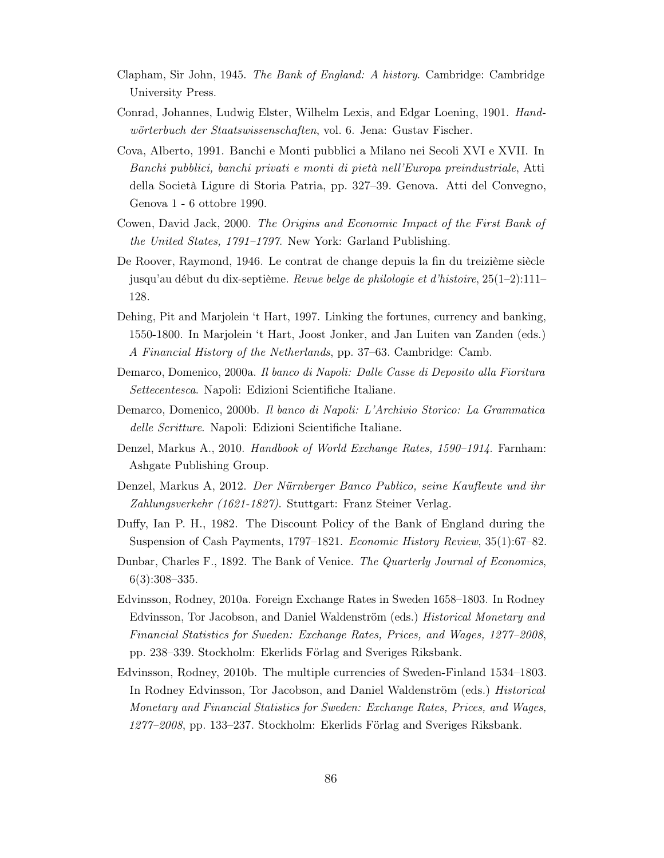- <span id="page-86-2"></span>Clapham, Sir John, 1945. The Bank of England: A history. Cambridge: Cambridge University Press.
- <span id="page-86-0"></span>Conrad, Johannes, Ludwig Elster, Wilhelm Lexis, and Edgar Loening, 1901. Handwörterbuch der Staatswissenschaften, vol. 6. Jena: Gustav Fischer.
- Cova, Alberto, 1991. Banchi e Monti pubblici a Milano nei Secoli XVI e XVII. In Banchi pubblici, banchi privati e monti di pietà nell'Europa preindustriale, Atti della Società Ligure di Storia Patria, pp. 327–39. Genova. Atti del Convegno, Genova 1 - 6 ottobre 1990.
- Cowen, David Jack, 2000. The Origins and Economic Impact of the First Bank of the United States, 1791–1797. New York: Garland Publishing.
- De Roover, Raymond, 1946. Le contrat de change depuis la fin du treizième siècle jusqu'au début du dix-septième. Revue belge de philologie et d'histoire, 25(1–2):111– 128.
- Dehing, Pit and Marjolein 't Hart, 1997. Linking the fortunes, currency and banking, 1550-1800. In Marjolein 't Hart, Joost Jonker, and Jan Luiten van Zanden (eds.) A Financial History of the Netherlands, pp. 37–63. Cambridge: Camb.
- Demarco, Domenico, 2000a. Il banco di Napoli: Dalle Casse di Deposito alla Fioritura Settecentesca. Napoli: Edizioni Scientifiche Italiane.
- Demarco, Domenico, 2000b. Il banco di Napoli: L'Archivio Storico: La Grammatica delle Scritture. Napoli: Edizioni Scientifiche Italiane.
- <span id="page-86-1"></span>Denzel, Markus A., 2010. *Handbook of World Exchange Rates, 1590–1914*. Farnham: Ashgate Publishing Group.
- Denzel, Markus A, 2012. Der Nürnberger Banco Publico, seine Kaufleute und ihr Zahlungsverkehr (1621-1827). Stuttgart: Franz Steiner Verlag.
- Duffy, Ian P. H., 1982. The Discount Policy of the Bank of England during the Suspension of Cash Payments, 1797–1821. Economic History Review, 35(1):67–82.
- Dunbar, Charles F., 1892. The Bank of Venice. The Quarterly Journal of Economics, 6(3):308–335.
- Edvinsson, Rodney, 2010a. Foreign Exchange Rates in Sweden 1658–1803. In Rodney Edvinsson, Tor Jacobson, and Daniel Waldenström (eds.) Historical Monetary and Financial Statistics for Sweden: Exchange Rates, Prices, and Wages, 1277–2008, pp. 238–339. Stockholm: Ekerlids Förlag and Sveriges Riksbank.
- Edvinsson, Rodney, 2010b. The multiple currencies of Sweden-Finland 1534–1803. In Rodney Edvinsson, Tor Jacobson, and Daniel Waldenström (eds.) Historical Monetary and Financial Statistics for Sweden: Exchange Rates, Prices, and Wages, 1277–2008, pp. 133–237. Stockholm: Ekerlids Förlag and Sveriges Riksbank.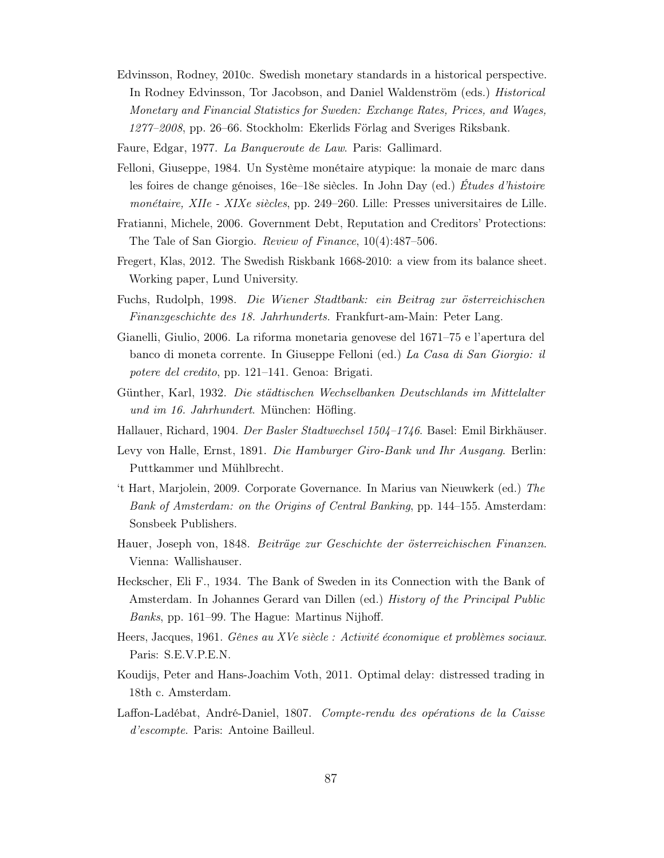- Edvinsson, Rodney, 2010c. Swedish monetary standards in a historical perspective. In Rodney Edvinsson, Tor Jacobson, and Daniel Waldenström (eds.) Historical Monetary and Financial Statistics for Sweden: Exchange Rates, Prices, and Wages, 1277–2008, pp. 26–66. Stockholm: Ekerlids Förlag and Sveriges Riksbank.
- Faure, Edgar, 1977. La Banqueroute de Law. Paris: Gallimard.
- Felloni, Giuseppe, 1984. Un Système monétaire atypique: la monaie de marc dans les foires de change génoises, 16e–18e siècles. In John Day (ed.) Études d'histoire monétaire, XIIe - XIXe siècles, pp. 249–260. Lille: Presses universitaires de Lille.
- Fratianni, Michele, 2006. Government Debt, Reputation and Creditors' Protections: The Tale of San Giorgio. Review of Finance, 10(4):487–506.
- Fregert, Klas, 2012. The Swedish Riskbank 1668-2010: a view from its balance sheet. Working paper, Lund University.
- <span id="page-87-0"></span>Fuchs, Rudolph, 1998. Die Wiener Stadtbank: ein Beitrag zur österreichischen Finanzgeschichte des 18. Jahrhunderts. Frankfurt-am-Main: Peter Lang.
- Gianelli, Giulio, 2006. La riforma monetaria genovese del 1671–75 e l'apertura del banco di moneta corrente. In Giuseppe Felloni (ed.) La Casa di San Giorgio: il potere del credito, pp. 121–141. Genoa: Brigati.
- Günther, Karl, 1932. Die städtischen Wechselbanken Deutschlands im Mittelalter und im 16. Jahrhundert. München: Höfling.
- Hallauer, Richard, 1904. Der Basler Stadtwechsel 1504–1746. Basel: Emil Birkhäuser.
- Levy von Halle, Ernst, 1891. Die Hamburger Giro-Bank und Ihr Ausgang. Berlin: Puttkammer und Mühlbrecht.
- 't Hart, Marjolein, 2009. Corporate Governance. In Marius van Nieuwkerk (ed.) The Bank of Amsterdam: on the Origins of Central Banking, pp. 144–155. Amsterdam: Sonsbeek Publishers.
- <span id="page-87-1"></span>Hauer, Joseph von, 1848. Beiträge zur Geschichte der österreichischen Finanzen. Vienna: Wallishauser.
- Heckscher, Eli F., 1934. The Bank of Sweden in its Connection with the Bank of Amsterdam. In Johannes Gerard van Dillen (ed.) History of the Principal Public Banks, pp. 161–99. The Hague: Martinus Nijhoff.
- Heers, Jacques, 1961. Gênes au XVe siècle : Activité économique et problèmes sociaux. Paris: S.E.V.P.E.N.
- Koudijs, Peter and Hans-Joachim Voth, 2011. Optimal delay: distressed trading in 18th c. Amsterdam.
- <span id="page-87-2"></span>Laffon-Ladébat, André-Daniel, 1807. Compte-rendu des opérations de la Caisse d'escompte. Paris: Antoine Bailleul.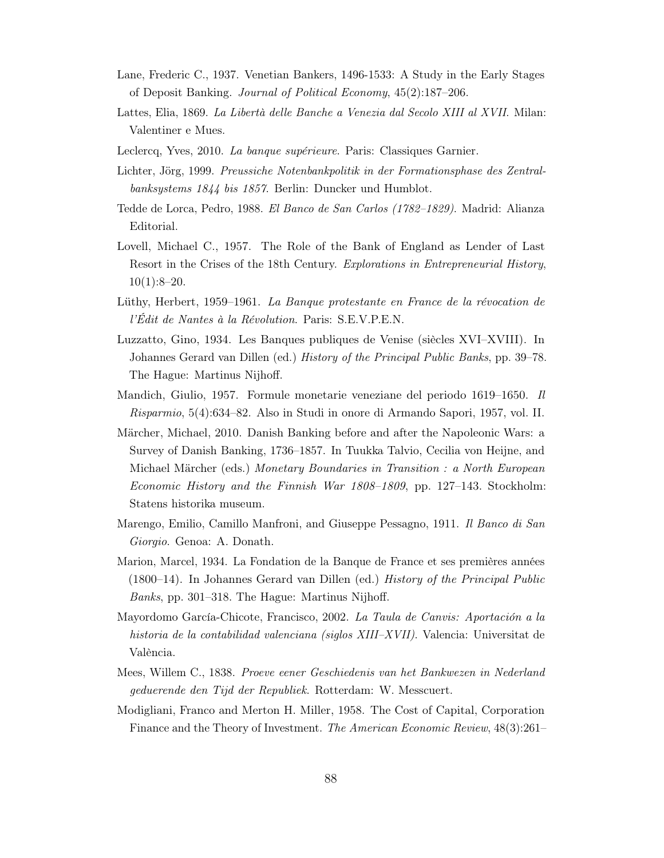- Lane, Frederic C., 1937. Venetian Bankers, 1496-1533: A Study in the Early Stages of Deposit Banking. Journal of Political Economy, 45(2):187–206.
- Lattes, Elia, 1869. La Libertà delle Banche a Venezia dal Secolo XIII al XVII. Milan: Valentiner e Mues.
- Leclercq, Yves, 2010. La banque supérieure. Paris: Classiques Garnier.
- <span id="page-88-0"></span>Lichter, Jörg, 1999. Preussiche Notenbankpolitik in der Formationsphase des Zentralbanksystems 1844 bis 1857. Berlin: Duncker und Humblot.
- Tedde de Lorca, Pedro, 1988. El Banco de San Carlos (1782–1829). Madrid: Alianza Editorial.
- Lovell, Michael C., 1957. The Role of the Bank of England as Lender of Last Resort in the Crises of the 18th Century. Explorations in Entrepreneurial History,  $10(1):8-20.$
- Lüthy, Herbert, 1959–1961. La Banque protestante en France de la révocation de l'Édit de Nantes à la Révolution. Paris: S.E.V.P.E.N.
- Luzzatto, Gino, 1934. Les Banques publiques de Venise (siècles XVI–XVIII). In Johannes Gerard van Dillen (ed.) History of the Principal Public Banks, pp. 39–78. The Hague: Martinus Nijhoff.
- Mandich, Giulio, 1957. Formule monetarie veneziane del periodo 1619–1650. Il Risparmio, 5(4):634–82. Also in Studi in onore di Armando Sapori, 1957, vol. II.
- Märcher, Michael, 2010. Danish Banking before and after the Napoleonic Wars: a Survey of Danish Banking, 1736–1857. In Tuukka Talvio, Cecilia von Heijne, and Michael Märcher (eds.) Monetary Boundaries in Transition : a North European Economic History and the Finnish War 1808–1809, pp. 127–143. Stockholm: Statens historika museum.
- Marengo, Emilio, Camillo Manfroni, and Giuseppe Pessagno, 1911. Il Banco di San Giorgio. Genoa: A. Donath.
- Marion, Marcel, 1934. La Fondation de la Banque de France et ses premières années (1800–14). In Johannes Gerard van Dillen (ed.) History of the Principal Public Banks, pp. 301–318. The Hague: Martinus Nijhoff.
- Mayordomo García-Chicote, Francisco, 2002. La Taula de Canvis: Aportación a la historia de la contabilidad valenciana (siglos XIII–XVII). Valencia: Universitat de València.
- Mees, Willem C., 1838. Proeve eener Geschiedenis van het Bankwezen in Nederland geduerende den Tijd der Republiek. Rotterdam: W. Messcuert.
- Modigliani, Franco and Merton H. Miller, 1958. The Cost of Capital, Corporation Finance and the Theory of Investment. The American Economic Review, 48(3):261–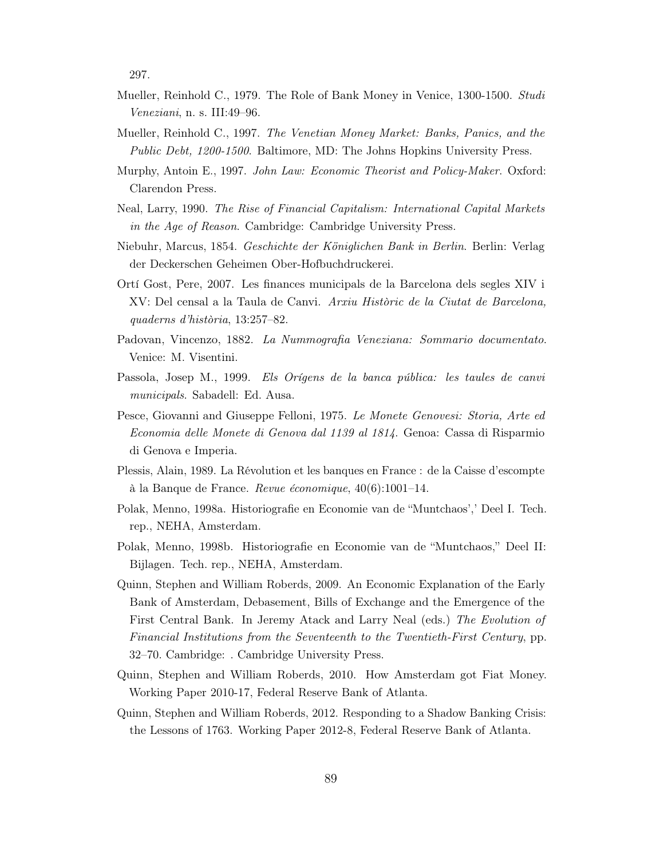297.

- Mueller, Reinhold C., 1979. The Role of Bank Money in Venice, 1300-1500. Studi Veneziani, n. s. III:49–96.
- Mueller, Reinhold C., 1997. The Venetian Money Market: Banks, Panics, and the Public Debt, 1200-1500. Baltimore, MD: The Johns Hopkins University Press.
- Murphy, Antoin E., 1997. John Law: Economic Theorist and Policy-Maker. Oxford: Clarendon Press.
- Neal, Larry, 1990. The Rise of Financial Capitalism: International Capital Markets in the Age of Reason. Cambridge: Cambridge University Press.
- <span id="page-89-0"></span>Niebuhr, Marcus, 1854. Geschichte der Königlichen Bank in Berlin. Berlin: Verlag der Deckerschen Geheimen Ober-Hofbuchdruckerei.
- Ortí Gost, Pere, 2007. Les finances municipals de la Barcelona dels segles XIV i XV: Del censal a la Taula de Canvi. Arxiu Històric de la Ciutat de Barcelona, quaderns d'història, 13:257–82.
- Padovan, Vincenzo, 1882. La Nummografia Veneziana: Sommario documentato. Venice: M. Visentini.
- Passola, Josep M., 1999. Els Orígens de la banca pública: les taules de canvi municipals. Sabadell: Ed. Ausa.
- Pesce, Giovanni and Giuseppe Felloni, 1975. Le Monete Genovesi: Storia, Arte ed Economia delle Monete di Genova dal 1139 al 1814. Genoa: Cassa di Risparmio di Genova e Imperia.
- Plessis, Alain, 1989. La Révolution et les banques en France : de la Caisse d'escompte à la Banque de France. *Revue économique*,  $40(6):1001-14$ .
- Polak, Menno, 1998a. Historiografie en Economie van de "Muntchaos',' Deel I. Tech. rep., NEHA, Amsterdam.
- Polak, Menno, 1998b. Historiografie en Economie van de "Muntchaos," Deel II: Bijlagen. Tech. rep., NEHA, Amsterdam.
- Quinn, Stephen and William Roberds, 2009. An Economic Explanation of the Early Bank of Amsterdam, Debasement, Bills of Exchange and the Emergence of the First Central Bank. In Jeremy Atack and Larry Neal (eds.) The Evolution of Financial Institutions from the Seventeenth to the Twentieth-First Century, pp. 32–70. Cambridge: . Cambridge University Press.
- Quinn, Stephen and William Roberds, 2010. How Amsterdam got Fiat Money. Working Paper 2010-17, Federal Reserve Bank of Atlanta.
- Quinn, Stephen and William Roberds, 2012. Responding to a Shadow Banking Crisis: the Lessons of 1763. Working Paper 2012-8, Federal Reserve Bank of Atlanta.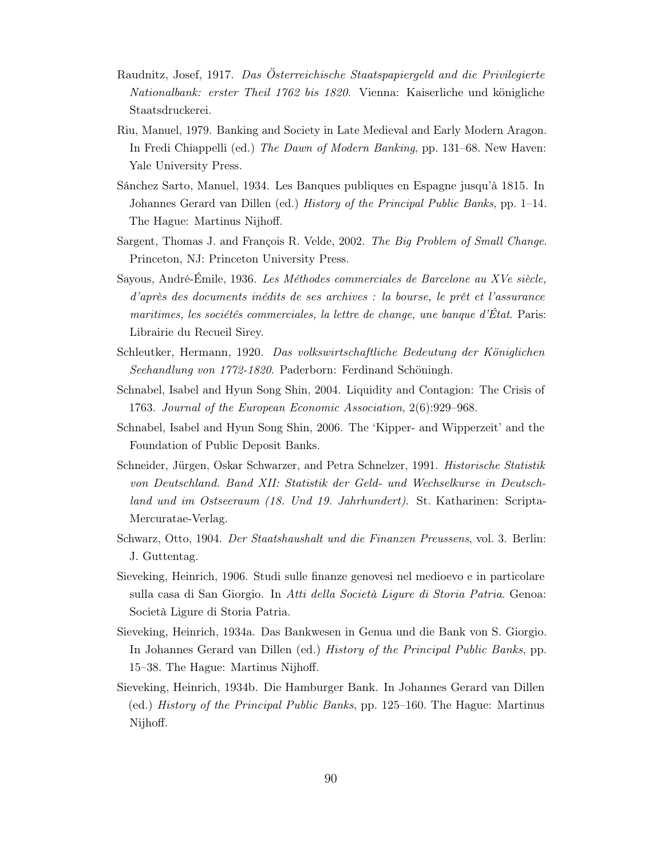- <span id="page-90-0"></span>Raudnitz, Josef, 1917. Das Österreichische Staatspapiergeld and die Privilegierte Nationalbank: erster Theil 1762 bis 1820. Vienna: Kaiserliche und königliche Staatsdruckerei.
- Riu, Manuel, 1979. Banking and Society in Late Medieval and Early Modern Aragon. In Fredi Chiappelli (ed.) The Dawn of Modern Banking, pp. 131–68. New Haven: Yale University Press.
- Sánchez Sarto, Manuel, 1934. Les Banques publiques en Espagne jusqu'à 1815. In Johannes Gerard van Dillen (ed.) History of the Principal Public Banks, pp. 1–14. The Hague: Martinus Nijhoff.
- Sargent, Thomas J. and François R. Velde, 2002. The Big Problem of Small Change. Princeton, NJ: Princeton University Press.
- Sayous, André-Émile, 1936. Les Méthodes commerciales de Barcelone au XVe siècle, d'après des documents inédits de ses archives : la bourse, le prêt et l'assurance maritimes, les sociétés commerciales, la lettre de change, une banque d'État. Paris: Librairie du Recueil Sirey.
- <span id="page-90-3"></span>Schleutker, Hermann, 1920. Das volkswirtschaftliche Bedeutung der Königlichen Seehandlung von 1772-1820. Paderborn: Ferdinand Schöningh.
- Schnabel, Isabel and Hyun Song Shin, 2004. Liquidity and Contagion: The Crisis of 1763. Journal of the European Economic Association, 2(6):929–968.
- Schnabel, Isabel and Hyun Song Shin, 2006. The 'Kipper- and Wipperzeit' and the Foundation of Public Deposit Banks.
- <span id="page-90-1"></span>Schneider, Jürgen, Oskar Schwarzer, and Petra Schnelzer, 1991. Historische Statistik von Deutschland. Band XII: Statistik der Geld- und Wechselkurse in Deutschland und im Ostseeraum (18. Und 19. Jahrhundert). St. Katharinen: Scripta-Mercuratae-Verlag.
- <span id="page-90-4"></span>Schwarz, Otto, 1904. Der Staatshaushalt und die Finanzen Preussens, vol. 3. Berlin: J. Guttentag.
- Sieveking, Heinrich, 1906. Studi sulle finanze genovesi nel medioevo e in particolare sulla casa di San Giorgio. In Atti della Società Ligure di Storia Patria. Genoa: Società Ligure di Storia Patria.
- <span id="page-90-5"></span>Sieveking, Heinrich, 1934a. Das Bankwesen in Genua und die Bank von S. Giorgio. In Johannes Gerard van Dillen (ed.) History of the Principal Public Banks, pp. 15–38. The Hague: Martinus Nijhoff.
- <span id="page-90-2"></span>Sieveking, Heinrich, 1934b. Die Hamburger Bank. In Johannes Gerard van Dillen (ed.) History of the Principal Public Banks, pp. 125–160. The Hague: Martinus Nijhoff.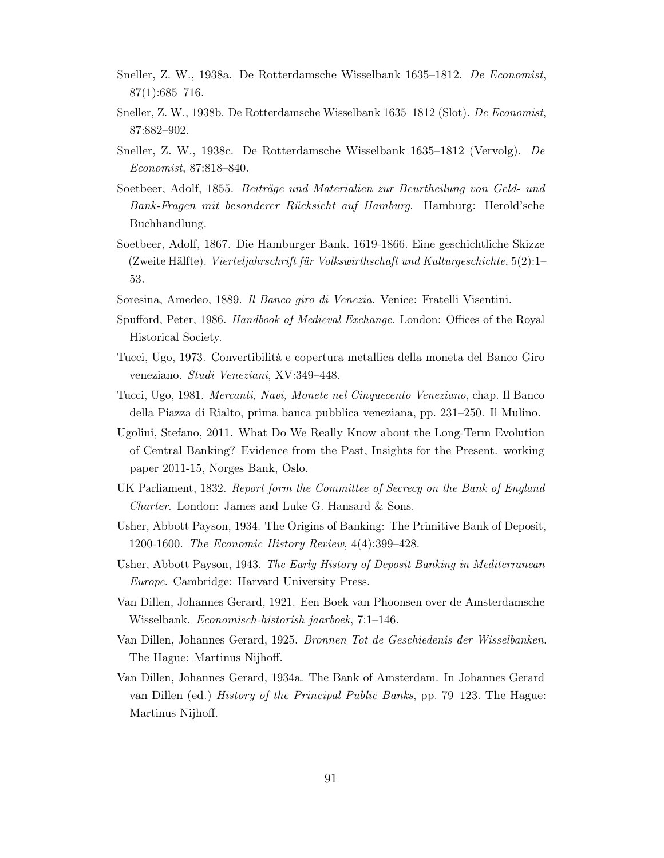- Sneller, Z. W., 1938a. De Rotterdamsche Wisselbank 1635–1812. De Economist, 87(1):685–716.
- Sneller, Z. W., 1938b. De Rotterdamsche Wisselbank 1635–1812 (Slot). De Economist, 87:882–902.
- Sneller, Z. W., 1938c. De Rotterdamsche Wisselbank 1635–1812 (Vervolg). De Economist, 87:818–840.
- Soetbeer, Adolf, 1855. Beiträge und Materialien zur Beurtheilung von Geld- und Bank-Fragen mit besonderer Rücksicht auf Hamburg. Hamburg: Herold'sche Buchhandlung.
- Soetbeer, Adolf, 1867. Die Hamburger Bank. 1619-1866. Eine geschichtliche Skizze (Zweite Hälfte). Vierteljahrschrift für Volkswirthschaft und Kulturgeschichte, 5(2):1– 53.
- Soresina, Amedeo, 1889. *Il Banco giro di Venezia*. Venice: Fratelli Visentini.
- <span id="page-91-1"></span>Spufford, Peter, 1986. Handbook of Medieval Exchange. London: Offices of the Royal Historical Society.
- <span id="page-91-2"></span>Tucci, Ugo, 1973. Convertibilità e copertura metallica della moneta del Banco Giro veneziano. Studi Veneziani, XV:349–448.
- Tucci, Ugo, 1981. Mercanti, Navi, Monete nel Cinquecento Veneziano, chap. Il Banco della Piazza di Rialto, prima banca pubblica veneziana, pp. 231–250. Il Mulino.
- Ugolini, Stefano, 2011. What Do We Really Know about the Long-Term Evolution of Central Banking? Evidence from the Past, Insights for the Present. working paper 2011-15, Norges Bank, Oslo.
- <span id="page-91-0"></span>UK Parliament, 1832. Report form the Committee of Secrecy on the Bank of England Charter. London: James and Luke G. Hansard & Sons.
- Usher, Abbott Payson, 1934. The Origins of Banking: The Primitive Bank of Deposit, 1200-1600. The Economic History Review, 4(4):399–428.
- Usher, Abbott Payson, 1943. The Early History of Deposit Banking in Mediterranean Europe. Cambridge: Harvard University Press.
- Van Dillen, Johannes Gerard, 1921. Een Boek van Phoonsen over de Amsterdamsche Wisselbank. Economisch-historish jaarboek, 7:1–146.
- Van Dillen, Johannes Gerard, 1925. Bronnen Tot de Geschiedenis der Wisselbanken. The Hague: Martinus Nijhoff.
- <span id="page-91-3"></span>Van Dillen, Johannes Gerard, 1934a. The Bank of Amsterdam. In Johannes Gerard van Dillen (ed.) History of the Principal Public Banks, pp. 79–123. The Hague: Martinus Nijhoff.